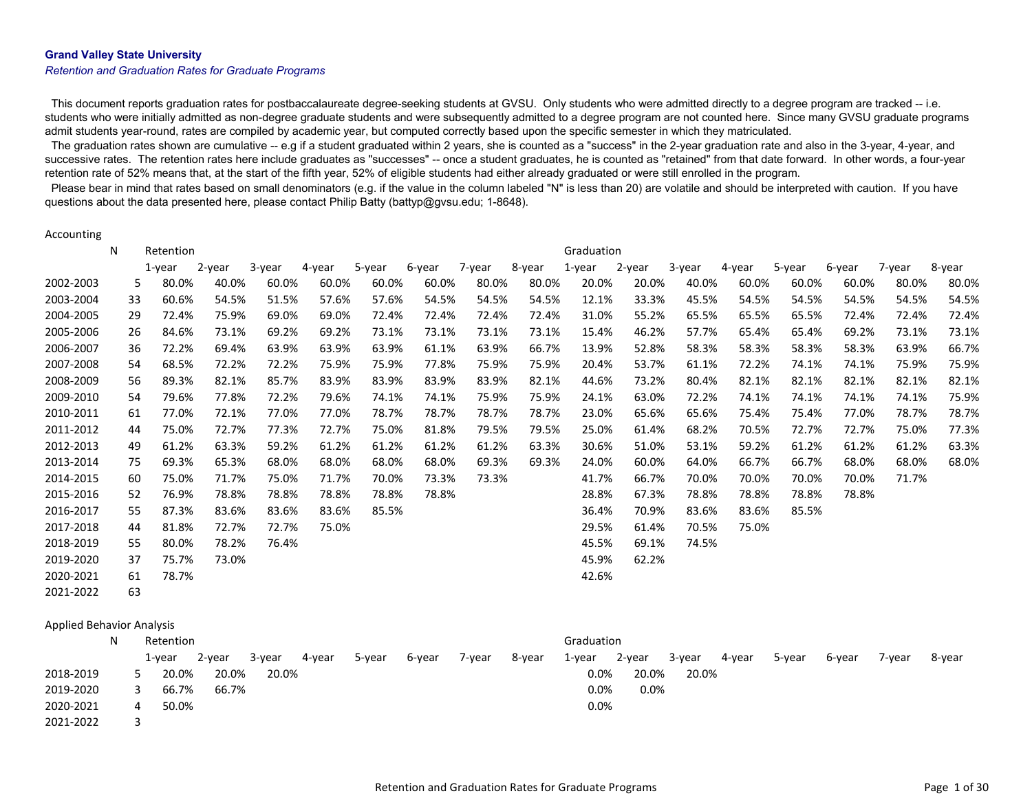#### Grand Valley State University

#### Retention and Graduation Rates for Graduate Programs

This document reports graduation rates for postbaccalaureate degree-seeking students at GVSU. Only students who were admitted directly to a degree program are tracked -- i.e. students who were initially admitted as non-degree graduate students and were subsequently admitted to a degree program are not counted here. Since many GVSU graduate programs admit students year-round, rates are compiled by academic year, but computed correctly based upon the specific semester in which they matriculated.

The graduation rates shown are cumulative -- e.g if a student graduated within 2 years, she is counted as a "success" in the 2-year graduation rate and also in the 3-year, 4-year, and successive rates. The retention rates here include graduates as "successes" -- once a student graduates, he is counted as "retained" from that date forward. In other words, a four-year retention rate of 52% means that, at the start of the fifth year, 52% of eligible students had either already graduated or were still enrolled in the program.

Please bear in mind that rates based on small denominators (e.g. if the value in the column labeled "N" is less than 20) are volatile and should be interpreted with caution. If you have questions about the data presented here, please contact Philip Batty (battyp@gvsu.edu; 1-8648).

#### Accounting

|           | N  | Retention |        |        |        |        |        |        |        | Graduation |        |        |        |        |        |        |        |
|-----------|----|-----------|--------|--------|--------|--------|--------|--------|--------|------------|--------|--------|--------|--------|--------|--------|--------|
|           |    | 1-year    | 2-year | 3-year | 4-year | 5-year | 6-year | 7-year | 8-year | 1-year     | 2-year | 3-year | 4-year | 5-year | 6-year | 7-year | 8-year |
| 2002-2003 | 5  | 80.0%     | 40.0%  | 60.0%  | 60.0%  | 60.0%  | 60.0%  | 80.0%  | 80.0%  | 20.0%      | 20.0%  | 40.0%  | 60.0%  | 60.0%  | 60.0%  | 80.0%  | 80.0%  |
| 2003-2004 | 33 | 60.6%     | 54.5%  | 51.5%  | 57.6%  | 57.6%  | 54.5%  | 54.5%  | 54.5%  | 12.1%      | 33.3%  | 45.5%  | 54.5%  | 54.5%  | 54.5%  | 54.5%  | 54.5%  |
| 2004-2005 | 29 | 72.4%     | 75.9%  | 69.0%  | 69.0%  | 72.4%  | 72.4%  | 72.4%  | 72.4%  | 31.0%      | 55.2%  | 65.5%  | 65.5%  | 65.5%  | 72.4%  | 72.4%  | 72.4%  |
| 2005-2006 | 26 | 84.6%     | 73.1%  | 69.2%  | 69.2%  | 73.1%  | 73.1%  | 73.1%  | 73.1%  | 15.4%      | 46.2%  | 57.7%  | 65.4%  | 65.4%  | 69.2%  | 73.1%  | 73.1%  |
| 2006-2007 | 36 | 72.2%     | 69.4%  | 63.9%  | 63.9%  | 63.9%  | 61.1%  | 63.9%  | 66.7%  | 13.9%      | 52.8%  | 58.3%  | 58.3%  | 58.3%  | 58.3%  | 63.9%  | 66.7%  |
| 2007-2008 | 54 | 68.5%     | 72.2%  | 72.2%  | 75.9%  | 75.9%  | 77.8%  | 75.9%  | 75.9%  | 20.4%      | 53.7%  | 61.1%  | 72.2%  | 74.1%  | 74.1%  | 75.9%  | 75.9%  |
| 2008-2009 | 56 | 89.3%     | 82.1%  | 85.7%  | 83.9%  | 83.9%  | 83.9%  | 83.9%  | 82.1%  | 44.6%      | 73.2%  | 80.4%  | 82.1%  | 82.1%  | 82.1%  | 82.1%  | 82.1%  |
| 2009-2010 | 54 | 79.6%     | 77.8%  | 72.2%  | 79.6%  | 74.1%  | 74.1%  | 75.9%  | 75.9%  | 24.1%      | 63.0%  | 72.2%  | 74.1%  | 74.1%  | 74.1%  | 74.1%  | 75.9%  |
| 2010-2011 | 61 | 77.0%     | 72.1%  | 77.0%  | 77.0%  | 78.7%  | 78.7%  | 78.7%  | 78.7%  | 23.0%      | 65.6%  | 65.6%  | 75.4%  | 75.4%  | 77.0%  | 78.7%  | 78.7%  |
| 2011-2012 | 44 | 75.0%     | 72.7%  | 77.3%  | 72.7%  | 75.0%  | 81.8%  | 79.5%  | 79.5%  | 25.0%      | 61.4%  | 68.2%  | 70.5%  | 72.7%  | 72.7%  | 75.0%  | 77.3%  |
| 2012-2013 | 49 | 61.2%     | 63.3%  | 59.2%  | 61.2%  | 61.2%  | 61.2%  | 61.2%  | 63.3%  | 30.6%      | 51.0%  | 53.1%  | 59.2%  | 61.2%  | 61.2%  | 61.2%  | 63.3%  |
| 2013-2014 | 75 | 69.3%     | 65.3%  | 68.0%  | 68.0%  | 68.0%  | 68.0%  | 69.3%  | 69.3%  | 24.0%      | 60.0%  | 64.0%  | 66.7%  | 66.7%  | 68.0%  | 68.0%  | 68.0%  |
| 2014-2015 | 60 | 75.0%     | 71.7%  | 75.0%  | 71.7%  | 70.0%  | 73.3%  | 73.3%  |        | 41.7%      | 66.7%  | 70.0%  | 70.0%  | 70.0%  | 70.0%  | 71.7%  |        |
| 2015-2016 | 52 | 76.9%     | 78.8%  | 78.8%  | 78.8%  | 78.8%  | 78.8%  |        |        | 28.8%      | 67.3%  | 78.8%  | 78.8%  | 78.8%  | 78.8%  |        |        |
| 2016-2017 | 55 | 87.3%     | 83.6%  | 83.6%  | 83.6%  | 85.5%  |        |        |        | 36.4%      | 70.9%  | 83.6%  | 83.6%  | 85.5%  |        |        |        |
| 2017-2018 | 44 | 81.8%     | 72.7%  | 72.7%  | 75.0%  |        |        |        |        | 29.5%      | 61.4%  | 70.5%  | 75.0%  |        |        |        |        |
| 2018-2019 | 55 | 80.0%     | 78.2%  | 76.4%  |        |        |        |        |        | 45.5%      | 69.1%  | 74.5%  |        |        |        |        |        |
| 2019-2020 | 37 | 75.7%     | 73.0%  |        |        |        |        |        |        | 45.9%      | 62.2%  |        |        |        |        |        |        |
| 2020-2021 | 61 | 78.7%     |        |        |        |        |        |        |        | 42.6%      |        |        |        |        |        |        |        |
| 2021-2022 | 63 |           |        |        |        |        |        |        |        |            |        |        |        |        |        |        |        |

#### Applied Behavior Analysis

|           | Retention  |        |        |        |        |        |        |        | Graduation |         |        |        |        |        |        |        |
|-----------|------------|--------|--------|--------|--------|--------|--------|--------|------------|---------|--------|--------|--------|--------|--------|--------|
|           | 1-year     | 2-year | 3-year | 4-year | 5-year | 6-year | 7-year | 8-year | 1-year     | 2-year  | 3-year | 4-year | 5-year | 6-year | 7-vear | 8-year |
| 2018-2019 | 20.0%      | 20.0%  | 20.0%  |        |        |        |        |        | 0.0%       | 20.0%   | 20.0%  |        |        |        |        |        |
| 2019-2020 | 66.7%      | 66.7%  |        |        |        |        |        |        | $0.0\%$    | $0.0\%$ |        |        |        |        |        |        |
| 2020-2021 | 50.0%<br>4 |        |        |        |        |        |        |        | $0.0\%$    |         |        |        |        |        |        |        |
| 2021-2022 |            |        |        |        |        |        |        |        |            |         |        |        |        |        |        |        |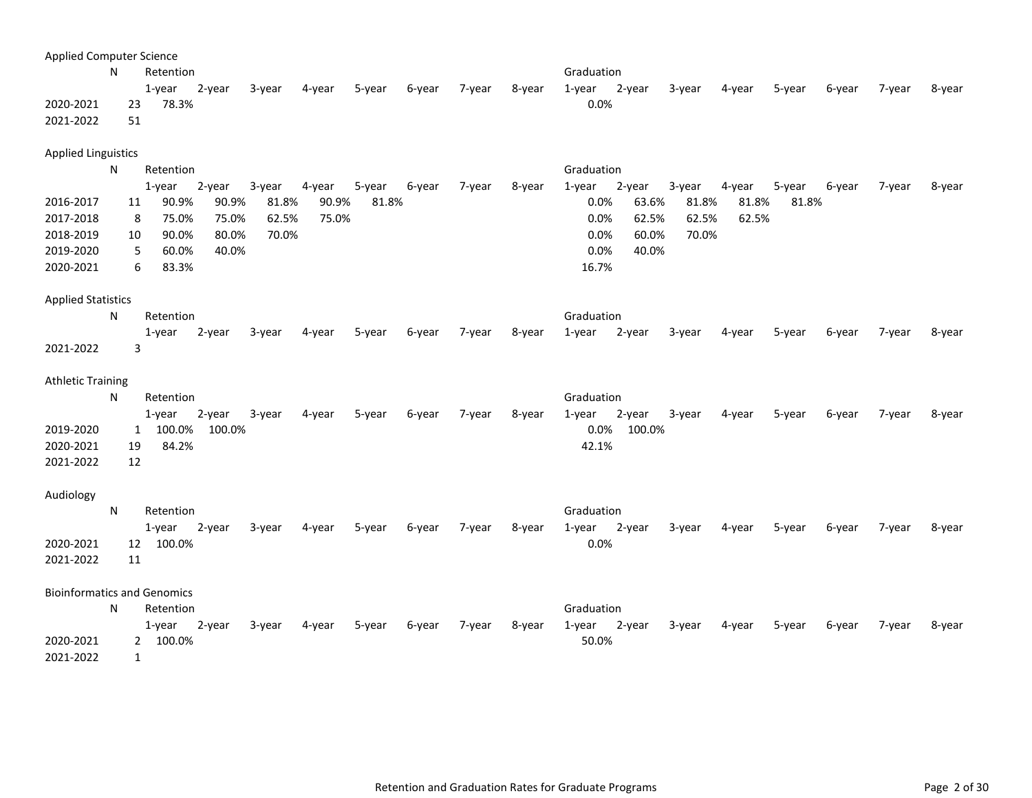| <b>Applied Computer Science</b>    |    |                        |        |        |        |        |        |        |        |                     |        |        |        |        |        |        |
|------------------------------------|----|------------------------|--------|--------|--------|--------|--------|--------|--------|---------------------|--------|--------|--------|--------|--------|--------|
|                                    | N  | Retention              |        |        |        |        |        |        |        | Graduation          |        |        |        |        |        |        |
|                                    |    | $1$ -year              | 2-year | 3-year | 4-year | 5-year | 6-year | 7-year | 8-year | 2-year<br>$1$ -year | 3-year | 4-year | 5-year | 6-year | 7-year | 8-year |
| 2020-2021                          | 23 | 78.3%                  |        |        |        |        |        |        |        | 0.0%                |        |        |        |        |        |        |
| 2021-2022                          | 51 |                        |        |        |        |        |        |        |        |                     |        |        |        |        |        |        |
| <b>Applied Linguistics</b>         |    |                        |        |        |        |        |        |        |        |                     |        |        |        |        |        |        |
|                                    | N  | Retention              |        |        |        |        |        |        |        | Graduation          |        |        |        |        |        |        |
|                                    |    | 1-year                 | 2-year | 3-year | 4-year | 5-year | 6-year | 7-year | 8-year | 2-year<br>$1$ -year | 3-year | 4-year | 5-year | 6-year | 7-year | 8-year |
| 2016-2017                          | 11 | 90.9%                  | 90.9%  | 81.8%  | 90.9%  | 81.8%  |        |        |        | 0.0%<br>63.6%       | 81.8%  | 81.8%  | 81.8%  |        |        |        |
| 2017-2018                          | 8  | 75.0%                  | 75.0%  | 62.5%  | 75.0%  |        |        |        |        | 0.0%<br>62.5%       | 62.5%  | 62.5%  |        |        |        |        |
| 2018-2019                          | 10 | 90.0%                  | 80.0%  | 70.0%  |        |        |        |        |        | 0.0%<br>60.0%       | 70.0%  |        |        |        |        |        |
| 2019-2020                          |    | 60.0%<br>5             | 40.0%  |        |        |        |        |        |        | 0.0%<br>40.0%       |        |        |        |        |        |        |
| 2020-2021                          |    | 83.3%<br>6             |        |        |        |        |        |        |        | 16.7%               |        |        |        |        |        |        |
| <b>Applied Statistics</b>          |    |                        |        |        |        |        |        |        |        |                     |        |        |        |        |        |        |
|                                    | N  | Retention              |        |        |        |        |        |        |        | Graduation          |        |        |        |        |        |        |
|                                    |    |                        |        |        |        |        |        |        |        |                     |        |        |        |        |        |        |
| 2021-2022                          |    | $1$ -year<br>3         | 2-year | 3-year | 4-year | 5-year | 6-year | 7-year | 8-year | $1$ -year<br>2-year | 3-year | 4-year | 5-year | 6-year | 7-year | 8-year |
|                                    |    |                        |        |        |        |        |        |        |        |                     |        |        |        |        |        |        |
| <b>Athletic Training</b>           |    |                        |        |        |        |        |        |        |        |                     |        |        |        |        |        |        |
|                                    | N  | Retention              |        |        |        |        |        |        |        | Graduation          |        |        |        |        |        |        |
|                                    |    | 1-year                 | 2-year | 3-year | 4-year | 5-year | 6-year | 7-year | 8-year | 1-year<br>2-year    | 3-year | 4-year | 5-year | 6-year | 7-year | 8-year |
| 2019-2020                          |    | 100.0%<br>$\mathbf{1}$ | 100.0% |        |        |        |        |        |        | 0.0%<br>100.0%      |        |        |        |        |        |        |
| 2020-2021                          | 19 | 84.2%                  |        |        |        |        |        |        |        | 42.1%               |        |        |        |        |        |        |
| 2021-2022                          | 12 |                        |        |        |        |        |        |        |        |                     |        |        |        |        |        |        |
|                                    |    |                        |        |        |        |        |        |        |        |                     |        |        |        |        |        |        |
| Audiology                          |    |                        |        |        |        |        |        |        |        |                     |        |        |        |        |        |        |
|                                    | N  | Retention              |        |        |        |        |        |        |        | Graduation          |        |        |        |        |        |        |
|                                    |    |                        |        |        |        |        |        |        |        |                     |        |        |        |        |        |        |
|                                    |    | 1-year                 | 2-year | 3-year | 4-year | 5-year | 6-year | 7-year | 8-year | 2-year<br>1-year    | 3-year | 4-year | 5-year | 6-year | 7-year | 8-year |
| 2020-2021                          | 12 | 100.0%                 |        |        |        |        |        |        |        | 0.0%                |        |        |        |        |        |        |
| 2021-2022                          | 11 |                        |        |        |        |        |        |        |        |                     |        |        |        |        |        |        |
| <b>Bioinformatics and Genomics</b> |    |                        |        |        |        |        |        |        |        |                     |        |        |        |        |        |        |
|                                    | N  | Retention              |        |        |        |        |        |        |        | Graduation          |        |        |        |        |        |        |
|                                    |    | $1$ -year              | 2-year | 3-year | 4-year | 5-year | 6-year | 7-year | 8-year | 1-year<br>2-year    | 3-year | 4-year | 5-year | 6-year | 7-year | 8-year |
| 2020-2021                          |    | 100.0%<br>$\mathbf{2}$ |        |        |        |        |        |        |        | 50.0%               |        |        |        |        |        |        |
| 2021-2022                          |    | $\mathbf{1}$           |        |        |        |        |        |        |        |                     |        |        |        |        |        |        |
|                                    |    |                        |        |        |        |        |        |        |        |                     |        |        |        |        |        |        |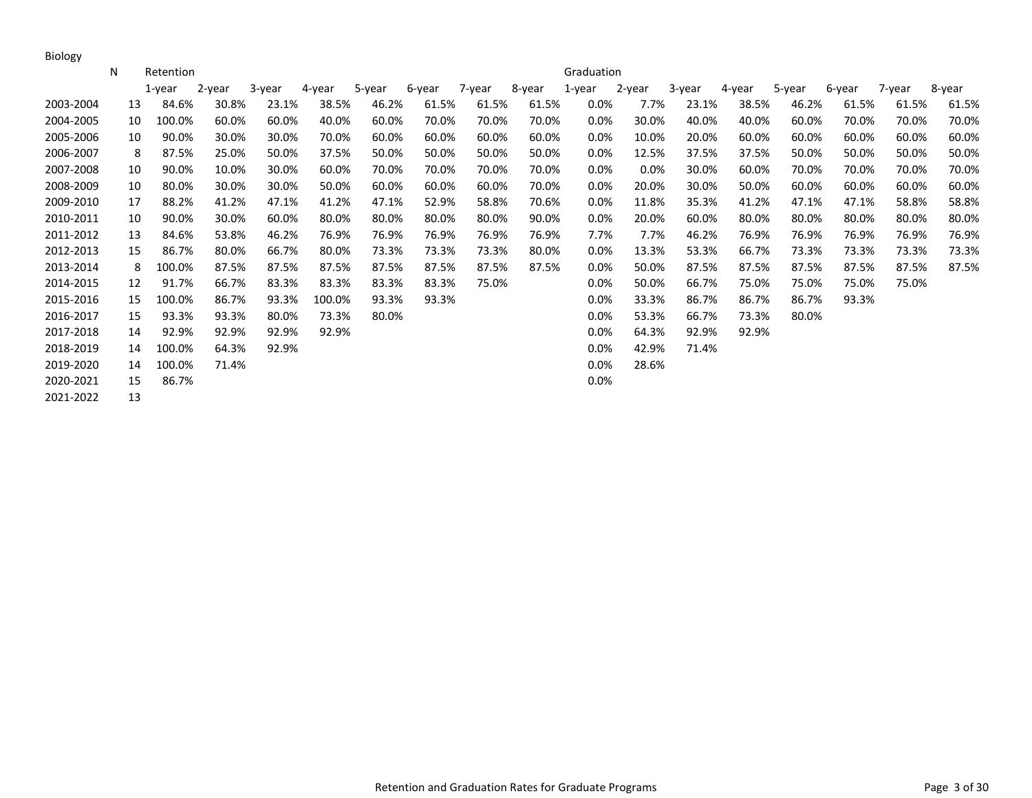Biology

|           | N  | Retention |        |           |        |        |        |        |        | Graduation |        |        |        |        |        |        |        |
|-----------|----|-----------|--------|-----------|--------|--------|--------|--------|--------|------------|--------|--------|--------|--------|--------|--------|--------|
|           |    | $1$ -year | 2-year | $3$ -year | 4-year | 5-year | 6-year | 7-year | 8-year | 1-year     | 2-year | 3-year | 4-year | 5-year | 6-year | 7-year | 8-year |
| 2003-2004 | 13 | 84.6%     | 30.8%  | 23.1%     | 38.5%  | 46.2%  | 61.5%  | 61.5%  | 61.5%  | $0.0\%$    | 7.7%   | 23.1%  | 38.5%  | 46.2%  | 61.5%  | 61.5%  | 61.5%  |
| 2004-2005 | 10 | 100.0%    | 60.0%  | 60.0%     | 40.0%  | 60.0%  | 70.0%  | 70.0%  | 70.0%  | $0.0\%$    | 30.0%  | 40.0%  | 40.0%  | 60.0%  | 70.0%  | 70.0%  | 70.0%  |
| 2005-2006 | 10 | 90.0%     | 30.0%  | 30.0%     | 70.0%  | 60.0%  | 60.0%  | 60.0%  | 60.0%  | $0.0\%$    | 10.0%  | 20.0%  | 60.0%  | 60.0%  | 60.0%  | 60.0%  | 60.0%  |
| 2006-2007 | 8  | 87.5%     | 25.0%  | 50.0%     | 37.5%  | 50.0%  | 50.0%  | 50.0%  | 50.0%  | $0.0\%$    | 12.5%  | 37.5%  | 37.5%  | 50.0%  | 50.0%  | 50.0%  | 50.0%  |
| 2007-2008 | 10 | 90.0%     | 10.0%  | 30.0%     | 60.0%  | 70.0%  | 70.0%  | 70.0%  | 70.0%  | $0.0\%$    | 0.0%   | 30.0%  | 60.0%  | 70.0%  | 70.0%  | 70.0%  | 70.0%  |
| 2008-2009 | 10 | 80.0%     | 30.0%  | 30.0%     | 50.0%  | 60.0%  | 60.0%  | 60.0%  | 70.0%  | $0.0\%$    | 20.0%  | 30.0%  | 50.0%  | 60.0%  | 60.0%  | 60.0%  | 60.0%  |
| 2009-2010 | 17 | 88.2%     | 41.2%  | 47.1%     | 41.2%  | 47.1%  | 52.9%  | 58.8%  | 70.6%  | $0.0\%$    | 11.8%  | 35.3%  | 41.2%  | 47.1%  | 47.1%  | 58.8%  | 58.8%  |
| 2010-2011 | 10 | 90.0%     | 30.0%  | 60.0%     | 80.0%  | 80.0%  | 80.0%  | 80.0%  | 90.0%  | $0.0\%$    | 20.0%  | 60.0%  | 80.0%  | 80.0%  | 80.0%  | 80.0%  | 80.0%  |
| 2011-2012 | 13 | 84.6%     | 53.8%  | 46.2%     | 76.9%  | 76.9%  | 76.9%  | 76.9%  | 76.9%  | 7.7%       | 7.7%   | 46.2%  | 76.9%  | 76.9%  | 76.9%  | 76.9%  | 76.9%  |
| 2012-2013 | 15 | 86.7%     | 80.0%  | 66.7%     | 80.0%  | 73.3%  | 73.3%  | 73.3%  | 80.0%  | $0.0\%$    | 13.3%  | 53.3%  | 66.7%  | 73.3%  | 73.3%  | 73.3%  | 73.3%  |
| 2013-2014 | 8  | 100.0%    | 87.5%  | 87.5%     | 87.5%  | 87.5%  | 87.5%  | 87.5%  | 87.5%  | $0.0\%$    | 50.0%  | 87.5%  | 87.5%  | 87.5%  | 87.5%  | 87.5%  | 87.5%  |
| 2014-2015 | 12 | 91.7%     | 66.7%  | 83.3%     | 83.3%  | 83.3%  | 83.3%  | 75.0%  |        | $0.0\%$    | 50.0%  | 66.7%  | 75.0%  | 75.0%  | 75.0%  | 75.0%  |        |
| 2015-2016 | 15 | 100.0%    | 86.7%  | 93.3%     | 100.0% | 93.3%  | 93.3%  |        |        | $0.0\%$    | 33.3%  | 86.7%  | 86.7%  | 86.7%  | 93.3%  |        |        |
| 2016-2017 | 15 | 93.3%     | 93.3%  | 80.0%     | 73.3%  | 80.0%  |        |        |        | $0.0\%$    | 53.3%  | 66.7%  | 73.3%  | 80.0%  |        |        |        |
| 2017-2018 | 14 | 92.9%     | 92.9%  | 92.9%     | 92.9%  |        |        |        |        | $0.0\%$    | 64.3%  | 92.9%  | 92.9%  |        |        |        |        |
| 2018-2019 | 14 | 100.0%    | 64.3%  | 92.9%     |        |        |        |        |        | $0.0\%$    | 42.9%  | 71.4%  |        |        |        |        |        |
| 2019-2020 | 14 | 100.0%    | 71.4%  |           |        |        |        |        |        | $0.0\%$    | 28.6%  |        |        |        |        |        |        |
| 2020-2021 | 15 | 86.7%     |        |           |        |        |        |        |        | 0.0%       |        |        |        |        |        |        |        |
| 2021-2022 | 13 |           |        |           |        |        |        |        |        |            |        |        |        |        |        |        |        |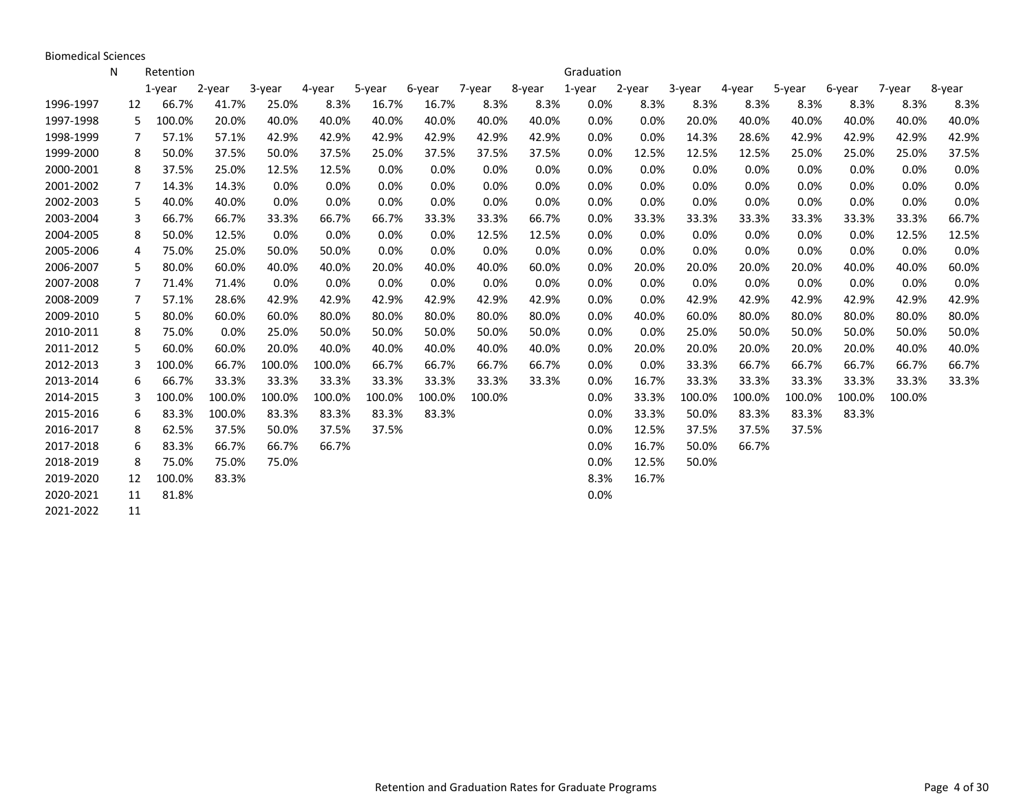Biomedical Sciences

|           | N  | Retention   |        |        |        |        |        |        |        | Graduation |        |        |        |        |        |        |        |
|-----------|----|-------------|--------|--------|--------|--------|--------|--------|--------|------------|--------|--------|--------|--------|--------|--------|--------|
|           |    | $1$ -year   | 2-year | 3-year | 4-year | 5-year | 6-year | 7-year | 8-year | 1-year     | 2-year | 3-year | 4-year | 5-year | 6-year | 7-year | 8-year |
| 1996-1997 | 12 | 66.7%       | 41.7%  | 25.0%  | 8.3%   | 16.7%  | 16.7%  | 8.3%   | 8.3%   | 0.0%       | 8.3%   | 8.3%   | 8.3%   | 8.3%   | 8.3%   | 8.3%   | 8.3%   |
| 1997-1998 |    | 100.0%<br>5 | 20.0%  | 40.0%  | 40.0%  | 40.0%  | 40.0%  | 40.0%  | 40.0%  | 0.0%       | 0.0%   | 20.0%  | 40.0%  | 40.0%  | 40.0%  | 40.0%  | 40.0%  |
| 1998-1999 |    | 57.1%<br>7  | 57.1%  | 42.9%  | 42.9%  | 42.9%  | 42.9%  | 42.9%  | 42.9%  | 0.0%       | 0.0%   | 14.3%  | 28.6%  | 42.9%  | 42.9%  | 42.9%  | 42.9%  |
| 1999-2000 |    | 50.0%<br>8  | 37.5%  | 50.0%  | 37.5%  | 25.0%  | 37.5%  | 37.5%  | 37.5%  | 0.0%       | 12.5%  | 12.5%  | 12.5%  | 25.0%  | 25.0%  | 25.0%  | 37.5%  |
| 2000-2001 |    | 37.5%<br>8  | 25.0%  | 12.5%  | 12.5%  | 0.0%   | 0.0%   | 0.0%   | 0.0%   | 0.0%       | 0.0%   | 0.0%   | 0.0%   | 0.0%   | 0.0%   | 0.0%   | 0.0%   |
| 2001-2002 |    | 7<br>14.3%  | 14.3%  | 0.0%   | 0.0%   | 0.0%   | 0.0%   | 0.0%   | 0.0%   | 0.0%       | 0.0%   | 0.0%   | 0.0%   | 0.0%   | 0.0%   | 0.0%   | 0.0%   |
| 2002-2003 |    | 5<br>40.0%  | 40.0%  | 0.0%   | 0.0%   | 0.0%   | 0.0%   | 0.0%   | 0.0%   | 0.0%       | 0.0%   | 0.0%   | 0.0%   | 0.0%   | 0.0%   | 0.0%   | 0.0%   |
| 2003-2004 |    | 3<br>66.7%  | 66.7%  | 33.3%  | 66.7%  | 66.7%  | 33.3%  | 33.3%  | 66.7%  | 0.0%       | 33.3%  | 33.3%  | 33.3%  | 33.3%  | 33.3%  | 33.3%  | 66.7%  |
| 2004-2005 |    | 50.0%<br>8  | 12.5%  | 0.0%   | 0.0%   | 0.0%   | 0.0%   | 12.5%  | 12.5%  | 0.0%       | 0.0%   | 0.0%   | 0.0%   | 0.0%   | 0.0%   | 12.5%  | 12.5%  |
| 2005-2006 |    | 75.0%<br>4  | 25.0%  | 50.0%  | 50.0%  | 0.0%   | 0.0%   | 0.0%   | 0.0%   | 0.0%       | 0.0%   | 0.0%   | 0.0%   | 0.0%   | 0.0%   | 0.0%   | 0.0%   |
| 2006-2007 |    | 80.0%<br>5  | 60.0%  | 40.0%  | 40.0%  | 20.0%  | 40.0%  | 40.0%  | 60.0%  | 0.0%       | 20.0%  | 20.0%  | 20.0%  | 20.0%  | 40.0%  | 40.0%  | 60.0%  |
| 2007-2008 | 7  | 71.4%       | 71.4%  | 0.0%   | 0.0%   | 0.0%   | 0.0%   | 0.0%   | 0.0%   | 0.0%       | 0.0%   | 0.0%   | 0.0%   | 0.0%   | 0.0%   | 0.0%   | 0.0%   |
| 2008-2009 |    | 7<br>57.1%  | 28.6%  | 42.9%  | 42.9%  | 42.9%  | 42.9%  | 42.9%  | 42.9%  | 0.0%       | 0.0%   | 42.9%  | 42.9%  | 42.9%  | 42.9%  | 42.9%  | 42.9%  |
| 2009-2010 |    | 80.0%<br>5  | 60.0%  | 60.0%  | 80.0%  | 80.0%  | 80.0%  | 80.0%  | 80.0%  | 0.0%       | 40.0%  | 60.0%  | 80.0%  | 80.0%  | 80.0%  | 80.0%  | 80.0%  |
| 2010-2011 |    | 8<br>75.0%  | 0.0%   | 25.0%  | 50.0%  | 50.0%  | 50.0%  | 50.0%  | 50.0%  | 0.0%       | 0.0%   | 25.0%  | 50.0%  | 50.0%  | 50.0%  | 50.0%  | 50.0%  |
| 2011-2012 |    | 5<br>60.0%  | 60.0%  | 20.0%  | 40.0%  | 40.0%  | 40.0%  | 40.0%  | 40.0%  | 0.0%       | 20.0%  | 20.0%  | 20.0%  | 20.0%  | 20.0%  | 40.0%  | 40.0%  |
| 2012-2013 | 3  | 100.0%      | 66.7%  | 100.0% | 100.0% | 66.7%  | 66.7%  | 66.7%  | 66.7%  | 0.0%       | 0.0%   | 33.3%  | 66.7%  | 66.7%  | 66.7%  | 66.7%  | 66.7%  |
| 2013-2014 |    | 66.7%<br>6  | 33.3%  | 33.3%  | 33.3%  | 33.3%  | 33.3%  | 33.3%  | 33.3%  | 0.0%       | 16.7%  | 33.3%  | 33.3%  | 33.3%  | 33.3%  | 33.3%  | 33.3%  |
| 2014-2015 |    | 100.0%<br>3 | 100.0% | 100.0% | 100.0% | 100.0% | 100.0% | 100.0% |        | 0.0%       | 33.3%  | 100.0% | 100.0% | 100.0% | 100.0% | 100.0% |        |
| 2015-2016 |    | 83.3%<br>6  | 100.0% | 83.3%  | 83.3%  | 83.3%  | 83.3%  |        |        | 0.0%       | 33.3%  | 50.0%  | 83.3%  | 83.3%  | 83.3%  |        |        |
| 2016-2017 |    | 8<br>62.5%  | 37.5%  | 50.0%  | 37.5%  | 37.5%  |        |        |        | 0.0%       | 12.5%  | 37.5%  | 37.5%  | 37.5%  |        |        |        |
| 2017-2018 |    | 83.3%<br>6  | 66.7%  | 66.7%  | 66.7%  |        |        |        |        | 0.0%       | 16.7%  | 50.0%  | 66.7%  |        |        |        |        |
| 2018-2019 |    | 75.0%<br>8  | 75.0%  | 75.0%  |        |        |        |        |        | 0.0%       | 12.5%  | 50.0%  |        |        |        |        |        |
| 2019-2020 | 12 | 100.0%      | 83.3%  |        |        |        |        |        |        | 8.3%       | 16.7%  |        |        |        |        |        |        |
| 2020-2021 | 11 | 81.8%       |        |        |        |        |        |        |        | 0.0%       |        |        |        |        |        |        |        |
| 2021-2022 | 11 |             |        |        |        |        |        |        |        |            |        |        |        |        |        |        |        |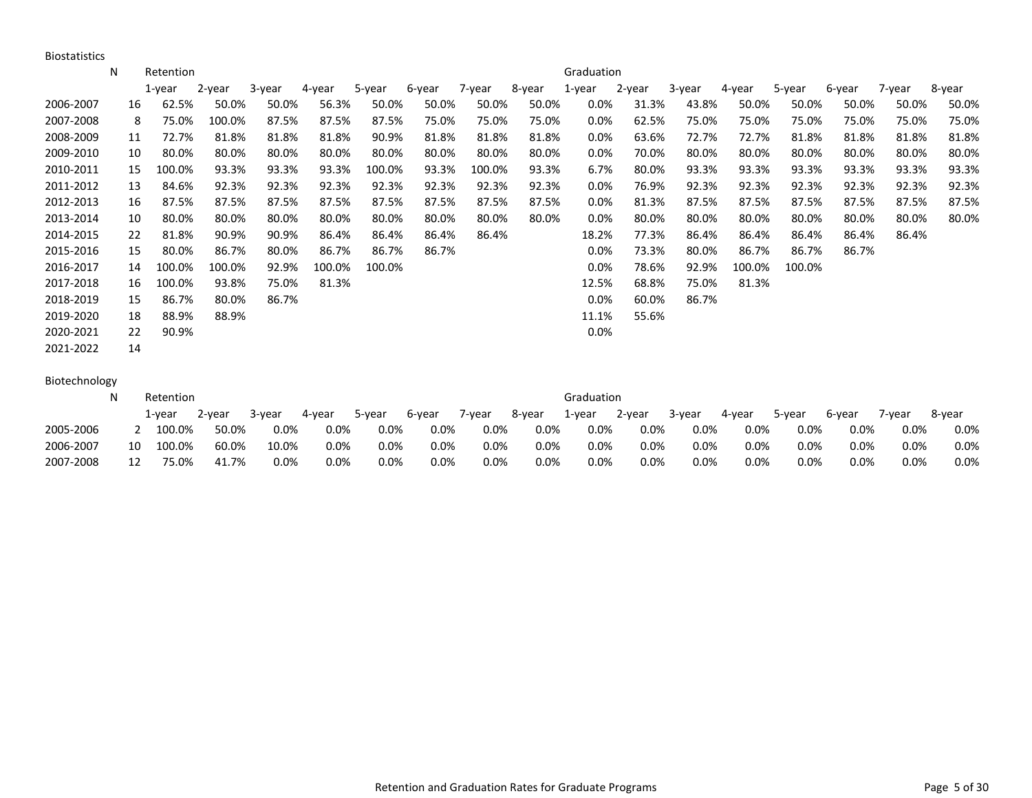Biostatistics

|           | N | Retention    |        |        |        |        |        |        |        | Graduation |        |        |        |        |        |        |        |
|-----------|---|--------------|--------|--------|--------|--------|--------|--------|--------|------------|--------|--------|--------|--------|--------|--------|--------|
|           |   | 1-year       | 2-year | 3-year | 4-year | 5-year | 6-year | 7-year | 8-year | 1-year     | 2-year | 3-year | 4-year | 5-year | 6-year | 7-year | 8-year |
| 2006-2007 |   | 62.5%<br>16  | 50.0%  | 50.0%  | 56.3%  | 50.0%  | 50.0%  | 50.0%  | 50.0%  | 0.0%       | 31.3%  | 43.8%  | 50.0%  | 50.0%  | 50.0%  | 50.0%  | 50.0%  |
| 2007-2008 |   | 75.0%<br>8   | 100.0% | 87.5%  | 87.5%  | 87.5%  | 75.0%  | 75.0%  | 75.0%  | 0.0%       | 62.5%  | 75.0%  | 75.0%  | 75.0%  | 75.0%  | 75.0%  | 75.0%  |
| 2008-2009 |   | 72.7%<br>11  | 81.8%  | 81.8%  | 81.8%  | 90.9%  | 81.8%  | 81.8%  | 81.8%  | 0.0%       | 63.6%  | 72.7%  | 72.7%  | 81.8%  | 81.8%  | 81.8%  | 81.8%  |
| 2009-2010 |   | 80.0%<br>10  | 80.0%  | 80.0%  | 80.0%  | 80.0%  | 80.0%  | 80.0%  | 80.0%  | $0.0\%$    | 70.0%  | 80.0%  | 80.0%  | 80.0%  | 80.0%  | 80.0%  | 80.0%  |
| 2010-2011 |   | 100.0%<br>15 | 93.3%  | 93.3%  | 93.3%  | 100.0% | 93.3%  | 100.0% | 93.3%  | 6.7%       | 80.0%  | 93.3%  | 93.3%  | 93.3%  | 93.3%  | 93.3%  | 93.3%  |
| 2011-2012 |   | 84.6%<br>13  | 92.3%  | 92.3%  | 92.3%  | 92.3%  | 92.3%  | 92.3%  | 92.3%  | 0.0%       | 76.9%  | 92.3%  | 92.3%  | 92.3%  | 92.3%  | 92.3%  | 92.3%  |
| 2012-2013 |   | 87.5%<br>16  | 87.5%  | 87.5%  | 87.5%  | 87.5%  | 87.5%  | 87.5%  | 87.5%  | 0.0%       | 81.3%  | 87.5%  | 87.5%  | 87.5%  | 87.5%  | 87.5%  | 87.5%  |
| 2013-2014 |   | 80.0%<br>10  | 80.0%  | 80.0%  | 80.0%  | 80.0%  | 80.0%  | 80.0%  | 80.0%  | 0.0%       | 80.0%  | 80.0%  | 80.0%  | 80.0%  | 80.0%  | 80.0%  | 80.0%  |
| 2014-2015 |   | 81.8%<br>22  | 90.9%  | 90.9%  | 86.4%  | 86.4%  | 86.4%  | 86.4%  |        | 18.2%      | 77.3%  | 86.4%  | 86.4%  | 86.4%  | 86.4%  | 86.4%  |        |
| 2015-2016 |   | 80.0%<br>15  | 86.7%  | 80.0%  | 86.7%  | 86.7%  | 86.7%  |        |        | 0.0%       | 73.3%  | 80.0%  | 86.7%  | 86.7%  | 86.7%  |        |        |
| 2016-2017 |   | 100.0%<br>14 | 100.0% | 92.9%  | 100.0% | 100.0% |        |        |        | 0.0%       | 78.6%  | 92.9%  | 100.0% | 100.0% |        |        |        |
| 2017-2018 |   | 100.0%<br>16 | 93.8%  | 75.0%  | 81.3%  |        |        |        |        | 12.5%      | 68.8%  | 75.0%  | 81.3%  |        |        |        |        |
| 2018-2019 |   | 86.7%<br>15  | 80.0%  | 86.7%  |        |        |        |        |        | $0.0\%$    | 60.0%  | 86.7%  |        |        |        |        |        |
| 2019-2020 |   | 18<br>88.9%  | 88.9%  |        |        |        |        |        |        | 11.1%      | 55.6%  |        |        |        |        |        |        |
| 2020-2021 |   | 90.9%<br>22  |        |        |        |        |        |        |        | $0.0\%$    |        |        |        |        |        |        |        |
| 2021-2022 |   | 14           |        |        |        |        |        |        |        |            |        |        |        |        |        |        |        |

## Biotechnology

|           |    | Retention |        |         |        |         |        |        |        | Graduation |        |        |         |        |        |         |         |
|-----------|----|-----------|--------|---------|--------|---------|--------|--------|--------|------------|--------|--------|---------|--------|--------|---------|---------|
|           |    | 1-vear    | 2-year | 3-year  | 4-year | 5-year  | 6-year | 7-year | 8-year | 1-year     | 2-year | 3-year | 4-year  | 5-year | 6-year | 7-year  | 8-year  |
| 2005-2006 |    | 100.0%    | 50.0%  | $0.0\%$ | 0.0%   | $0.0\%$ | 0.0%   | 0.0%   | 0.0%   | $0.0\%$    | 0.0%   | 0.0%   | $0.0\%$ | 0.0%   | 0.0%   | $0.0\%$ | $0.0\%$ |
| 2006-2007 | 10 | 100.0%    | 60.0%  | 10.0%   | 0.0%   | 0.0%    | 0.0%   | 0.0%   | 0.0%   | $0.0\%$    | 0.0%   | 0.0%   | $0.0\%$ | 0.0%   | 0.0%   | $0.0\%$ | $0.0\%$ |
| 2007-2008 |    | 75.0%     | 41.7%  | 0.0%    | 0.0%   | 0.0%    | 0.0%   | 0.0%   | 0.0%   | 0.0%       | 0.0%   | 0.0%   | 0.0%    | 0.0%   | 0.0%   | $0.0\%$ | 0.0%    |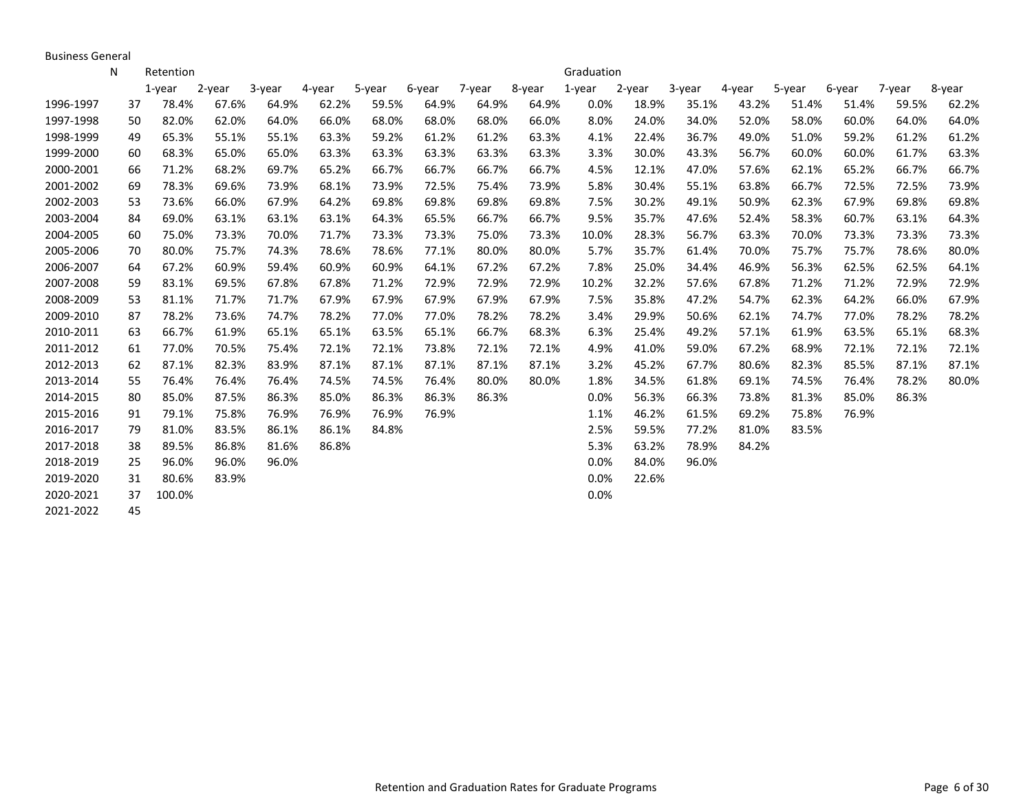Business General

|           | N  | Retention |        |        |        |        |        |        |        | Graduation |        |        |        |        |        |        |        |
|-----------|----|-----------|--------|--------|--------|--------|--------|--------|--------|------------|--------|--------|--------|--------|--------|--------|--------|
|           |    | $1$ -year | 2-year | 3-year | 4-year | 5-year | 6-year | 7-year | 8-year | 1-year     | 2-year | 3-year | 4-year | 5-year | 6-year | 7-year | 8-year |
| 1996-1997 | 37 | 78.4%     | 67.6%  | 64.9%  | 62.2%  | 59.5%  | 64.9%  | 64.9%  | 64.9%  | 0.0%       | 18.9%  | 35.1%  | 43.2%  | 51.4%  | 51.4%  | 59.5%  | 62.2%  |
| 1997-1998 | 50 | 82.0%     | 62.0%  | 64.0%  | 66.0%  | 68.0%  | 68.0%  | 68.0%  | 66.0%  | 8.0%       | 24.0%  | 34.0%  | 52.0%  | 58.0%  | 60.0%  | 64.0%  | 64.0%  |
| 1998-1999 | 49 | 65.3%     | 55.1%  | 55.1%  | 63.3%  | 59.2%  | 61.2%  | 61.2%  | 63.3%  | 4.1%       | 22.4%  | 36.7%  | 49.0%  | 51.0%  | 59.2%  | 61.2%  | 61.2%  |
| 1999-2000 | 60 | 68.3%     | 65.0%  | 65.0%  | 63.3%  | 63.3%  | 63.3%  | 63.3%  | 63.3%  | 3.3%       | 30.0%  | 43.3%  | 56.7%  | 60.0%  | 60.0%  | 61.7%  | 63.3%  |
| 2000-2001 | 66 | 71.2%     | 68.2%  | 69.7%  | 65.2%  | 66.7%  | 66.7%  | 66.7%  | 66.7%  | 4.5%       | 12.1%  | 47.0%  | 57.6%  | 62.1%  | 65.2%  | 66.7%  | 66.7%  |
| 2001-2002 | 69 | 78.3%     | 69.6%  | 73.9%  | 68.1%  | 73.9%  | 72.5%  | 75.4%  | 73.9%  | 5.8%       | 30.4%  | 55.1%  | 63.8%  | 66.7%  | 72.5%  | 72.5%  | 73.9%  |
| 2002-2003 | 53 | 73.6%     | 66.0%  | 67.9%  | 64.2%  | 69.8%  | 69.8%  | 69.8%  | 69.8%  | 7.5%       | 30.2%  | 49.1%  | 50.9%  | 62.3%  | 67.9%  | 69.8%  | 69.8%  |
| 2003-2004 | 84 | 69.0%     | 63.1%  | 63.1%  | 63.1%  | 64.3%  | 65.5%  | 66.7%  | 66.7%  | 9.5%       | 35.7%  | 47.6%  | 52.4%  | 58.3%  | 60.7%  | 63.1%  | 64.3%  |
| 2004-2005 | 60 | 75.0%     | 73.3%  | 70.0%  | 71.7%  | 73.3%  | 73.3%  | 75.0%  | 73.3%  | 10.0%      | 28.3%  | 56.7%  | 63.3%  | 70.0%  | 73.3%  | 73.3%  | 73.3%  |
| 2005-2006 | 70 | 80.0%     | 75.7%  | 74.3%  | 78.6%  | 78.6%  | 77.1%  | 80.0%  | 80.0%  | 5.7%       | 35.7%  | 61.4%  | 70.0%  | 75.7%  | 75.7%  | 78.6%  | 80.0%  |
| 2006-2007 | 64 | 67.2%     | 60.9%  | 59.4%  | 60.9%  | 60.9%  | 64.1%  | 67.2%  | 67.2%  | 7.8%       | 25.0%  | 34.4%  | 46.9%  | 56.3%  | 62.5%  | 62.5%  | 64.1%  |
| 2007-2008 | 59 | 83.1%     | 69.5%  | 67.8%  | 67.8%  | 71.2%  | 72.9%  | 72.9%  | 72.9%  | 10.2%      | 32.2%  | 57.6%  | 67.8%  | 71.2%  | 71.2%  | 72.9%  | 72.9%  |
| 2008-2009 | 53 | 81.1%     | 71.7%  | 71.7%  | 67.9%  | 67.9%  | 67.9%  | 67.9%  | 67.9%  | 7.5%       | 35.8%  | 47.2%  | 54.7%  | 62.3%  | 64.2%  | 66.0%  | 67.9%  |
| 2009-2010 | 87 | 78.2%     | 73.6%  | 74.7%  | 78.2%  | 77.0%  | 77.0%  | 78.2%  | 78.2%  | 3.4%       | 29.9%  | 50.6%  | 62.1%  | 74.7%  | 77.0%  | 78.2%  | 78.2%  |
| 2010-2011 | 63 | 66.7%     | 61.9%  | 65.1%  | 65.1%  | 63.5%  | 65.1%  | 66.7%  | 68.3%  | 6.3%       | 25.4%  | 49.2%  | 57.1%  | 61.9%  | 63.5%  | 65.1%  | 68.3%  |
| 2011-2012 | 61 | 77.0%     | 70.5%  | 75.4%  | 72.1%  | 72.1%  | 73.8%  | 72.1%  | 72.1%  | 4.9%       | 41.0%  | 59.0%  | 67.2%  | 68.9%  | 72.1%  | 72.1%  | 72.1%  |
| 2012-2013 | 62 | 87.1%     | 82.3%  | 83.9%  | 87.1%  | 87.1%  | 87.1%  | 87.1%  | 87.1%  | 3.2%       | 45.2%  | 67.7%  | 80.6%  | 82.3%  | 85.5%  | 87.1%  | 87.1%  |
| 2013-2014 | 55 | 76.4%     | 76.4%  | 76.4%  | 74.5%  | 74.5%  | 76.4%  | 80.0%  | 80.0%  | 1.8%       | 34.5%  | 61.8%  | 69.1%  | 74.5%  | 76.4%  | 78.2%  | 80.0%  |
| 2014-2015 | 80 | 85.0%     | 87.5%  | 86.3%  | 85.0%  | 86.3%  | 86.3%  | 86.3%  |        | 0.0%       | 56.3%  | 66.3%  | 73.8%  | 81.3%  | 85.0%  | 86.3%  |        |
| 2015-2016 | 91 | 79.1%     | 75.8%  | 76.9%  | 76.9%  | 76.9%  | 76.9%  |        |        | 1.1%       | 46.2%  | 61.5%  | 69.2%  | 75.8%  | 76.9%  |        |        |
| 2016-2017 | 79 | 81.0%     | 83.5%  | 86.1%  | 86.1%  | 84.8%  |        |        |        | 2.5%       | 59.5%  | 77.2%  | 81.0%  | 83.5%  |        |        |        |
| 2017-2018 | 38 | 89.5%     | 86.8%  | 81.6%  | 86.8%  |        |        |        |        | 5.3%       | 63.2%  | 78.9%  | 84.2%  |        |        |        |        |
| 2018-2019 | 25 | 96.0%     | 96.0%  | 96.0%  |        |        |        |        |        | $0.0\%$    | 84.0%  | 96.0%  |        |        |        |        |        |
| 2019-2020 | 31 | 80.6%     | 83.9%  |        |        |        |        |        |        | 0.0%       | 22.6%  |        |        |        |        |        |        |
| 2020-2021 | 37 | 100.0%    |        |        |        |        |        |        |        | 0.0%       |        |        |        |        |        |        |        |
| 2021-2022 | 45 |           |        |        |        |        |        |        |        |            |        |        |        |        |        |        |        |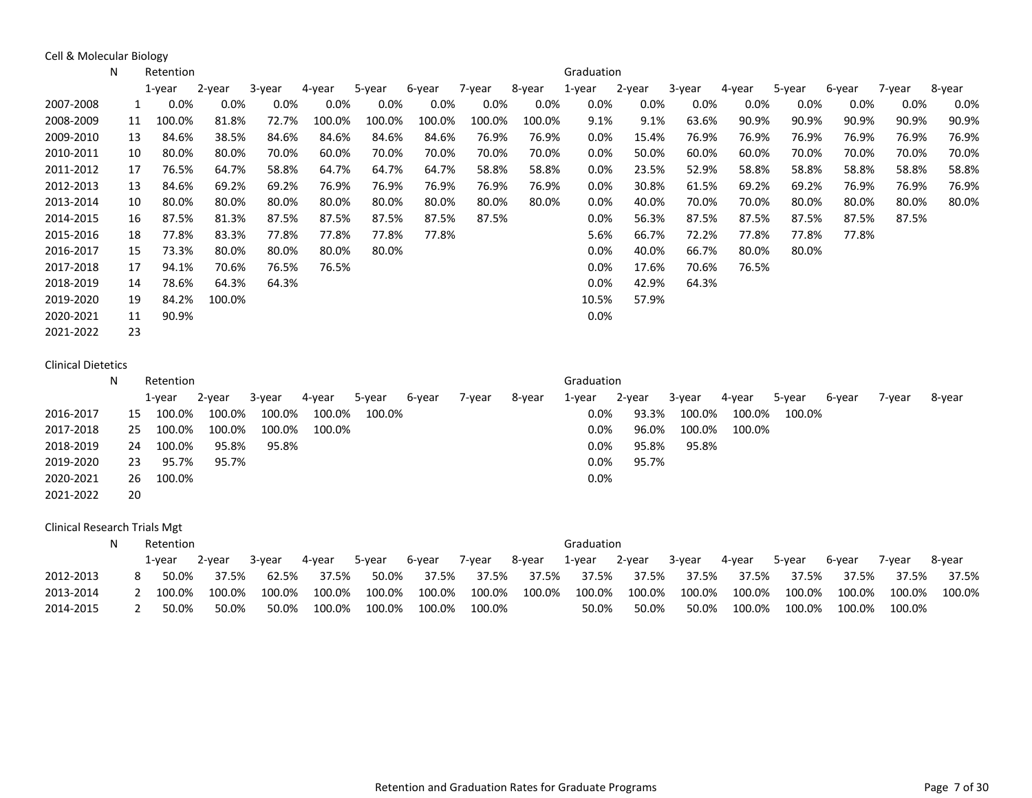Cell & Molecular Biology

|           | N | Retention    |         |         |         |         |        |         |        | Graduation |         |         |         |         |         |         |        |
|-----------|---|--------------|---------|---------|---------|---------|--------|---------|--------|------------|---------|---------|---------|---------|---------|---------|--------|
|           |   | 1-year       | 2-year  | 3-year  | 4-year  | 5-year  | 6-year | 7-year  | 8-year | 1-year     | 2-year  | 3-year  | 4-year  | 5-year  | 6-year  | 7-year  | 8-year |
| 2007-2008 |   | $0.0\%$      | $0.0\%$ | $0.0\%$ | $0.0\%$ | $0.0\%$ | 0.0%   | $0.0\%$ | 0.0%   | $0.0\%$    | $0.0\%$ | $0.0\%$ | $0.0\%$ | $0.0\%$ | $0.0\%$ | $0.0\%$ | 0.0%   |
| 2008-2009 |   | 100.0%<br>11 | 81.8%   | 72.7%   | 100.0%  | 100.0%  | 100.0% | 100.0%  | 100.0% | 9.1%       | 9.1%    | 63.6%   | 90.9%   | 90.9%   | 90.9%   | 90.9%   | 90.9%  |
| 2009-2010 |   | 84.6%<br>13  | 38.5%   | 84.6%   | 84.6%   | 84.6%   | 84.6%  | 76.9%   | 76.9%  | 0.0%       | 15.4%   | 76.9%   | 76.9%   | 76.9%   | 76.9%   | 76.9%   | 76.9%  |
| 2010-2011 |   | 80.0%<br>10  | 80.0%   | 70.0%   | 60.0%   | 70.0%   | 70.0%  | 70.0%   | 70.0%  | $0.0\%$    | 50.0%   | 60.0%   | 60.0%   | 70.0%   | 70.0%   | 70.0%   | 70.0%  |
| 2011-2012 |   | 76.5%<br>17  | 64.7%   | 58.8%   | 64.7%   | 64.7%   | 64.7%  | 58.8%   | 58.8%  | 0.0%       | 23.5%   | 52.9%   | 58.8%   | 58.8%   | 58.8%   | 58.8%   | 58.8%  |
| 2012-2013 |   | 84.6%<br>13  | 69.2%   | 69.2%   | 76.9%   | 76.9%   | 76.9%  | 76.9%   | 76.9%  | $0.0\%$    | 30.8%   | 61.5%   | 69.2%   | 69.2%   | 76.9%   | 76.9%   | 76.9%  |
| 2013-2014 |   | 80.0%<br>10  | 80.0%   | 80.0%   | 80.0%   | 80.0%   | 80.0%  | 80.0%   | 80.0%  | $0.0\%$    | 40.0%   | 70.0%   | 70.0%   | 80.0%   | 80.0%   | 80.0%   | 80.0%  |
| 2014-2015 |   | 87.5%<br>16  | 81.3%   | 87.5%   | 87.5%   | 87.5%   | 87.5%  | 87.5%   |        | 0.0%       | 56.3%   | 87.5%   | 87.5%   | 87.5%   | 87.5%   | 87.5%   |        |
| 2015-2016 |   | 77.8%<br>18  | 83.3%   | 77.8%   | 77.8%   | 77.8%   | 77.8%  |         |        | 5.6%       | 66.7%   | 72.2%   | 77.8%   | 77.8%   | 77.8%   |         |        |
| 2016-2017 |   | 73.3%<br>15  | 80.0%   | 80.0%   | 80.0%   | 80.0%   |        |         |        | 0.0%       | 40.0%   | 66.7%   | 80.0%   | 80.0%   |         |         |        |
| 2017-2018 |   | 17<br>94.1%  | 70.6%   | 76.5%   | 76.5%   |         |        |         |        | $0.0\%$    | 17.6%   | 70.6%   | 76.5%   |         |         |         |        |
| 2018-2019 |   | 78.6%<br>14  | 64.3%   | 64.3%   |         |         |        |         |        | $0.0\%$    | 42.9%   | 64.3%   |         |         |         |         |        |
| 2019-2020 |   | 84.2%<br>19  | 100.0%  |         |         |         |        |         |        | 10.5%      | 57.9%   |         |         |         |         |         |        |
| 2020-2021 |   | 90.9%<br>11  |         |         |         |         |        |         |        | 0.0%       |         |         |         |         |         |         |        |
| 2021-2022 |   | 23           |         |         |         |         |        |         |        |            |         |         |         |         |         |         |        |

## Clinical Dietetics

|           | N |    | Retention |        |        |        |        |        |        |        | Graduation |        |        |        |        |        |        |        |
|-----------|---|----|-----------|--------|--------|--------|--------|--------|--------|--------|------------|--------|--------|--------|--------|--------|--------|--------|
|           |   |    | 1-year    | 2-year | 3-year | 4-year | 5-year | 6-year | 7-year | 8-year | 1-year     | 2-year | 3-year | 4-year | 5-year | 6-year | 7-year | 8-year |
| 2016-2017 |   | 15 | 100.0%    | 100.0% | 100.0% | 100.0% | 100.0% |        |        |        | $0.0\%$    | 93.3%  | 100.0% | 100.0% | 100.0% |        |        |        |
| 2017-2018 |   | 25 | 100.0%    | 100.0% | 100.0% | 100.0% |        |        |        |        | 0.0%       | 96.0%  | 100.0% | 100.0% |        |        |        |        |
| 2018-2019 |   | 24 | 100.0%    | 95.8%  | 95.8%  |        |        |        |        |        | $0.0\%$    | 95.8%  | 95.8%  |        |        |        |        |        |
| 2019-2020 |   | 23 | 95.7%     | 95.7%  |        |        |        |        |        |        | $0.0\%$    | 95.7%  |        |        |        |        |        |        |
| 2020-2021 |   | 26 | 100.0%    |        |        |        |        |        |        |        | 0.0%       |        |        |        |        |        |        |        |
| 2021-2022 |   | 20 |           |        |        |        |        |        |        |        |            |        |        |        |        |        |        |        |

Clinical Research Trials Mgt

|           | Retention |        |        |        |        |        |        |        | Graduation |        |        |        |        |        |        |        |
|-----------|-----------|--------|--------|--------|--------|--------|--------|--------|------------|--------|--------|--------|--------|--------|--------|--------|
|           | 1-vear    | 2-year | 3-year | 4-vear | 5-year | 6-vear | 7-year | 8-year | 1-year     | 2-year | 3-vear | 4-year | 5-year | 6-vear | 7-year | 8-vear |
| 2012-2013 | 50.0%     | 37.5%  | 62.5%  | 37.5%  | 50.0%  | 37.5%  | 37.5%  | 37.5%  | 37.5%      | 37.5%  | 37.5%  | 37.5%  | 37.5%  | 37.5%  | 37.5%  | 37.5%  |
| 2013-2014 | 100.0%    | 100.0% | 100.0% | 100.0% | 100.0% | 100.0% | 100.0% | 100.0% | 100.0%     | 100.0% | 100.0% | 100.0% | 100.0% | 100.0% | 100.0% | 100.0% |
| 2014-2015 | 50.0%     | 50.0%  | 50.0%  | 100.0% | 100.0% | 100.0% | 100.0% |        | 50.0%      | 50.0%  | 50.0%  | 100.0% | 100.0% | 100.0% | 100.0% |        |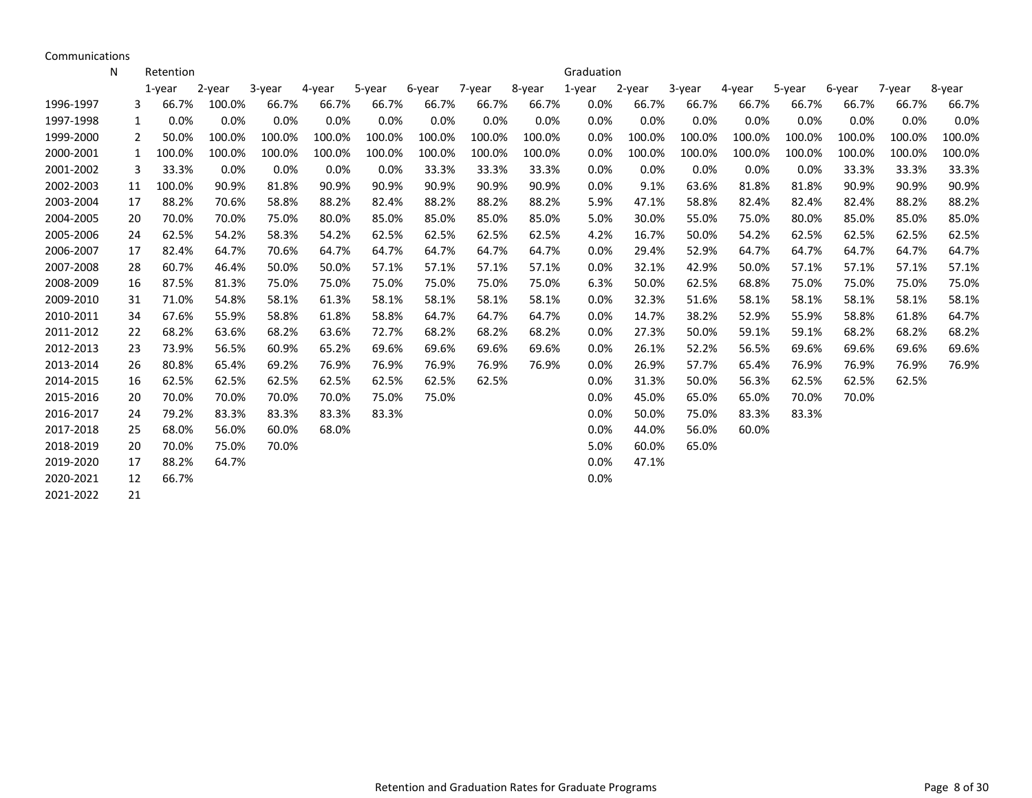Communications

|           | N  | Retention |        |        |        |        |        |        |        | Graduation |        |        |        |        |        |        |        |
|-----------|----|-----------|--------|--------|--------|--------|--------|--------|--------|------------|--------|--------|--------|--------|--------|--------|--------|
|           |    | $1$ -year | 2-year | 3-year | 4-year | 5-year | 6-year | 7-year | 8-year | 1-year     | 2-year | 3-year | 4-year | 5-year | 6-year | 7-year | 8-year |
| 1996-1997 | 3  | 66.7%     | 100.0% | 66.7%  | 66.7%  | 66.7%  | 66.7%  | 66.7%  | 66.7%  | 0.0%       | 66.7%  | 66.7%  | 66.7%  | 66.7%  | 66.7%  | 66.7%  | 66.7%  |
| 1997-1998 | 1  | 0.0%      | 0.0%   | 0.0%   | 0.0%   | 0.0%   | 0.0%   | 0.0%   | 0.0%   | 0.0%       | 0.0%   | 0.0%   | 0.0%   | 0.0%   | 0.0%   | 0.0%   | 0.0%   |
| 1999-2000 | 2  | 50.0%     | 100.0% | 100.0% | 100.0% | 100.0% | 100.0% | 100.0% | 100.0% | 0.0%       | 100.0% | 100.0% | 100.0% | 100.0% | 100.0% | 100.0% | 100.0% |
| 2000-2001 | 1  | 100.0%    | 100.0% | 100.0% | 100.0% | 100.0% | 100.0% | 100.0% | 100.0% | 0.0%       | 100.0% | 100.0% | 100.0% | 100.0% | 100.0% | 100.0% | 100.0% |
| 2001-2002 | 3  | 33.3%     | 0.0%   | 0.0%   | 0.0%   | 0.0%   | 33.3%  | 33.3%  | 33.3%  | 0.0%       | 0.0%   | 0.0%   | 0.0%   | 0.0%   | 33.3%  | 33.3%  | 33.3%  |
| 2002-2003 | 11 | 100.0%    | 90.9%  | 81.8%  | 90.9%  | 90.9%  | 90.9%  | 90.9%  | 90.9%  | 0.0%       | 9.1%   | 63.6%  | 81.8%  | 81.8%  | 90.9%  | 90.9%  | 90.9%  |
| 2003-2004 | 17 | 88.2%     | 70.6%  | 58.8%  | 88.2%  | 82.4%  | 88.2%  | 88.2%  | 88.2%  | 5.9%       | 47.1%  | 58.8%  | 82.4%  | 82.4%  | 82.4%  | 88.2%  | 88.2%  |
| 2004-2005 | 20 | 70.0%     | 70.0%  | 75.0%  | 80.0%  | 85.0%  | 85.0%  | 85.0%  | 85.0%  | 5.0%       | 30.0%  | 55.0%  | 75.0%  | 80.0%  | 85.0%  | 85.0%  | 85.0%  |
| 2005-2006 | 24 | 62.5%     | 54.2%  | 58.3%  | 54.2%  | 62.5%  | 62.5%  | 62.5%  | 62.5%  | 4.2%       | 16.7%  | 50.0%  | 54.2%  | 62.5%  | 62.5%  | 62.5%  | 62.5%  |
| 2006-2007 | 17 | 82.4%     | 64.7%  | 70.6%  | 64.7%  | 64.7%  | 64.7%  | 64.7%  | 64.7%  | 0.0%       | 29.4%  | 52.9%  | 64.7%  | 64.7%  | 64.7%  | 64.7%  | 64.7%  |
| 2007-2008 | 28 | 60.7%     | 46.4%  | 50.0%  | 50.0%  | 57.1%  | 57.1%  | 57.1%  | 57.1%  | 0.0%       | 32.1%  | 42.9%  | 50.0%  | 57.1%  | 57.1%  | 57.1%  | 57.1%  |
| 2008-2009 | 16 | 87.5%     | 81.3%  | 75.0%  | 75.0%  | 75.0%  | 75.0%  | 75.0%  | 75.0%  | 6.3%       | 50.0%  | 62.5%  | 68.8%  | 75.0%  | 75.0%  | 75.0%  | 75.0%  |
| 2009-2010 | 31 | 71.0%     | 54.8%  | 58.1%  | 61.3%  | 58.1%  | 58.1%  | 58.1%  | 58.1%  | 0.0%       | 32.3%  | 51.6%  | 58.1%  | 58.1%  | 58.1%  | 58.1%  | 58.1%  |
| 2010-2011 | 34 | 67.6%     | 55.9%  | 58.8%  | 61.8%  | 58.8%  | 64.7%  | 64.7%  | 64.7%  | 0.0%       | 14.7%  | 38.2%  | 52.9%  | 55.9%  | 58.8%  | 61.8%  | 64.7%  |
| 2011-2012 | 22 | 68.2%     | 63.6%  | 68.2%  | 63.6%  | 72.7%  | 68.2%  | 68.2%  | 68.2%  | 0.0%       | 27.3%  | 50.0%  | 59.1%  | 59.1%  | 68.2%  | 68.2%  | 68.2%  |
| 2012-2013 | 23 | 73.9%     | 56.5%  | 60.9%  | 65.2%  | 69.6%  | 69.6%  | 69.6%  | 69.6%  | 0.0%       | 26.1%  | 52.2%  | 56.5%  | 69.6%  | 69.6%  | 69.6%  | 69.6%  |
| 2013-2014 | 26 | 80.8%     | 65.4%  | 69.2%  | 76.9%  | 76.9%  | 76.9%  | 76.9%  | 76.9%  | 0.0%       | 26.9%  | 57.7%  | 65.4%  | 76.9%  | 76.9%  | 76.9%  | 76.9%  |
| 2014-2015 | 16 | 62.5%     | 62.5%  | 62.5%  | 62.5%  | 62.5%  | 62.5%  | 62.5%  |        | 0.0%       | 31.3%  | 50.0%  | 56.3%  | 62.5%  | 62.5%  | 62.5%  |        |
| 2015-2016 | 20 | 70.0%     | 70.0%  | 70.0%  | 70.0%  | 75.0%  | 75.0%  |        |        | 0.0%       | 45.0%  | 65.0%  | 65.0%  | 70.0%  | 70.0%  |        |        |
| 2016-2017 | 24 | 79.2%     | 83.3%  | 83.3%  | 83.3%  | 83.3%  |        |        |        | 0.0%       | 50.0%  | 75.0%  | 83.3%  | 83.3%  |        |        |        |
| 2017-2018 | 25 | 68.0%     | 56.0%  | 60.0%  | 68.0%  |        |        |        |        | 0.0%       | 44.0%  | 56.0%  | 60.0%  |        |        |        |        |
| 2018-2019 | 20 | 70.0%     | 75.0%  | 70.0%  |        |        |        |        |        | 5.0%       | 60.0%  | 65.0%  |        |        |        |        |        |
| 2019-2020 | 17 | 88.2%     | 64.7%  |        |        |        |        |        |        | 0.0%       | 47.1%  |        |        |        |        |        |        |
| 2020-2021 | 12 | 66.7%     |        |        |        |        |        |        |        | 0.0%       |        |        |        |        |        |        |        |
| 2021-2022 | 21 |           |        |        |        |        |        |        |        |            |        |        |        |        |        |        |        |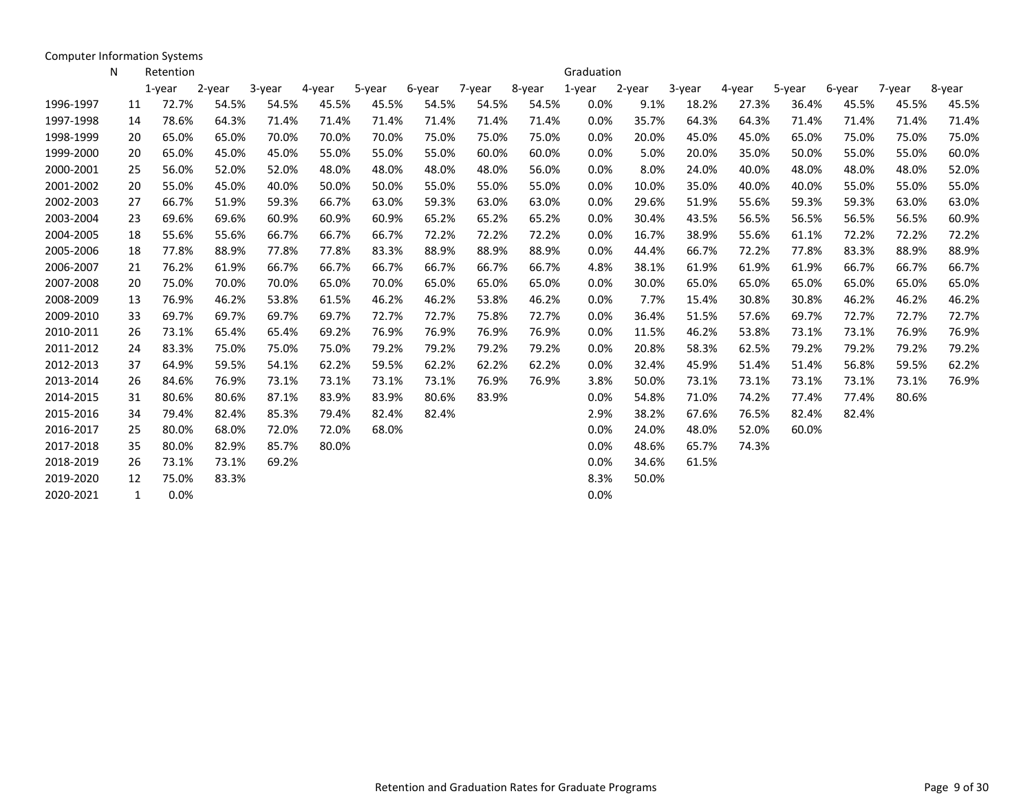Computer Information Systems

|           | N | Retention   |        |        |        |        |        |        |        | Graduation |        |        |        |        |        |        |        |
|-----------|---|-------------|--------|--------|--------|--------|--------|--------|--------|------------|--------|--------|--------|--------|--------|--------|--------|
|           |   | $1$ -year   | 2-year | 3-year | 4-year | 5-year | 6-year | 7-year | 8-year | 1-year     | 2-year | 3-year | 4-year | 5-year | 6-year | 7-year | 8-year |
| 1996-1997 |   | 72.7%<br>11 | 54.5%  | 54.5%  | 45.5%  | 45.5%  | 54.5%  | 54.5%  | 54.5%  | 0.0%       | 9.1%   | 18.2%  | 27.3%  | 36.4%  | 45.5%  | 45.5%  | 45.5%  |
| 1997-1998 |   | 78.6%<br>14 | 64.3%  | 71.4%  | 71.4%  | 71.4%  | 71.4%  | 71.4%  | 71.4%  | 0.0%       | 35.7%  | 64.3%  | 64.3%  | 71.4%  | 71.4%  | 71.4%  | 71.4%  |
| 1998-1999 |   | 65.0%<br>20 | 65.0%  | 70.0%  | 70.0%  | 70.0%  | 75.0%  | 75.0%  | 75.0%  | 0.0%       | 20.0%  | 45.0%  | 45.0%  | 65.0%  | 75.0%  | 75.0%  | 75.0%  |
| 1999-2000 |   | 65.0%<br>20 | 45.0%  | 45.0%  | 55.0%  | 55.0%  | 55.0%  | 60.0%  | 60.0%  | 0.0%       | 5.0%   | 20.0%  | 35.0%  | 50.0%  | 55.0%  | 55.0%  | 60.0%  |
| 2000-2001 |   | 56.0%<br>25 | 52.0%  | 52.0%  | 48.0%  | 48.0%  | 48.0%  | 48.0%  | 56.0%  | 0.0%       | 8.0%   | 24.0%  | 40.0%  | 48.0%  | 48.0%  | 48.0%  | 52.0%  |
| 2001-2002 |   | 55.0%<br>20 | 45.0%  | 40.0%  | 50.0%  | 50.0%  | 55.0%  | 55.0%  | 55.0%  | 0.0%       | 10.0%  | 35.0%  | 40.0%  | 40.0%  | 55.0%  | 55.0%  | 55.0%  |
| 2002-2003 |   | 66.7%<br>27 | 51.9%  | 59.3%  | 66.7%  | 63.0%  | 59.3%  | 63.0%  | 63.0%  | 0.0%       | 29.6%  | 51.9%  | 55.6%  | 59.3%  | 59.3%  | 63.0%  | 63.0%  |
| 2003-2004 |   | 69.6%<br>23 | 69.6%  | 60.9%  | 60.9%  | 60.9%  | 65.2%  | 65.2%  | 65.2%  | 0.0%       | 30.4%  | 43.5%  | 56.5%  | 56.5%  | 56.5%  | 56.5%  | 60.9%  |
| 2004-2005 |   | 55.6%<br>18 | 55.6%  | 66.7%  | 66.7%  | 66.7%  | 72.2%  | 72.2%  | 72.2%  | 0.0%       | 16.7%  | 38.9%  | 55.6%  | 61.1%  | 72.2%  | 72.2%  | 72.2%  |
| 2005-2006 |   | 18<br>77.8% | 88.9%  | 77.8%  | 77.8%  | 83.3%  | 88.9%  | 88.9%  | 88.9%  | 0.0%       | 44.4%  | 66.7%  | 72.2%  | 77.8%  | 83.3%  | 88.9%  | 88.9%  |
| 2006-2007 |   | 76.2%<br>21 | 61.9%  | 66.7%  | 66.7%  | 66.7%  | 66.7%  | 66.7%  | 66.7%  | 4.8%       | 38.1%  | 61.9%  | 61.9%  | 61.9%  | 66.7%  | 66.7%  | 66.7%  |
| 2007-2008 |   | 75.0%<br>20 | 70.0%  | 70.0%  | 65.0%  | 70.0%  | 65.0%  | 65.0%  | 65.0%  | 0.0%       | 30.0%  | 65.0%  | 65.0%  | 65.0%  | 65.0%  | 65.0%  | 65.0%  |
| 2008-2009 |   | 76.9%<br>13 | 46.2%  | 53.8%  | 61.5%  | 46.2%  | 46.2%  | 53.8%  | 46.2%  | 0.0%       | 7.7%   | 15.4%  | 30.8%  | 30.8%  | 46.2%  | 46.2%  | 46.2%  |
| 2009-2010 |   | 69.7%<br>33 | 69.7%  | 69.7%  | 69.7%  | 72.7%  | 72.7%  | 75.8%  | 72.7%  | 0.0%       | 36.4%  | 51.5%  | 57.6%  | 69.7%  | 72.7%  | 72.7%  | 72.7%  |
| 2010-2011 |   | 26<br>73.1% | 65.4%  | 65.4%  | 69.2%  | 76.9%  | 76.9%  | 76.9%  | 76.9%  | 0.0%       | 11.5%  | 46.2%  | 53.8%  | 73.1%  | 73.1%  | 76.9%  | 76.9%  |
| 2011-2012 |   | 83.3%<br>24 | 75.0%  | 75.0%  | 75.0%  | 79.2%  | 79.2%  | 79.2%  | 79.2%  | 0.0%       | 20.8%  | 58.3%  | 62.5%  | 79.2%  | 79.2%  | 79.2%  | 79.2%  |
| 2012-2013 |   | 64.9%<br>37 | 59.5%  | 54.1%  | 62.2%  | 59.5%  | 62.2%  | 62.2%  | 62.2%  | 0.0%       | 32.4%  | 45.9%  | 51.4%  | 51.4%  | 56.8%  | 59.5%  | 62.2%  |
| 2013-2014 |   | 84.6%<br>26 | 76.9%  | 73.1%  | 73.1%  | 73.1%  | 73.1%  | 76.9%  | 76.9%  | 3.8%       | 50.0%  | 73.1%  | 73.1%  | 73.1%  | 73.1%  | 73.1%  | 76.9%  |
| 2014-2015 |   | 80.6%<br>31 | 80.6%  | 87.1%  | 83.9%  | 83.9%  | 80.6%  | 83.9%  |        | 0.0%       | 54.8%  | 71.0%  | 74.2%  | 77.4%  | 77.4%  | 80.6%  |        |
| 2015-2016 |   | 34<br>79.4% | 82.4%  | 85.3%  | 79.4%  | 82.4%  | 82.4%  |        |        | 2.9%       | 38.2%  | 67.6%  | 76.5%  | 82.4%  | 82.4%  |        |        |
| 2016-2017 |   | 80.0%<br>25 | 68.0%  | 72.0%  | 72.0%  | 68.0%  |        |        |        | 0.0%       | 24.0%  | 48.0%  | 52.0%  | 60.0%  |        |        |        |
| 2017-2018 |   | 80.0%<br>35 | 82.9%  | 85.7%  | 80.0%  |        |        |        |        | 0.0%       | 48.6%  | 65.7%  | 74.3%  |        |        |        |        |
| 2018-2019 |   | 73.1%<br>26 | 73.1%  | 69.2%  |        |        |        |        |        | 0.0%       | 34.6%  | 61.5%  |        |        |        |        |        |
| 2019-2020 |   | 75.0%<br>12 | 83.3%  |        |        |        |        |        |        | 8.3%       | 50.0%  |        |        |        |        |        |        |
| 2020-2021 |   | 0.0%<br>1   |        |        |        |        |        |        |        | 0.0%       |        |        |        |        |        |        |        |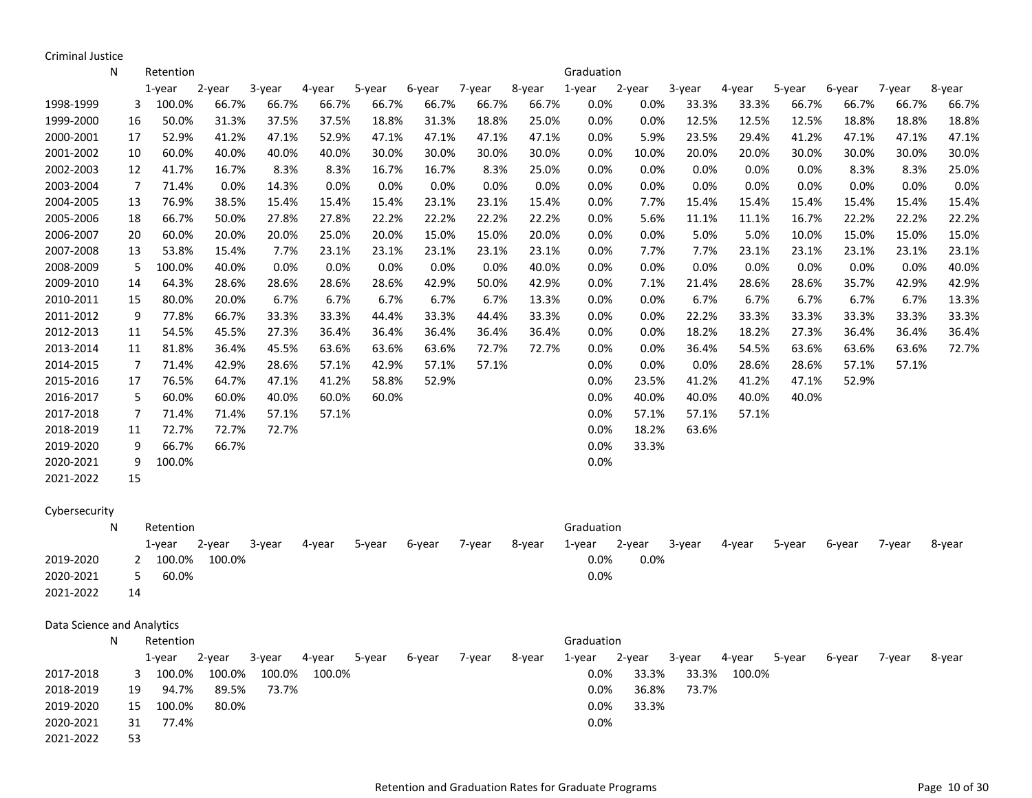Criminal Justice

2021-2022 53

|                            | N | Retention               |        |        |        |        |        |        |        | Graduation |        |        |        |        |        |        |        |
|----------------------------|---|-------------------------|--------|--------|--------|--------|--------|--------|--------|------------|--------|--------|--------|--------|--------|--------|--------|
|                            |   | 1-year                  | 2-year | 3-year | 4-year | 5-year | 6-year | 7-year | 8-year | 1-year     | 2-year | 3-year | 4-year | 5-year | 6-year | 7-year | 8-year |
| 1998-1999                  |   | 100.0%<br>3             | 66.7%  | 66.7%  | 66.7%  | 66.7%  | 66.7%  | 66.7%  | 66.7%  | 0.0%       | 0.0%   | 33.3%  | 33.3%  | 66.7%  | 66.7%  | 66.7%  | 66.7%  |
| 1999-2000                  |   | 50.0%<br>16             | 31.3%  | 37.5%  | 37.5%  | 18.8%  | 31.3%  | 18.8%  | 25.0%  | 0.0%       | 0.0%   | 12.5%  | 12.5%  | 12.5%  | 18.8%  | 18.8%  | 18.8%  |
| 2000-2001                  |   | 52.9%<br>17             | 41.2%  | 47.1%  | 52.9%  | 47.1%  | 47.1%  | 47.1%  | 47.1%  | 0.0%       | 5.9%   | 23.5%  | 29.4%  | 41.2%  | 47.1%  | 47.1%  | 47.1%  |
| 2001-2002                  |   | 10<br>60.0%             | 40.0%  | 40.0%  | 40.0%  | 30.0%  | 30.0%  | 30.0%  | 30.0%  | 0.0%       | 10.0%  | 20.0%  | 20.0%  | 30.0%  | 30.0%  | 30.0%  | 30.0%  |
| 2002-2003                  |   | 41.7%<br>12             | 16.7%  | 8.3%   | 8.3%   | 16.7%  | 16.7%  | 8.3%   | 25.0%  | 0.0%       | 0.0%   | 0.0%   | 0.0%   | 0.0%   | 8.3%   | 8.3%   | 25.0%  |
| 2003-2004                  |   | $\overline{7}$<br>71.4% | 0.0%   | 14.3%  | 0.0%   | 0.0%   | 0.0%   | 0.0%   | 0.0%   | 0.0%       | 0.0%   | 0.0%   | 0.0%   | 0.0%   | 0.0%   | 0.0%   | 0.0%   |
| 2004-2005                  |   | 76.9%<br>13             | 38.5%  | 15.4%  | 15.4%  | 15.4%  | 23.1%  | 23.1%  | 15.4%  | 0.0%       | 7.7%   | 15.4%  | 15.4%  | 15.4%  | 15.4%  | 15.4%  | 15.4%  |
| 2005-2006                  |   | 66.7%<br>18             | 50.0%  | 27.8%  | 27.8%  | 22.2%  | 22.2%  | 22.2%  | 22.2%  | 0.0%       | 5.6%   | 11.1%  | 11.1%  | 16.7%  | 22.2%  | 22.2%  | 22.2%  |
| 2006-2007                  |   | 60.0%<br>20             | 20.0%  | 20.0%  | 25.0%  | 20.0%  | 15.0%  | 15.0%  | 20.0%  | 0.0%       | 0.0%   | 5.0%   | 5.0%   | 10.0%  | 15.0%  | 15.0%  | 15.0%  |
| 2007-2008                  |   | 53.8%<br>13             | 15.4%  | 7.7%   | 23.1%  | 23.1%  | 23.1%  | 23.1%  | 23.1%  | 0.0%       | 7.7%   | 7.7%   | 23.1%  | 23.1%  | 23.1%  | 23.1%  | 23.1%  |
| 2008-2009                  |   | 100.0%<br>5             | 40.0%  | 0.0%   | 0.0%   | 0.0%   | 0.0%   | 0.0%   | 40.0%  | 0.0%       | 0.0%   | 0.0%   | 0.0%   | 0.0%   | 0.0%   | 0.0%   | 40.0%  |
| 2009-2010                  |   | 14<br>64.3%             | 28.6%  | 28.6%  | 28.6%  | 28.6%  | 42.9%  | 50.0%  | 42.9%  | 0.0%       | 7.1%   | 21.4%  | 28.6%  | 28.6%  | 35.7%  | 42.9%  | 42.9%  |
| 2010-2011                  |   | 15<br>80.0%             | 20.0%  | 6.7%   | 6.7%   | 6.7%   | 6.7%   | 6.7%   | 13.3%  | 0.0%       | 0.0%   | 6.7%   | 6.7%   | 6.7%   | 6.7%   | 6.7%   | 13.3%  |
| 2011-2012                  |   | 9<br>77.8%              | 66.7%  | 33.3%  | 33.3%  | 44.4%  | 33.3%  | 44.4%  | 33.3%  | 0.0%       | 0.0%   | 22.2%  | 33.3%  | 33.3%  | 33.3%  | 33.3%  | 33.3%  |
| 2012-2013                  |   | 54.5%<br>11             | 45.5%  | 27.3%  | 36.4%  | 36.4%  | 36.4%  | 36.4%  | 36.4%  | 0.0%       | 0.0%   | 18.2%  | 18.2%  | 27.3%  | 36.4%  | 36.4%  | 36.4%  |
| 2013-2014                  |   | 81.8%<br>11             | 36.4%  | 45.5%  | 63.6%  | 63.6%  | 63.6%  | 72.7%  | 72.7%  | 0.0%       | 0.0%   | 36.4%  | 54.5%  | 63.6%  | 63.6%  | 63.6%  | 72.7%  |
| 2014-2015                  |   | $\overline{7}$<br>71.4% | 42.9%  | 28.6%  | 57.1%  | 42.9%  | 57.1%  | 57.1%  |        | 0.0%       | 0.0%   | 0.0%   | 28.6%  | 28.6%  | 57.1%  | 57.1%  |        |
| 2015-2016                  |   | 76.5%<br>17             | 64.7%  | 47.1%  | 41.2%  | 58.8%  | 52.9%  |        |        | 0.0%       | 23.5%  | 41.2%  | 41.2%  | 47.1%  | 52.9%  |        |        |
| 2016-2017                  |   | 5<br>60.0%              | 60.0%  | 40.0%  | 60.0%  | 60.0%  |        |        |        | 0.0%       | 40.0%  | 40.0%  | 40.0%  | 40.0%  |        |        |        |
| 2017-2018                  |   | 7<br>71.4%              | 71.4%  | 57.1%  | 57.1%  |        |        |        |        | 0.0%       | 57.1%  | 57.1%  | 57.1%  |        |        |        |        |
| 2018-2019                  |   | 72.7%<br>11             | 72.7%  | 72.7%  |        |        |        |        |        | 0.0%       | 18.2%  | 63.6%  |        |        |        |        |        |
| 2019-2020                  |   | 9<br>66.7%              | 66.7%  |        |        |        |        |        |        | 0.0%       | 33.3%  |        |        |        |        |        |        |
| 2020-2021                  |   | 9<br>100.0%             |        |        |        |        |        |        |        | 0.0%       |        |        |        |        |        |        |        |
| 2021-2022                  |   | 15                      |        |        |        |        |        |        |        |            |        |        |        |        |        |        |        |
| Cybersecurity              |   |                         |        |        |        |        |        |        |        |            |        |        |        |        |        |        |        |
|                            | N | Retention               |        |        |        |        |        |        |        | Graduation |        |        |        |        |        |        |        |
|                            |   | $1$ -year               | 2-year | 3-year | 4-year | 5-year | 6-year | 7-year | 8-year | 1-year     | 2-year | 3-year | 4-year | 5-year | 6-year | 7-year | 8-year |
| 2019-2020                  |   | 100.0%<br>2             | 100.0% |        |        |        |        |        |        | 0.0%       | 0.0%   |        |        |        |        |        |        |
| 2020-2021                  |   | 5<br>60.0%              |        |        |        |        |        |        |        | 0.0%       |        |        |        |        |        |        |        |
| 2021-2022                  |   | 14                      |        |        |        |        |        |        |        |            |        |        |        |        |        |        |        |
|                            |   |                         |        |        |        |        |        |        |        |            |        |        |        |        |        |        |        |
| Data Science and Analytics |   |                         |        |        |        |        |        |        |        |            |        |        |        |        |        |        |        |
|                            | N | Retention               |        |        |        |        |        |        |        | Graduation |        |        |        |        |        |        |        |
|                            |   | 1-year                  | 2-year | 3-year | 4-year | 5-year | 6-year | 7-year | 8-year | 1-year     | 2-year | 3-year | 4-year | 5-year | 6-year | 7-year | 8-year |
| 2017-2018                  |   | 100.0%<br>3             | 100.0% | 100.0% | 100.0% |        |        |        |        | 0.0%       | 33.3%  | 33.3%  | 100.0% |        |        |        |        |
| 2018-2019                  |   | 19<br>94.7%             | 89.5%  | 73.7%  |        |        |        |        |        | 0.0%       | 36.8%  | 73.7%  |        |        |        |        |        |
| 2019-2020                  |   | 15<br>100.0%            | 80.0%  |        |        |        |        |        |        | 0.0%       | 33.3%  |        |        |        |        |        |        |

2020-2021 31 77.4% 0.0%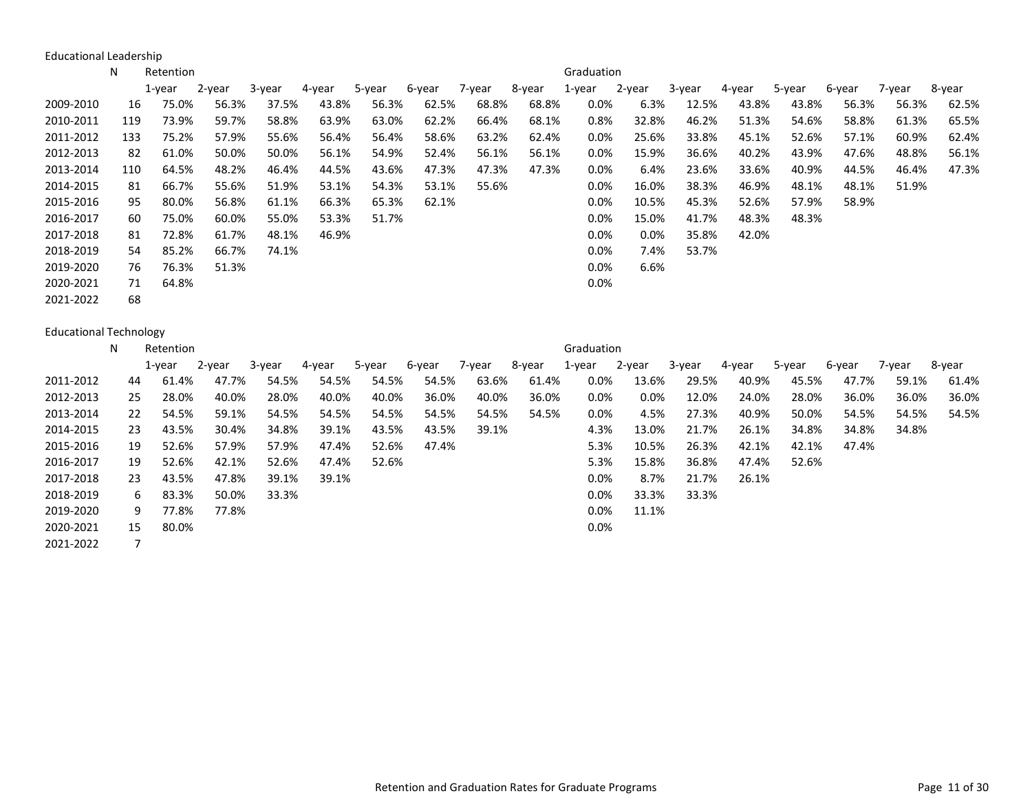Educational Leadership

|           | N   | Retention |        |        |        |        |        |        |        | Graduation |         |        |        |        |        |        |        |
|-----------|-----|-----------|--------|--------|--------|--------|--------|--------|--------|------------|---------|--------|--------|--------|--------|--------|--------|
|           |     | 1-year    | 2-year | 3-year | 4-year | 5-year | 6-year | 7-year | 8-year | 1-year     | 2-year  | 3-year | 4-year | 5-year | 6-year | 7-year | 8-year |
| 2009-2010 | 16  | 75.0%     | 56.3%  | 37.5%  | 43.8%  | 56.3%  | 62.5%  | 68.8%  | 68.8%  | $0.0\%$    | 6.3%    | 12.5%  | 43.8%  | 43.8%  | 56.3%  | 56.3%  | 62.5%  |
| 2010-2011 | 119 | 73.9%     | 59.7%  | 58.8%  | 63.9%  | 63.0%  | 62.2%  | 66.4%  | 68.1%  | 0.8%       | 32.8%   | 46.2%  | 51.3%  | 54.6%  | 58.8%  | 61.3%  | 65.5%  |
| 2011-2012 | 133 | 75.2%     | 57.9%  | 55.6%  | 56.4%  | 56.4%  | 58.6%  | 63.2%  | 62.4%  | 0.0%       | 25.6%   | 33.8%  | 45.1%  | 52.6%  | 57.1%  | 60.9%  | 62.4%  |
| 2012-2013 | -82 | 61.0%     | 50.0%  | 50.0%  | 56.1%  | 54.9%  | 52.4%  | 56.1%  | 56.1%  | 0.0%       | 15.9%   | 36.6%  | 40.2%  | 43.9%  | 47.6%  | 48.8%  | 56.1%  |
| 2013-2014 | 110 | 64.5%     | 48.2%  | 46.4%  | 44.5%  | 43.6%  | 47.3%  | 47.3%  | 47.3%  | 0.0%       | 6.4%    | 23.6%  | 33.6%  | 40.9%  | 44.5%  | 46.4%  | 47.3%  |
| 2014-2015 | 81  | 66.7%     | 55.6%  | 51.9%  | 53.1%  | 54.3%  | 53.1%  | 55.6%  |        | 0.0%       | 16.0%   | 38.3%  | 46.9%  | 48.1%  | 48.1%  | 51.9%  |        |
| 2015-2016 | 95  | 80.0%     | 56.8%  | 61.1%  | 66.3%  | 65.3%  | 62.1%  |        |        | $0.0\%$    | 10.5%   | 45.3%  | 52.6%  | 57.9%  | 58.9%  |        |        |
| 2016-2017 | 60  | 75.0%     | 60.0%  | 55.0%  | 53.3%  | 51.7%  |        |        |        | $0.0\%$    | 15.0%   | 41.7%  | 48.3%  | 48.3%  |        |        |        |
| 2017-2018 | 81  | 72.8%     | 61.7%  | 48.1%  | 46.9%  |        |        |        |        | $0.0\%$    | $0.0\%$ | 35.8%  | 42.0%  |        |        |        |        |
| 2018-2019 | 54  | 85.2%     | 66.7%  | 74.1%  |        |        |        |        |        | 0.0%       | 7.4%    | 53.7%  |        |        |        |        |        |
| 2019-2020 | 76  | 76.3%     | 51.3%  |        |        |        |        |        |        | $0.0\%$    | 6.6%    |        |        |        |        |        |        |
| 2020-2021 | 71  | 64.8%     |        |        |        |        |        |        |        | $0.0\%$    |         |        |        |        |        |        |        |
| 2021-2022 | 68  |           |        |        |        |        |        |        |        |            |         |        |        |        |        |        |        |

Educational Technology

|           | N. | Retention   |        |        |        |        |        |        |        | Graduation |         |        |        |        |        |        |        |
|-----------|----|-------------|--------|--------|--------|--------|--------|--------|--------|------------|---------|--------|--------|--------|--------|--------|--------|
|           |    | 1-year      | 2-year | 3-year | 4-year | 5-year | 6-year | 7-year | 8-year | 1-year     | 2-year  | 3-year | 4-year | 5-year | 6-year | 7-year | 8-year |
| 2011-2012 |    | 61.4%<br>44 | 47.7%  | 54.5%  | 54.5%  | 54.5%  | 54.5%  | 63.6%  | 61.4%  | $0.0\%$    | 13.6%   | 29.5%  | 40.9%  | 45.5%  | 47.7%  | 59.1%  | 61.4%  |
| 2012-2013 |    | 28.0%<br>25 | 40.0%  | 28.0%  | 40.0%  | 40.0%  | 36.0%  | 40.0%  | 36.0%  | $0.0\%$    | $0.0\%$ | 12.0%  | 24.0%  | 28.0%  | 36.0%  | 36.0%  | 36.0%  |
| 2013-2014 |    | 54.5%<br>22 | 59.1%  | 54.5%  | 54.5%  | 54.5%  | 54.5%  | 54.5%  | 54.5%  | 0.0%       | 4.5%    | 27.3%  | 40.9%  | 50.0%  | 54.5%  | 54.5%  | 54.5%  |
| 2014-2015 |    | 43.5%<br>23 | 30.4%  | 34.8%  | 39.1%  | 43.5%  | 43.5%  | 39.1%  |        | 4.3%       | 13.0%   | 21.7%  | 26.1%  | 34.8%  | 34.8%  | 34.8%  |        |
| 2015-2016 |    | 52.6%<br>19 | 57.9%  | 57.9%  | 47.4%  | 52.6%  | 47.4%  |        |        | 5.3%       | 10.5%   | 26.3%  | 42.1%  | 42.1%  | 47.4%  |        |        |
| 2016-2017 |    | 52.6%<br>19 | 42.1%  | 52.6%  | 47.4%  | 52.6%  |        |        |        | 5.3%       | 15.8%   | 36.8%  | 47.4%  | 52.6%  |        |        |        |
| 2017-2018 |    | 43.5%<br>23 | 47.8%  | 39.1%  | 39.1%  |        |        |        |        | $0.0\%$    | 8.7%    | 21.7%  | 26.1%  |        |        |        |        |
| 2018-2019 |    | 83.3%<br>6  | 50.0%  | 33.3%  |        |        |        |        |        | $0.0\%$    | 33.3%   | 33.3%  |        |        |        |        |        |
| 2019-2020 |    | 77.8%<br>9  | 77.8%  |        |        |        |        |        |        | $0.0\%$    | 11.1%   |        |        |        |        |        |        |
| 2020-2021 |    | 80.0%<br>15 |        |        |        |        |        |        |        | $0.0\%$    |         |        |        |        |        |        |        |
| 2021-2022 |    |             |        |        |        |        |        |        |        |            |         |        |        |        |        |        |        |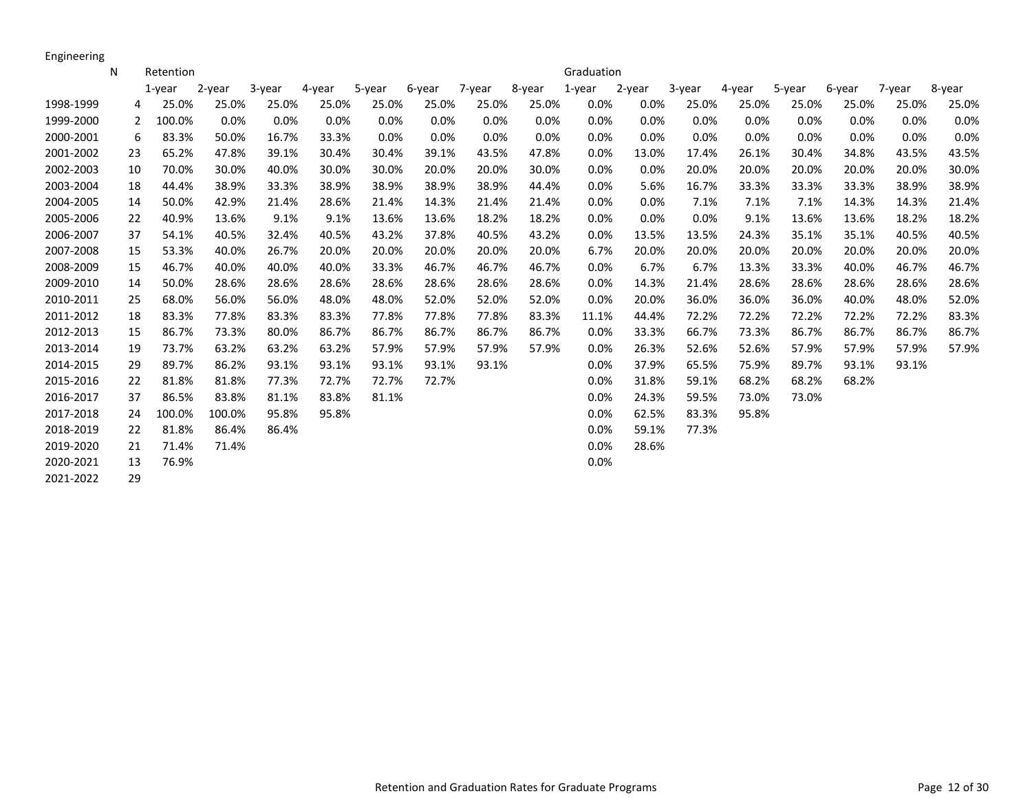Engineering

|           | N  | Retention |        |        |        |        |        |        |        | Graduation |        |        |        |        |        |         |        |
|-----------|----|-----------|--------|--------|--------|--------|--------|--------|--------|------------|--------|--------|--------|--------|--------|---------|--------|
|           |    | $1$ -year | 2-year | 3-year | 4-year | 5-year | 6-year | 7-year | 8-year | 1-year     | 2-year | 3-year | 4-year | 5-year | 6-year | 7-year  | 8-year |
| 1998-1999 | 4  | 25.0%     | 25.0%  | 25.0%  | 25.0%  | 25.0%  | 25.0%  | 25.0%  | 25.0%  | $0.0\%$    | 0.0%   | 25.0%  | 25.0%  | 25.0%  | 25.0%  | 25.0%   | 25.0%  |
| 1999-2000 | 2  | 100.0%    | 0.0%   | 0.0%   | 0.0%   | 0.0%   | 0.0%   | 0.0%   | 0.0%   | 0.0%       | 0.0%   | 0.0%   | 0.0%   | 0.0%   | 0.0%   | 0.0%    | 0.0%   |
| 2000-2001 | 6  | 83.3%     | 50.0%  | 16.7%  | 33.3%  | 0.0%   | 0.0%   | 0.0%   | 0.0%   | 0.0%       | 0.0%   | 0.0%   | 0.0%   | 0.0%   | 0.0%   | $0.0\%$ | 0.0%   |
| 2001-2002 | 23 | 65.2%     | 47.8%  | 39.1%  | 30.4%  | 30.4%  | 39.1%  | 43.5%  | 47.8%  | 0.0%       | 13.0%  | 17.4%  | 26.1%  | 30.4%  | 34.8%  | 43.5%   | 43.5%  |
| 2002-2003 | 10 | 70.0%     | 30.0%  | 40.0%  | 30.0%  | 30.0%  | 20.0%  | 20.0%  | 30.0%  | $0.0\%$    | 0.0%   | 20.0%  | 20.0%  | 20.0%  | 20.0%  | 20.0%   | 30.0%  |
| 2003-2004 | 18 | 44.4%     | 38.9%  | 33.3%  | 38.9%  | 38.9%  | 38.9%  | 38.9%  | 44.4%  | 0.0%       | 5.6%   | 16.7%  | 33.3%  | 33.3%  | 33.3%  | 38.9%   | 38.9%  |
| 2004-2005 | 14 | 50.0%     | 42.9%  | 21.4%  | 28.6%  | 21.4%  | 14.3%  | 21.4%  | 21.4%  | 0.0%       | 0.0%   | 7.1%   | 7.1%   | 7.1%   | 14.3%  | 14.3%   | 21.4%  |
| 2005-2006 | 22 | 40.9%     | 13.6%  | 9.1%   | 9.1%   | 13.6%  | 13.6%  | 18.2%  | 18.2%  | $0.0\%$    | 0.0%   | 0.0%   | 9.1%   | 13.6%  | 13.6%  | 18.2%   | 18.2%  |
| 2006-2007 | 37 | 54.1%     | 40.5%  | 32.4%  | 40.5%  | 43.2%  | 37.8%  | 40.5%  | 43.2%  | 0.0%       | 13.5%  | 13.5%  | 24.3%  | 35.1%  | 35.1%  | 40.5%   | 40.5%  |
| 2007-2008 | 15 | 53.3%     | 40.0%  | 26.7%  | 20.0%  | 20.0%  | 20.0%  | 20.0%  | 20.0%  | 6.7%       | 20.0%  | 20.0%  | 20.0%  | 20.0%  | 20.0%  | 20.0%   | 20.0%  |
| 2008-2009 | 15 | 46.7%     | 40.0%  | 40.0%  | 40.0%  | 33.3%  | 46.7%  | 46.7%  | 46.7%  | 0.0%       | 6.7%   | 6.7%   | 13.3%  | 33.3%  | 40.0%  | 46.7%   | 46.7%  |
| 2009-2010 | 14 | 50.0%     | 28.6%  | 28.6%  | 28.6%  | 28.6%  | 28.6%  | 28.6%  | 28.6%  | 0.0%       | 14.3%  | 21.4%  | 28.6%  | 28.6%  | 28.6%  | 28.6%   | 28.6%  |
| 2010-2011 | 25 | 68.0%     | 56.0%  | 56.0%  | 48.0%  | 48.0%  | 52.0%  | 52.0%  | 52.0%  | 0.0%       | 20.0%  | 36.0%  | 36.0%  | 36.0%  | 40.0%  | 48.0%   | 52.0%  |
| 2011-2012 | 18 | 83.3%     | 77.8%  | 83.3%  | 83.3%  | 77.8%  | 77.8%  | 77.8%  | 83.3%  | 11.1%      | 44.4%  | 72.2%  | 72.2%  | 72.2%  | 72.2%  | 72.2%   | 83.3%  |
| 2012-2013 | 15 | 86.7%     | 73.3%  | 80.0%  | 86.7%  | 86.7%  | 86.7%  | 86.7%  | 86.7%  | 0.0%       | 33.3%  | 66.7%  | 73.3%  | 86.7%  | 86.7%  | 86.7%   | 86.7%  |
| 2013-2014 | 19 | 73.7%     | 63.2%  | 63.2%  | 63.2%  | 57.9%  | 57.9%  | 57.9%  | 57.9%  | 0.0%       | 26.3%  | 52.6%  | 52.6%  | 57.9%  | 57.9%  | 57.9%   | 57.9%  |
| 2014-2015 | 29 | 89.7%     | 86.2%  | 93.1%  | 93.1%  | 93.1%  | 93.1%  | 93.1%  |        | 0.0%       | 37.9%  | 65.5%  | 75.9%  | 89.7%  | 93.1%  | 93.1%   |        |
| 2015-2016 | 22 | 81.8%     | 81.8%  | 77.3%  | 72.7%  | 72.7%  | 72.7%  |        |        | 0.0%       | 31.8%  | 59.1%  | 68.2%  | 68.2%  | 68.2%  |         |        |
| 2016-2017 | 37 | 86.5%     | 83.8%  | 81.1%  | 83.8%  | 81.1%  |        |        |        | 0.0%       | 24.3%  | 59.5%  | 73.0%  | 73.0%  |        |         |        |
| 2017-2018 | 24 | 100.0%    | 100.0% | 95.8%  | 95.8%  |        |        |        |        | 0.0%       | 62.5%  | 83.3%  | 95.8%  |        |        |         |        |
| 2018-2019 | 22 | 81.8%     | 86.4%  | 86.4%  |        |        |        |        |        | 0.0%       | 59.1%  | 77.3%  |        |        |        |         |        |
| 2019-2020 | 21 | 71.4%     | 71.4%  |        |        |        |        |        |        | 0.0%       | 28.6%  |        |        |        |        |         |        |
| 2020-2021 | 13 | 76.9%     |        |        |        |        |        |        |        | 0.0%       |        |        |        |        |        |         |        |
| 2021-2022 | 29 |           |        |        |        |        |        |        |        |            |        |        |        |        |        |         |        |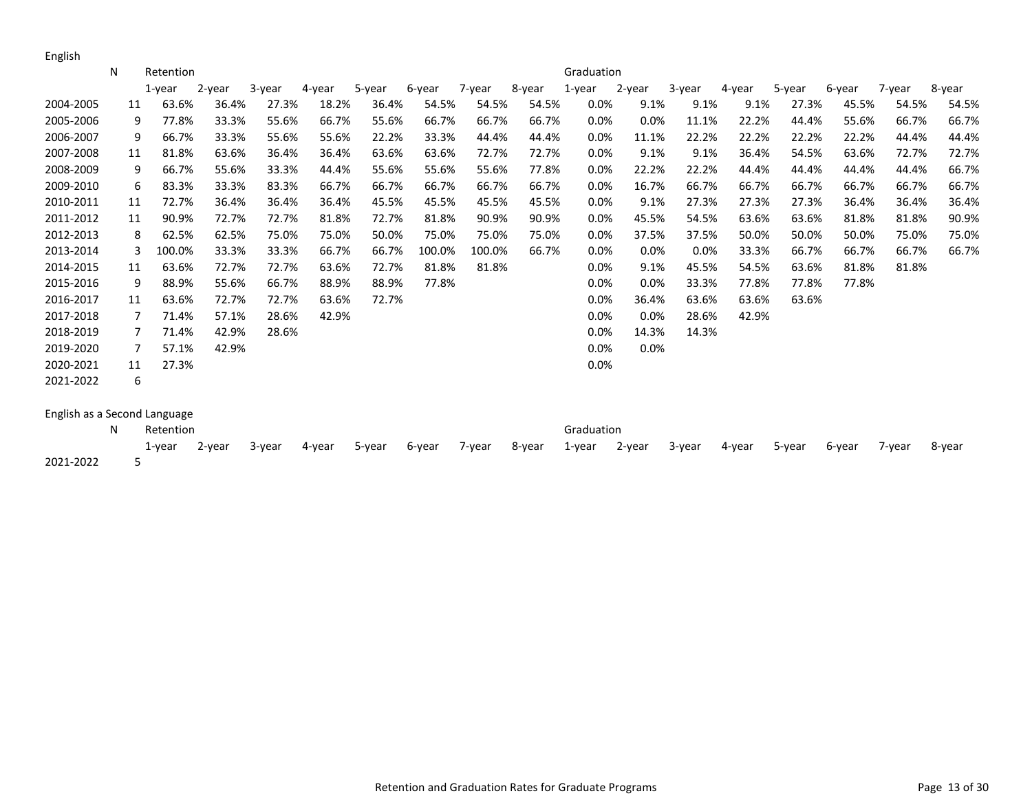English

|                              | N | Retention   |        |        |        |        |        |        |        | Graduation |        |        |        |        |        |        |        |
|------------------------------|---|-------------|--------|--------|--------|--------|--------|--------|--------|------------|--------|--------|--------|--------|--------|--------|--------|
|                              |   | $1$ -year   | 2-year | 3-year | 4-year | 5-year | 6-year | 7-year | 8-year | $1$ -year  | 2-year | 3-year | 4-year | 5-year | 6-year | 7-year | 8-year |
| 2004-2005                    |   | 63.6%<br>11 | 36.4%  | 27.3%  | 18.2%  | 36.4%  | 54.5%  | 54.5%  | 54.5%  | 0.0%       | 9.1%   | 9.1%   | 9.1%   | 27.3%  | 45.5%  | 54.5%  | 54.5%  |
| 2005-2006                    |   | 9<br>77.8%  | 33.3%  | 55.6%  | 66.7%  | 55.6%  | 66.7%  | 66.7%  | 66.7%  | 0.0%       | 0.0%   | 11.1%  | 22.2%  | 44.4%  | 55.6%  | 66.7%  | 66.7%  |
| 2006-2007                    |   | 66.7%<br>9  | 33.3%  | 55.6%  | 55.6%  | 22.2%  | 33.3%  | 44.4%  | 44.4%  | 0.0%       | 11.1%  | 22.2%  | 22.2%  | 22.2%  | 22.2%  | 44.4%  | 44.4%  |
| 2007-2008                    |   | 81.8%<br>11 | 63.6%  | 36.4%  | 36.4%  | 63.6%  | 63.6%  | 72.7%  | 72.7%  | 0.0%       | 9.1%   | 9.1%   | 36.4%  | 54.5%  | 63.6%  | 72.7%  | 72.7%  |
| 2008-2009                    |   | 66.7%<br>9  | 55.6%  | 33.3%  | 44.4%  | 55.6%  | 55.6%  | 55.6%  | 77.8%  | 0.0%       | 22.2%  | 22.2%  | 44.4%  | 44.4%  | 44.4%  | 44.4%  | 66.7%  |
| 2009-2010                    |   | 83.3%<br>6  | 33.3%  | 83.3%  | 66.7%  | 66.7%  | 66.7%  | 66.7%  | 66.7%  | 0.0%       | 16.7%  | 66.7%  | 66.7%  | 66.7%  | 66.7%  | 66.7%  | 66.7%  |
| 2010-2011                    |   | 72.7%<br>11 | 36.4%  | 36.4%  | 36.4%  | 45.5%  | 45.5%  | 45.5%  | 45.5%  | 0.0%       | 9.1%   | 27.3%  | 27.3%  | 27.3%  | 36.4%  | 36.4%  | 36.4%  |
| 2011-2012                    |   | 90.9%<br>11 | 72.7%  | 72.7%  | 81.8%  | 72.7%  | 81.8%  | 90.9%  | 90.9%  | 0.0%       | 45.5%  | 54.5%  | 63.6%  | 63.6%  | 81.8%  | 81.8%  | 90.9%  |
| 2012-2013                    |   | 62.5%<br>8  | 62.5%  | 75.0%  | 75.0%  | 50.0%  | 75.0%  | 75.0%  | 75.0%  | 0.0%       | 37.5%  | 37.5%  | 50.0%  | 50.0%  | 50.0%  | 75.0%  | 75.0%  |
| 2013-2014                    |   | 100.0%<br>3 | 33.3%  | 33.3%  | 66.7%  | 66.7%  | 100.0% | 100.0% | 66.7%  | 0.0%       | 0.0%   | 0.0%   | 33.3%  | 66.7%  | 66.7%  | 66.7%  | 66.7%  |
| 2014-2015                    |   | 63.6%<br>11 | 72.7%  | 72.7%  | 63.6%  | 72.7%  | 81.8%  | 81.8%  |        | 0.0%       | 9.1%   | 45.5%  | 54.5%  | 63.6%  | 81.8%  | 81.8%  |        |
| 2015-2016                    |   | 9<br>88.9%  | 55.6%  | 66.7%  | 88.9%  | 88.9%  | 77.8%  |        |        | 0.0%       | 0.0%   | 33.3%  | 77.8%  | 77.8%  | 77.8%  |        |        |
| 2016-2017                    |   | 63.6%<br>11 | 72.7%  | 72.7%  | 63.6%  | 72.7%  |        |        |        | 0.0%       | 36.4%  | 63.6%  | 63.6%  | 63.6%  |        |        |        |
| 2017-2018                    |   | 71.4%<br>7  | 57.1%  | 28.6%  | 42.9%  |        |        |        |        | 0.0%       | 0.0%   | 28.6%  | 42.9%  |        |        |        |        |
| 2018-2019                    |   | 71.4%<br>7  | 42.9%  | 28.6%  |        |        |        |        |        | 0.0%       | 14.3%  | 14.3%  |        |        |        |        |        |
| 2019-2020                    |   | 7<br>57.1%  | 42.9%  |        |        |        |        |        |        | 0.0%       | 0.0%   |        |        |        |        |        |        |
| 2020-2021                    |   | 27.3%<br>11 |        |        |        |        |        |        |        | 0.0%       |        |        |        |        |        |        |        |
| 2021-2022                    |   | 6           |        |        |        |        |        |        |        |            |        |        |        |        |        |        |        |
| English as a Second Language |   |             |        |        |        |        |        |        |        |            |        |        |        |        |        |        |        |
|                              | N | Retention   |        |        |        |        |        |        |        | Graduation |        |        |        |        |        |        |        |
|                              |   | 1-year      | 2-year | 3-year | 4-year | 5-year | 6-year | 7-year | 8-year | $1$ -year  | 2-year | 3-year | 4-year | 5-year | 6-year | 7-year | 8-year |
| 2021-2022                    |   | 5           |        |        |        |        |        |        |        |            |        |        |        |        |        |        |        |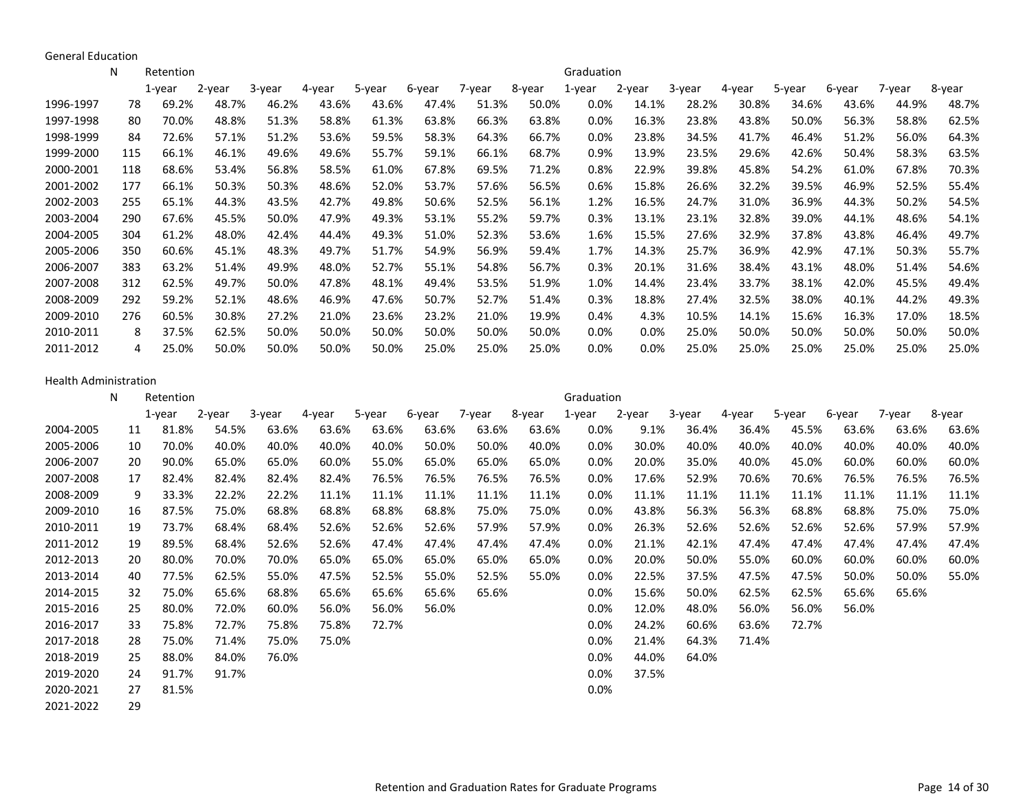General Education

|           | N   | Retention  |        |        |        |        |        |        |        | Graduation |         |        |        |        |        |        |        |
|-----------|-----|------------|--------|--------|--------|--------|--------|--------|--------|------------|---------|--------|--------|--------|--------|--------|--------|
|           |     | $1$ -year  | 2-year | 3-year | 4-year | 5-year | 6-year | 7-year | 8-year | $1$ -year  | 2-year  | 3-year | 4-year | 5-year | 6-year | 7-year | 8-year |
| 1996-1997 | 78  | 69.2%      | 48.7%  | 46.2%  | 43.6%  | 43.6%  | 47.4%  | 51.3%  | 50.0%  | 0.0%       | 14.1%   | 28.2%  | 30.8%  | 34.6%  | 43.6%  | 44.9%  | 48.7%  |
| 1997-1998 | 80  | 70.0%      | 48.8%  | 51.3%  | 58.8%  | 61.3%  | 63.8%  | 66.3%  | 63.8%  | 0.0%       | 16.3%   | 23.8%  | 43.8%  | 50.0%  | 56.3%  | 58.8%  | 62.5%  |
| 1998-1999 | 84  | 72.6%      | 57.1%  | 51.2%  | 53.6%  | 59.5%  | 58.3%  | 64.3%  | 66.7%  | 0.0%       | 23.8%   | 34.5%  | 41.7%  | 46.4%  | 51.2%  | 56.0%  | 64.3%  |
| 1999-2000 | 115 | 66.1%      | 46.1%  | 49.6%  | 49.6%  | 55.7%  | 59.1%  | 66.1%  | 68.7%  | 0.9%       | 13.9%   | 23.5%  | 29.6%  | 42.6%  | 50.4%  | 58.3%  | 63.5%  |
| 2000-2001 | 118 | 68.6%      | 53.4%  | 56.8%  | 58.5%  | 61.0%  | 67.8%  | 69.5%  | 71.2%  | 0.8%       | 22.9%   | 39.8%  | 45.8%  | 54.2%  | 61.0%  | 67.8%  | 70.3%  |
| 2001-2002 | 177 | 66.1%      | 50.3%  | 50.3%  | 48.6%  | 52.0%  | 53.7%  | 57.6%  | 56.5%  | 0.6%       | 15.8%   | 26.6%  | 32.2%  | 39.5%  | 46.9%  | 52.5%  | 55.4%  |
| 2002-2003 | 255 | 65.1%      | 44.3%  | 43.5%  | 42.7%  | 49.8%  | 50.6%  | 52.5%  | 56.1%  | 1.2%       | 16.5%   | 24.7%  | 31.0%  | 36.9%  | 44.3%  | 50.2%  | 54.5%  |
| 2003-2004 | 290 | 67.6%      | 45.5%  | 50.0%  | 47.9%  | 49.3%  | 53.1%  | 55.2%  | 59.7%  | 0.3%       | 13.1%   | 23.1%  | 32.8%  | 39.0%  | 44.1%  | 48.6%  | 54.1%  |
| 2004-2005 | 304 | 61.2%      | 48.0%  | 42.4%  | 44.4%  | 49.3%  | 51.0%  | 52.3%  | 53.6%  | 1.6%       | 15.5%   | 27.6%  | 32.9%  | 37.8%  | 43.8%  | 46.4%  | 49.7%  |
| 2005-2006 | 350 | 60.6%      | 45.1%  | 48.3%  | 49.7%  | 51.7%  | 54.9%  | 56.9%  | 59.4%  | 1.7%       | 14.3%   | 25.7%  | 36.9%  | 42.9%  | 47.1%  | 50.3%  | 55.7%  |
| 2006-2007 | 383 | 63.2%      | 51.4%  | 49.9%  | 48.0%  | 52.7%  | 55.1%  | 54.8%  | 56.7%  | 0.3%       | 20.1%   | 31.6%  | 38.4%  | 43.1%  | 48.0%  | 51.4%  | 54.6%  |
| 2007-2008 | 312 | 62.5%      | 49.7%  | 50.0%  | 47.8%  | 48.1%  | 49.4%  | 53.5%  | 51.9%  | 1.0%       | 14.4%   | 23.4%  | 33.7%  | 38.1%  | 42.0%  | 45.5%  | 49.4%  |
| 2008-2009 | 292 | 59.2%      | 52.1%  | 48.6%  | 46.9%  | 47.6%  | 50.7%  | 52.7%  | 51.4%  | 0.3%       | 18.8%   | 27.4%  | 32.5%  | 38.0%  | 40.1%  | 44.2%  | 49.3%  |
| 2009-2010 | 276 | 60.5%      | 30.8%  | 27.2%  | 21.0%  | 23.6%  | 23.2%  | 21.0%  | 19.9%  | 0.4%       | 4.3%    | 10.5%  | 14.1%  | 15.6%  | 16.3%  | 17.0%  | 18.5%  |
| 2010-2011 |     | 37.5%<br>8 | 62.5%  | 50.0%  | 50.0%  | 50.0%  | 50.0%  | 50.0%  | 50.0%  | 0.0%       | 0.0%    | 25.0%  | 50.0%  | 50.0%  | 50.0%  | 50.0%  | 50.0%  |
| 2011-2012 |     | 25.0%<br>4 | 50.0%  | 50.0%  | 50.0%  | 50.0%  | 25.0%  | 25.0%  | 25.0%  | 0.0%       | $0.0\%$ | 25.0%  | 25.0%  | 25.0%  | 25.0%  | 25.0%  | 25.0%  |

#### Health Administration

|           | N | Retention   |        |        |        |        |        |        |        | Graduation |        |        |        |        |        |        |        |
|-----------|---|-------------|--------|--------|--------|--------|--------|--------|--------|------------|--------|--------|--------|--------|--------|--------|--------|
|           |   | 1-year      | 2-year | 3-year | 4-year | 5-year | 6-year | 7-year | 8-year | 1-year     | 2-year | 3-year | 4-year | 5-year | 6-year | 7-year | 8-year |
| 2004-2005 |   | 81.8%<br>11 | 54.5%  | 63.6%  | 63.6%  | 63.6%  | 63.6%  | 63.6%  | 63.6%  | 0.0%       | 9.1%   | 36.4%  | 36.4%  | 45.5%  | 63.6%  | 63.6%  | 63.6%  |
| 2005-2006 |   | 70.0%<br>10 | 40.0%  | 40.0%  | 40.0%  | 40.0%  | 50.0%  | 50.0%  | 40.0%  | $0.0\%$    | 30.0%  | 40.0%  | 40.0%  | 40.0%  | 40.0%  | 40.0%  | 40.0%  |
| 2006-2007 |   | 90.0%<br>20 | 65.0%  | 65.0%  | 60.0%  | 55.0%  | 65.0%  | 65.0%  | 65.0%  | $0.0\%$    | 20.0%  | 35.0%  | 40.0%  | 45.0%  | 60.0%  | 60.0%  | 60.0%  |
| 2007-2008 |   | 82.4%<br>17 | 82.4%  | 82.4%  | 82.4%  | 76.5%  | 76.5%  | 76.5%  | 76.5%  | $0.0\%$    | 17.6%  | 52.9%  | 70.6%  | 70.6%  | 76.5%  | 76.5%  | 76.5%  |
| 2008-2009 |   | 33.3%<br>9  | 22.2%  | 22.2%  | 11.1%  | 11.1%  | 11.1%  | 11.1%  | 11.1%  | $0.0\%$    | 11.1%  | 11.1%  | 11.1%  | 11.1%  | 11.1%  | 11.1%  | 11.1%  |
| 2009-2010 |   | 87.5%<br>16 | 75.0%  | 68.8%  | 68.8%  | 68.8%  | 68.8%  | 75.0%  | 75.0%  | $0.0\%$    | 43.8%  | 56.3%  | 56.3%  | 68.8%  | 68.8%  | 75.0%  | 75.0%  |
| 2010-2011 |   | 73.7%<br>19 | 68.4%  | 68.4%  | 52.6%  | 52.6%  | 52.6%  | 57.9%  | 57.9%  | 0.0%       | 26.3%  | 52.6%  | 52.6%  | 52.6%  | 52.6%  | 57.9%  | 57.9%  |
| 2011-2012 |   | 89.5%<br>19 | 68.4%  | 52.6%  | 52.6%  | 47.4%  | 47.4%  | 47.4%  | 47.4%  | $0.0\%$    | 21.1%  | 42.1%  | 47.4%  | 47.4%  | 47.4%  | 47.4%  | 47.4%  |
| 2012-2013 |   | 80.0%<br>20 | 70.0%  | 70.0%  | 65.0%  | 65.0%  | 65.0%  | 65.0%  | 65.0%  | 0.0%       | 20.0%  | 50.0%  | 55.0%  | 60.0%  | 60.0%  | 60.0%  | 60.0%  |
| 2013-2014 |   | 77.5%<br>40 | 62.5%  | 55.0%  | 47.5%  | 52.5%  | 55.0%  | 52.5%  | 55.0%  | $0.0\%$    | 22.5%  | 37.5%  | 47.5%  | 47.5%  | 50.0%  | 50.0%  | 55.0%  |
| 2014-2015 |   | 75.0%<br>32 | 65.6%  | 68.8%  | 65.6%  | 65.6%  | 65.6%  | 65.6%  |        | $0.0\%$    | 15.6%  | 50.0%  | 62.5%  | 62.5%  | 65.6%  | 65.6%  |        |
| 2015-2016 |   | 80.0%<br>25 | 72.0%  | 60.0%  | 56.0%  | 56.0%  | 56.0%  |        |        | 0.0%       | 12.0%  | 48.0%  | 56.0%  | 56.0%  | 56.0%  |        |        |
| 2016-2017 |   | 75.8%<br>33 | 72.7%  | 75.8%  | 75.8%  | 72.7%  |        |        |        | 0.0%       | 24.2%  | 60.6%  | 63.6%  | 72.7%  |        |        |        |
| 2017-2018 |   | 75.0%<br>28 | 71.4%  | 75.0%  | 75.0%  |        |        |        |        | 0.0%       | 21.4%  | 64.3%  | 71.4%  |        |        |        |        |
| 2018-2019 |   | 88.0%<br>25 | 84.0%  | 76.0%  |        |        |        |        |        | 0.0%       | 44.0%  | 64.0%  |        |        |        |        |        |
| 2019-2020 |   | 91.7%<br>24 | 91.7%  |        |        |        |        |        |        | 0.0%       | 37.5%  |        |        |        |        |        |        |
| 2020-2021 |   | 81.5%<br>27 |        |        |        |        |        |        |        | 0.0%       |        |        |        |        |        |        |        |
| 2021-2022 |   | 29          |        |        |        |        |        |        |        |            |        |        |        |        |        |        |        |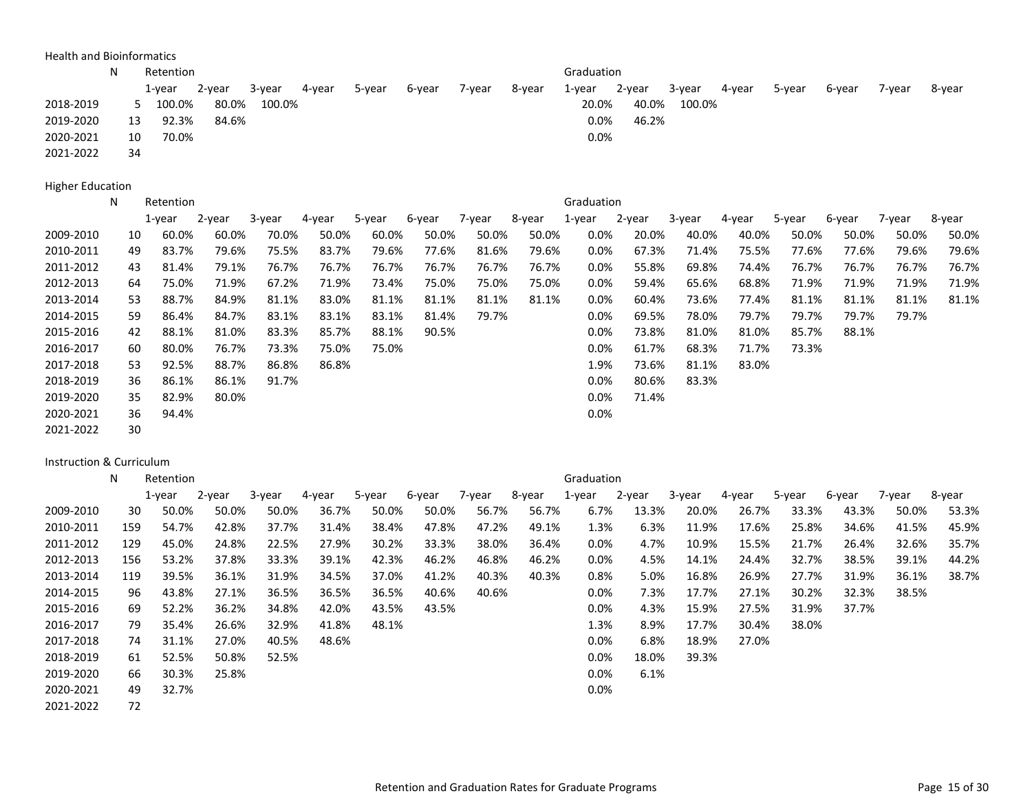Health and Bioinformatics

|           | N  | Retention |        |        |        |        |        |        |        | Graduation |        |        |        |        |        |        |        |
|-----------|----|-----------|--------|--------|--------|--------|--------|--------|--------|------------|--------|--------|--------|--------|--------|--------|--------|
|           |    | 1-year    | 2-year | 3-year | 4-year | 5-year | 6-year | 7-year | 8-year | 1-year     | 2-year | 3-year | 4-year | 5-year | 6-year | 7-vear | 8-year |
| 2018-2019 |    | 100.0%    | 80.0%  | 100.0% |        |        |        |        |        | 20.0%      | 40.0%  | 100.0% |        |        |        |        |        |
| 2019-2020 | 13 | 92.3%     | 84.6%  |        |        |        |        |        |        | 0.0%       | 46.2%  |        |        |        |        |        |        |
| 2020-2021 | 10 | 70.0%     |        |        |        |        |        |        |        | 0.0%       |        |        |        |        |        |        |        |
| 2021-2022 | 34 |           |        |        |        |        |        |        |        |            |        |        |        |        |        |        |        |

Higher Education

|           | N | Retention   |        |        |        |        |        |        |        | Graduation |        |        |        |        |        |        |        |
|-----------|---|-------------|--------|--------|--------|--------|--------|--------|--------|------------|--------|--------|--------|--------|--------|--------|--------|
|           |   | 1-year      | 2-year | 3-year | 4-year | 5-year | 6-year | 7-year | 8-year | 1-year     | 2-year | 3-year | 4-year | 5-year | 6-year | 7-year | 8-year |
| 2009-2010 |   | 60.0%<br>10 | 60.0%  | 70.0%  | 50.0%  | 60.0%  | 50.0%  | 50.0%  | 50.0%  | $0.0\%$    | 20.0%  | 40.0%  | 40.0%  | 50.0%  | 50.0%  | 50.0%  | 50.0%  |
| 2010-2011 |   | 83.7%<br>49 | 79.6%  | 75.5%  | 83.7%  | 79.6%  | 77.6%  | 81.6%  | 79.6%  | $0.0\%$    | 67.3%  | 71.4%  | 75.5%  | 77.6%  | 77.6%  | 79.6%  | 79.6%  |
| 2011-2012 |   | 81.4%<br>43 | 79.1%  | 76.7%  | 76.7%  | 76.7%  | 76.7%  | 76.7%  | 76.7%  | $0.0\%$    | 55.8%  | 69.8%  | 74.4%  | 76.7%  | 76.7%  | 76.7%  | 76.7%  |
| 2012-2013 |   | 75.0%<br>64 | 71.9%  | 67.2%  | 71.9%  | 73.4%  | 75.0%  | 75.0%  | 75.0%  | $0.0\%$    | 59.4%  | 65.6%  | 68.8%  | 71.9%  | 71.9%  | 71.9%  | 71.9%  |
| 2013-2014 |   | 53<br>88.7% | 84.9%  | 81.1%  | 83.0%  | 81.1%  | 81.1%  | 81.1%  | 81.1%  | $0.0\%$    | 60.4%  | 73.6%  | 77.4%  | 81.1%  | 81.1%  | 81.1%  | 81.1%  |
| 2014-2015 |   | 86.4%<br>59 | 84.7%  | 83.1%  | 83.1%  | 83.1%  | 81.4%  | 79.7%  |        | $0.0\%$    | 69.5%  | 78.0%  | 79.7%  | 79.7%  | 79.7%  | 79.7%  |        |
| 2015-2016 |   | 42<br>88.1% | 81.0%  | 83.3%  | 85.7%  | 88.1%  | 90.5%  |        |        | $0.0\%$    | 73.8%  | 81.0%  | 81.0%  | 85.7%  | 88.1%  |        |        |
| 2016-2017 |   | 80.0%<br>60 | 76.7%  | 73.3%  | 75.0%  | 75.0%  |        |        |        | $0.0\%$    | 61.7%  | 68.3%  | 71.7%  | 73.3%  |        |        |        |
| 2017-2018 |   | 92.5%<br>53 | 88.7%  | 86.8%  | 86.8%  |        |        |        |        | 1.9%       | 73.6%  | 81.1%  | 83.0%  |        |        |        |        |
| 2018-2019 |   | 86.1%<br>36 | 86.1%  | 91.7%  |        |        |        |        |        | $0.0\%$    | 80.6%  | 83.3%  |        |        |        |        |        |
| 2019-2020 |   | 82.9%<br>35 | 80.0%  |        |        |        |        |        |        | $0.0\%$    | 71.4%  |        |        |        |        |        |        |
| 2020-2021 |   | 94.4%<br>36 |        |        |        |        |        |        |        | $0.0\%$    |        |        |        |        |        |        |        |
| 2021-2022 |   | 30          |        |        |        |        |        |        |        |            |        |        |        |        |        |        |        |

Instruction & Curriculum

|           | N   | Retention |        |        |        |        |        |        |        | Graduation |        |        |        |        |        |        |        |
|-----------|-----|-----------|--------|--------|--------|--------|--------|--------|--------|------------|--------|--------|--------|--------|--------|--------|--------|
|           |     | 1-year    | 2-year | 3-year | 4-year | 5-year | 6-year | 7-year | 8-year | 1-year     | 2-year | 3-year | 4-year | 5-year | 6-year | 7-year | 8-year |
| 2009-2010 | 30  | 50.0%     | 50.0%  | 50.0%  | 36.7%  | 50.0%  | 50.0%  | 56.7%  | 56.7%  | 6.7%       | 13.3%  | 20.0%  | 26.7%  | 33.3%  | 43.3%  | 50.0%  | 53.3%  |
| 2010-2011 | 159 | 54.7%     | 42.8%  | 37.7%  | 31.4%  | 38.4%  | 47.8%  | 47.2%  | 49.1%  | 1.3%       | 6.3%   | 11.9%  | 17.6%  | 25.8%  | 34.6%  | 41.5%  | 45.9%  |
| 2011-2012 | 129 | 45.0%     | 24.8%  | 22.5%  | 27.9%  | 30.2%  | 33.3%  | 38.0%  | 36.4%  | 0.0%       | 4.7%   | 10.9%  | 15.5%  | 21.7%  | 26.4%  | 32.6%  | 35.7%  |
| 2012-2013 | 156 | 53.2%     | 37.8%  | 33.3%  | 39.1%  | 42.3%  | 46.2%  | 46.8%  | 46.2%  | $0.0\%$    | 4.5%   | 14.1%  | 24.4%  | 32.7%  | 38.5%  | 39.1%  | 44.2%  |
| 2013-2014 | 119 | 39.5%     | 36.1%  | 31.9%  | 34.5%  | 37.0%  | 41.2%  | 40.3%  | 40.3%  | 0.8%       | 5.0%   | 16.8%  | 26.9%  | 27.7%  | 31.9%  | 36.1%  | 38.7%  |
| 2014-2015 | 96  | 43.8%     | 27.1%  | 36.5%  | 36.5%  | 36.5%  | 40.6%  | 40.6%  |        | $0.0\%$    | 7.3%   | 17.7%  | 27.1%  | 30.2%  | 32.3%  | 38.5%  |        |
| 2015-2016 | 69  | 52.2%     | 36.2%  | 34.8%  | 42.0%  | 43.5%  | 43.5%  |        |        | 0.0%       | 4.3%   | 15.9%  | 27.5%  | 31.9%  | 37.7%  |        |        |
| 2016-2017 | 79  | 35.4%     | 26.6%  | 32.9%  | 41.8%  | 48.1%  |        |        |        | 1.3%       | 8.9%   | 17.7%  | 30.4%  | 38.0%  |        |        |        |
| 2017-2018 | 74  | 31.1%     | 27.0%  | 40.5%  | 48.6%  |        |        |        |        | 0.0%       | 6.8%   | 18.9%  | 27.0%  |        |        |        |        |
| 2018-2019 | 61  | 52.5%     | 50.8%  | 52.5%  |        |        |        |        |        | 0.0%       | 18.0%  | 39.3%  |        |        |        |        |        |
| 2019-2020 | 66  | 30.3%     | 25.8%  |        |        |        |        |        |        | 0.0%       | 6.1%   |        |        |        |        |        |        |
| 2020-2021 | 49  | 32.7%     |        |        |        |        |        |        |        | $0.0\%$    |        |        |        |        |        |        |        |
| 2021-2022 | 72  |           |        |        |        |        |        |        |        |            |        |        |        |        |        |        |        |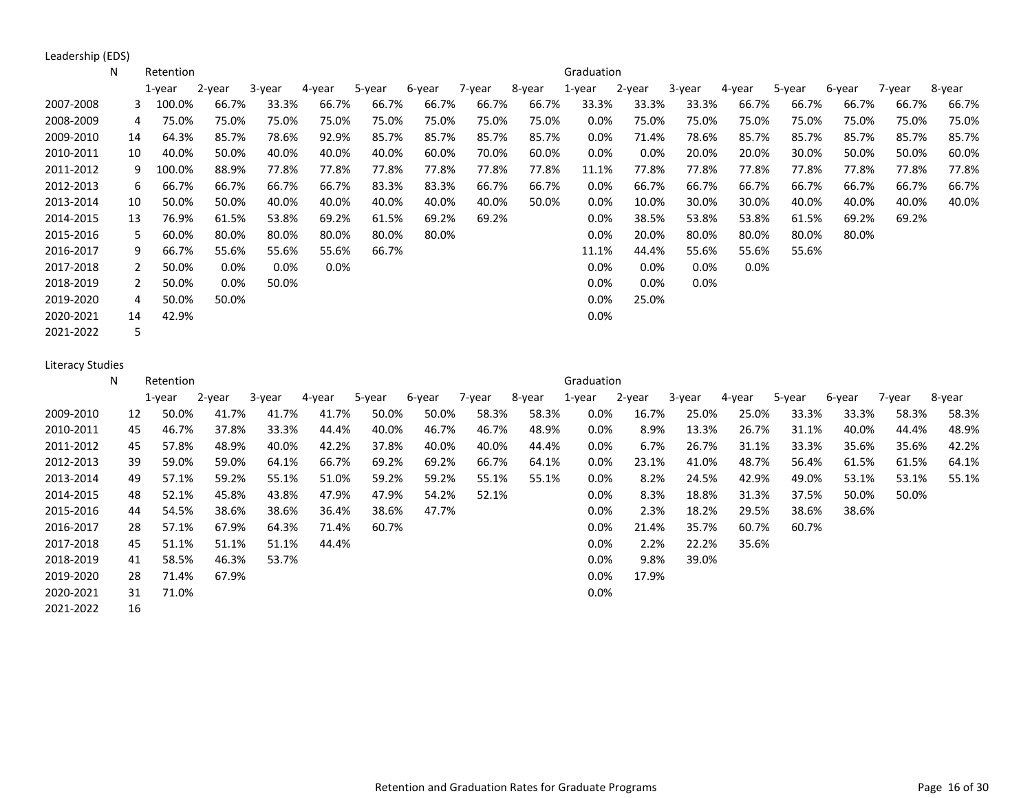Leadership (EDS)

|           | N  | Retention   |         |         |         |        |        |        |        | Graduation |         |         |         |        |        |        |        |
|-----------|----|-------------|---------|---------|---------|--------|--------|--------|--------|------------|---------|---------|---------|--------|--------|--------|--------|
|           |    | 1-year      | 2-year  | 3-year  | 4-year  | 5-year | 6-year | 7-year | 8-year | 1-year     | 2-year  | 3-year  | 4-year  | 5-year | 6-year | 7-year | 8-year |
| 2007-2008 |    | 100.0%<br>3 | 66.7%   | 33.3%   | 66.7%   | 66.7%  | 66.7%  | 66.7%  | 66.7%  | 33.3%      | 33.3%   | 33.3%   | 66.7%   | 66.7%  | 66.7%  | 66.7%  | 66.7%  |
| 2008-2009 |    | 75.0%<br>4  | 75.0%   | 75.0%   | 75.0%   | 75.0%  | 75.0%  | 75.0%  | 75.0%  | 0.0%       | 75.0%   | 75.0%   | 75.0%   | 75.0%  | 75.0%  | 75.0%  | 75.0%  |
| 2009-2010 | 14 | 64.3%       | 85.7%   | 78.6%   | 92.9%   | 85.7%  | 85.7%  | 85.7%  | 85.7%  | $0.0\%$    | 71.4%   | 78.6%   | 85.7%   | 85.7%  | 85.7%  | 85.7%  | 85.7%  |
| 2010-2011 | 10 | 40.0%       | 50.0%   | 40.0%   | 40.0%   | 40.0%  | 60.0%  | 70.0%  | 60.0%  | 0.0%       | $0.0\%$ | 20.0%   | 20.0%   | 30.0%  | 50.0%  | 50.0%  | 60.0%  |
| 2011-2012 |    | 100.0%<br>9 | 88.9%   | 77.8%   | 77.8%   | 77.8%  | 77.8%  | 77.8%  | 77.8%  | 11.1%      | 77.8%   | 77.8%   | 77.8%   | 77.8%  | 77.8%  | 77.8%  | 77.8%  |
| 2012-2013 |    | 66.7%<br>6  | 66.7%   | 66.7%   | 66.7%   | 83.3%  | 83.3%  | 66.7%  | 66.7%  | 0.0%       | 66.7%   | 66.7%   | 66.7%   | 66.7%  | 66.7%  | 66.7%  | 66.7%  |
| 2013-2014 | 10 | 50.0%       | 50.0%   | 40.0%   | 40.0%   | 40.0%  | 40.0%  | 40.0%  | 50.0%  | $0.0\%$    | 10.0%   | 30.0%   | 30.0%   | 40.0%  | 40.0%  | 40.0%  | 40.0%  |
| 2014-2015 | 13 | 76.9%       | 61.5%   | 53.8%   | 69.2%   | 61.5%  | 69.2%  | 69.2%  |        | $0.0\%$    | 38.5%   | 53.8%   | 53.8%   | 61.5%  | 69.2%  | 69.2%  |        |
| 2015-2016 |    | 60.0%<br>5. | 80.0%   | 80.0%   | 80.0%   | 80.0%  | 80.0%  |        |        | $0.0\%$    | 20.0%   | 80.0%   | 80.0%   | 80.0%  | 80.0%  |        |        |
| 2016-2017 |    | 66.7%<br>9  | 55.6%   | 55.6%   | 55.6%   | 66.7%  |        |        |        | 11.1%      | 44.4%   | 55.6%   | 55.6%   | 55.6%  |        |        |        |
| 2017-2018 |    | 50.0%<br>2  | $0.0\%$ | $0.0\%$ | $0.0\%$ |        |        |        |        | 0.0%       | $0.0\%$ | $0.0\%$ | $0.0\%$ |        |        |        |        |
| 2018-2019 |    | 50.0%       | $0.0\%$ | 50.0%   |         |        |        |        |        | 0.0%       | 0.0%    | $0.0\%$ |         |        |        |        |        |
| 2019-2020 |    | 50.0%<br>4  | 50.0%   |         |         |        |        |        |        | $0.0\%$    | 25.0%   |         |         |        |        |        |        |
| 2020-2021 | 14 | 42.9%       |         |         |         |        |        |        |        | 0.0%       |         |         |         |        |        |        |        |
| 2021-2022 |    | 5           |         |         |         |        |        |        |        |            |         |         |         |        |        |        |        |

#### Literacy Studies

|           | N | Retention   |        |        |        |        |        |        |        | Graduation |        |        |        |        |        |        |        |
|-----------|---|-------------|--------|--------|--------|--------|--------|--------|--------|------------|--------|--------|--------|--------|--------|--------|--------|
|           |   | 1-year      | 2-year | 3-year | 4-year | 5-year | 6-year | 7-year | 8-year | 1-year     | 2-year | 3-year | 4-year | 5-year | 6-year | 7-year | 8-year |
| 2009-2010 |   | 50.0%<br>12 | 41.7%  | 41.7%  | 41.7%  | 50.0%  | 50.0%  | 58.3%  | 58.3%  | $0.0\%$    | 16.7%  | 25.0%  | 25.0%  | 33.3%  | 33.3%  | 58.3%  | 58.3%  |
| 2010-2011 |   | 46.7%<br>45 | 37.8%  | 33.3%  | 44.4%  | 40.0%  | 46.7%  | 46.7%  | 48.9%  | $0.0\%$    | 8.9%   | 13.3%  | 26.7%  | 31.1%  | 40.0%  | 44.4%  | 48.9%  |
| 2011-2012 |   | 57.8%<br>45 | 48.9%  | 40.0%  | 42.2%  | 37.8%  | 40.0%  | 40.0%  | 44.4%  | $0.0\%$    | 6.7%   | 26.7%  | 31.1%  | 33.3%  | 35.6%  | 35.6%  | 42.2%  |
| 2012-2013 |   | 39<br>59.0% | 59.0%  | 64.1%  | 66.7%  | 69.2%  | 69.2%  | 66.7%  | 64.1%  | 0.0%       | 23.1%  | 41.0%  | 48.7%  | 56.4%  | 61.5%  | 61.5%  | 64.1%  |
| 2013-2014 |   | 49<br>57.1% | 59.2%  | 55.1%  | 51.0%  | 59.2%  | 59.2%  | 55.1%  | 55.1%  | $0.0\%$    | 8.2%   | 24.5%  | 42.9%  | 49.0%  | 53.1%  | 53.1%  | 55.1%  |
| 2014-2015 |   | 52.1%<br>48 | 45.8%  | 43.8%  | 47.9%  | 47.9%  | 54.2%  | 52.1%  |        | $0.0\%$    | 8.3%   | 18.8%  | 31.3%  | 37.5%  | 50.0%  | 50.0%  |        |
| 2015-2016 |   | 54.5%<br>44 | 38.6%  | 38.6%  | 36.4%  | 38.6%  | 47.7%  |        |        | $0.0\%$    | 2.3%   | 18.2%  | 29.5%  | 38.6%  | 38.6%  |        |        |
| 2016-2017 |   | 28<br>57.1% | 67.9%  | 64.3%  | 71.4%  | 60.7%  |        |        |        | 0.0%       | 21.4%  | 35.7%  | 60.7%  | 60.7%  |        |        |        |
| 2017-2018 |   | 51.1%<br>45 | 51.1%  | 51.1%  | 44.4%  |        |        |        |        | $0.0\%$    | 2.2%   | 22.2%  | 35.6%  |        |        |        |        |
| 2018-2019 |   | 58.5%<br>41 | 46.3%  | 53.7%  |        |        |        |        |        | 0.0%       | 9.8%   | 39.0%  |        |        |        |        |        |
| 2019-2020 |   | 71.4%<br>28 | 67.9%  |        |        |        |        |        |        | $0.0\%$    | 17.9%  |        |        |        |        |        |        |
| 2020-2021 |   | 71.0%<br>31 |        |        |        |        |        |        |        | 0.0%       |        |        |        |        |        |        |        |
| 2021-2022 |   | 16          |        |        |        |        |        |        |        |            |        |        |        |        |        |        |        |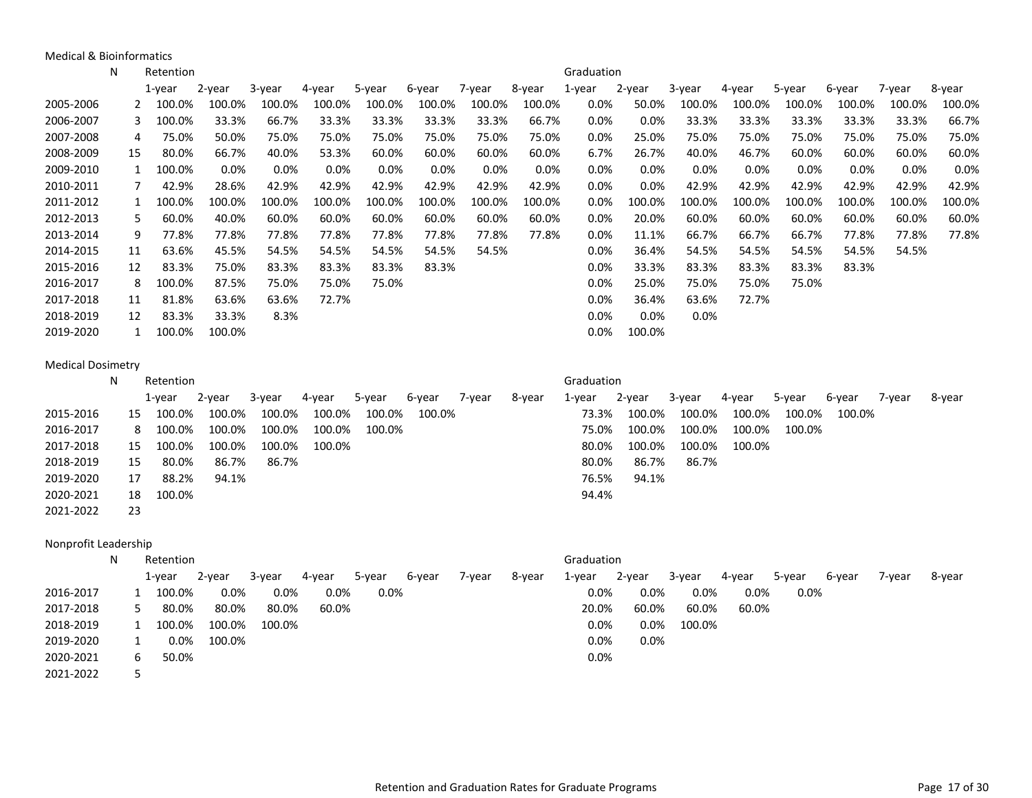Medical & Bioinformatics

|                          | N  | Retention |        |        |        |        |        |        |        | Graduation |        |        |        |        |        |        |        |
|--------------------------|----|-----------|--------|--------|--------|--------|--------|--------|--------|------------|--------|--------|--------|--------|--------|--------|--------|
|                          |    | 1-year    | 2-year | 3-year | 4-year | 5-year | 6-year | 7-year | 8-year | 1-year     | 2-year | 3-year | 4-year | 5-year | 6-year | 7-year | 8-year |
| 2005-2006                | 2  | 100.0%    | 100.0% | 100.0% | 100.0% | 100.0% | 100.0% | 100.0% | 100.0% | 0.0%       | 50.0%  | 100.0% | 100.0% | 100.0% | 100.0% | 100.0% | 100.0% |
| 2006-2007                | 3  | 100.0%    | 33.3%  | 66.7%  | 33.3%  | 33.3%  | 33.3%  | 33.3%  | 66.7%  | 0.0%       | 0.0%   | 33.3%  | 33.3%  | 33.3%  | 33.3%  | 33.3%  | 66.7%  |
| 2007-2008                | 4  | 75.0%     | 50.0%  | 75.0%  | 75.0%  | 75.0%  | 75.0%  | 75.0%  | 75.0%  | 0.0%       | 25.0%  | 75.0%  | 75.0%  | 75.0%  | 75.0%  | 75.0%  | 75.0%  |
| 2008-2009                | 15 | 80.0%     | 66.7%  | 40.0%  | 53.3%  | 60.0%  | 60.0%  | 60.0%  | 60.0%  | 6.7%       | 26.7%  | 40.0%  | 46.7%  | 60.0%  | 60.0%  | 60.0%  | 60.0%  |
| 2009-2010                | 1  | 100.0%    | 0.0%   | 0.0%   | 0.0%   | 0.0%   | 0.0%   | 0.0%   | 0.0%   | 0.0%       | 0.0%   | 0.0%   | 0.0%   | 0.0%   | 0.0%   | 0.0%   | 0.0%   |
| 2010-2011                | 7  | 42.9%     | 28.6%  | 42.9%  | 42.9%  | 42.9%  | 42.9%  | 42.9%  | 42.9%  | 0.0%       | 0.0%   | 42.9%  | 42.9%  | 42.9%  | 42.9%  | 42.9%  | 42.9%  |
| 2011-2012                | 1  | 100.0%    | 100.0% | 100.0% | 100.0% | 100.0% | 100.0% | 100.0% | 100.0% | 0.0%       | 100.0% | 100.0% | 100.0% | 100.0% | 100.0% | 100.0% | 100.0% |
| 2012-2013                | 5  | 60.0%     | 40.0%  | 60.0%  | 60.0%  | 60.0%  | 60.0%  | 60.0%  | 60.0%  | 0.0%       | 20.0%  | 60.0%  | 60.0%  | 60.0%  | 60.0%  | 60.0%  | 60.0%  |
| 2013-2014                | 9  | 77.8%     | 77.8%  | 77.8%  | 77.8%  | 77.8%  | 77.8%  | 77.8%  | 77.8%  | 0.0%       | 11.1%  | 66.7%  | 66.7%  | 66.7%  | 77.8%  | 77.8%  | 77.8%  |
| 2014-2015                | 11 | 63.6%     | 45.5%  | 54.5%  | 54.5%  | 54.5%  | 54.5%  | 54.5%  |        | 0.0%       | 36.4%  | 54.5%  | 54.5%  | 54.5%  | 54.5%  | 54.5%  |        |
| 2015-2016                | 12 | 83.3%     | 75.0%  | 83.3%  | 83.3%  | 83.3%  | 83.3%  |        |        | 0.0%       | 33.3%  | 83.3%  | 83.3%  | 83.3%  | 83.3%  |        |        |
| 2016-2017                | 8  | 100.0%    | 87.5%  | 75.0%  | 75.0%  | 75.0%  |        |        |        | 0.0%       | 25.0%  | 75.0%  | 75.0%  | 75.0%  |        |        |        |
| 2017-2018                | 11 | 81.8%     | 63.6%  | 63.6%  | 72.7%  |        |        |        |        | 0.0%       | 36.4%  | 63.6%  | 72.7%  |        |        |        |        |
| 2018-2019                | 12 | 83.3%     | 33.3%  | 8.3%   |        |        |        |        |        | 0.0%       | 0.0%   | 0.0%   |        |        |        |        |        |
| 2019-2020                | 1  | 100.0%    | 100.0% |        |        |        |        |        |        | 0.0%       | 100.0% |        |        |        |        |        |        |
|                          |    |           |        |        |        |        |        |        |        |            |        |        |        |        |        |        |        |
| <b>Medical Dosimetry</b> |    |           |        |        |        |        |        |        |        |            |        |        |        |        |        |        |        |
|                          | N  | Retention |        |        |        |        |        |        |        | Graduation |        |        |        |        |        |        |        |
|                          |    | 1-year    | 2-year | 3-year | 4-year | 5-year | 6-year | 7-year | 8-year | 1-year     | 2-year | 3-year | 4-year | 5-year | 6-year | 7-year | 8-year |
| 2015-2016                | 15 | 100.0%    | 100.0% | 100.0% | 100.0% | 100.0% | 100.0% |        |        | 73.3%      | 100.0% | 100.0% | 100.0% | 100.0% | 100.0% |        |        |
| 2016-2017                | 8  | 100.0%    | 100.0% | 100.0% | 100.0% | 100.0% |        |        |        | 75.0%      | 100.0% | 100.0% | 100.0% | 100.0% |        |        |        |
| 2017-2018                | 15 | 100.0%    | 100.0% | 100.0% | 100.0% |        |        |        |        | 80.0%      | 100.0% | 100.0% | 100.0% |        |        |        |        |
| 2018-2019                | 15 | 80.0%     | 86.7%  | 86.7%  |        |        |        |        |        | 80.0%      | 86.7%  | 86.7%  |        |        |        |        |        |
| 2019-2020                | 17 | 88.2%     | 94.1%  |        |        |        |        |        |        | 76.5%      | 94.1%  |        |        |        |        |        |        |
| 2020-2021                | 18 | 100.0%    |        |        |        |        |        |        |        | 94.4%      |        |        |        |        |        |        |        |
| 2021-2022                | 23 |           |        |        |        |        |        |        |        |            |        |        |        |        |        |        |        |
| Nonprofit Leadership     |    |           |        |        |        |        |        |        |        |            |        |        |        |        |        |        |        |
|                          | N  | Retention |        |        |        |        |        |        |        | Graduation |        |        |        |        |        |        |        |
|                          |    | 1-year    | 2-year | 3-year | 4-year | 5-year | 6-year | 7-year | 8-year | 1-year     | 2-year | 3-year | 4-year | 5-year | 6-year | 7-year | 8-year |
| 2016-2017                | 1  | 100.0%    | 0.0%   | 0.0%   | 0.0%   | 0.0%   |        |        |        | 0.0%       | 0.0%   | 0.0%   | 0.0%   | 0.0%   |        |        |        |
| 2017-2018                | 5  | 80.0%     | 80.0%  | 80.0%  | 60.0%  |        |        |        |        | 20.0%      | 60.0%  | 60.0%  | 60.0%  |        |        |        |        |
| 2018-2019                | 1  | 100.0%    | 100.0% | 100.0% |        |        |        |        |        | 0.0%       | 0.0%   | 100.0% |        |        |        |        |        |
| 2019-2020                | 1  | 0.0%      | 100.0% |        |        |        |        |        |        | 0.0%       | 0.0%   |        |        |        |        |        |        |
|                          | 6  |           |        |        |        |        |        |        |        |            |        |        |        |        |        |        |        |
|                          | 5  |           |        |        |        |        |        |        |        |            |        |        |        |        |        |        |        |
| 2020-2021<br>2021-2022   |    | 50.0%     |        |        |        |        |        |        |        | 0.0%       |        |        |        |        |        |        |        |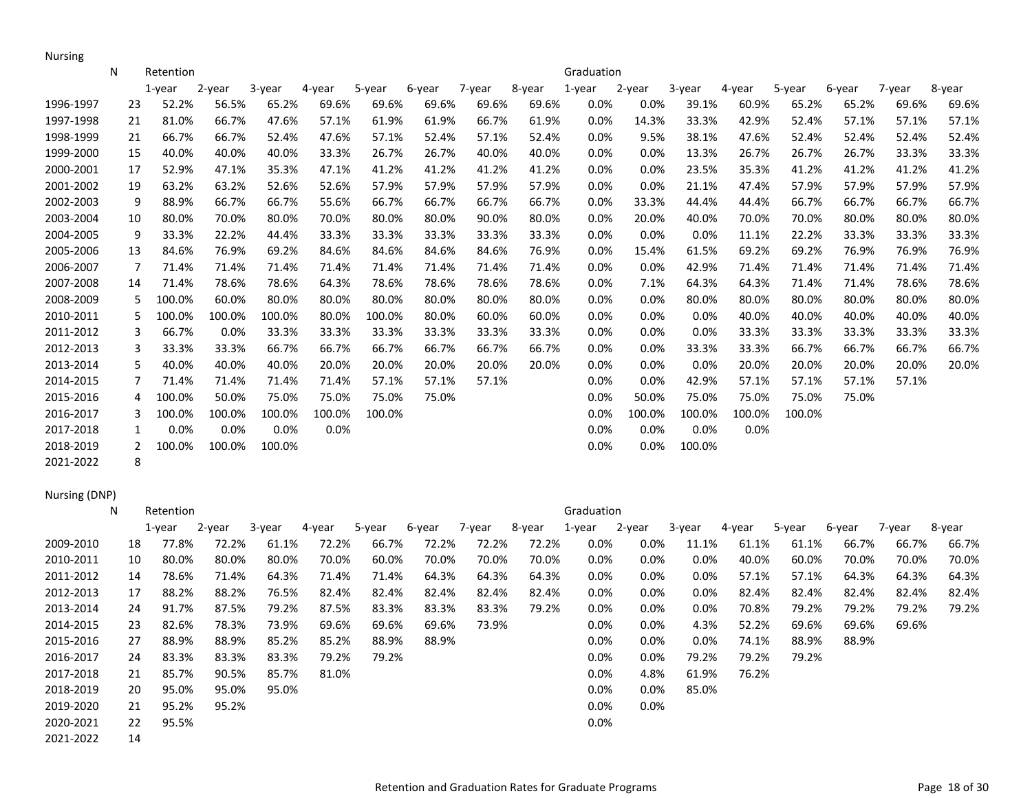Nursing

|           | N  | Retention |        |        |        |        |        |        |        | Graduation |         |        |        |        |        |        |        |
|-----------|----|-----------|--------|--------|--------|--------|--------|--------|--------|------------|---------|--------|--------|--------|--------|--------|--------|
|           |    | $1$ -year | 2-year | 3-year | 4-year | 5-year | 6-year | 7-year | 8-year | $1$ -year  | 2-year  | 3-year | 4-year | 5-year | 6-year | 7-year | 8-year |
| 1996-1997 | 23 | 52.2%     | 56.5%  | 65.2%  | 69.6%  | 69.6%  | 69.6%  | 69.6%  | 69.6%  | 0.0%       | 0.0%    | 39.1%  | 60.9%  | 65.2%  | 65.2%  | 69.6%  | 69.6%  |
| 1997-1998 | 21 | 81.0%     | 66.7%  | 47.6%  | 57.1%  | 61.9%  | 61.9%  | 66.7%  | 61.9%  | 0.0%       | 14.3%   | 33.3%  | 42.9%  | 52.4%  | 57.1%  | 57.1%  | 57.1%  |
| 1998-1999 | 21 | 66.7%     | 66.7%  | 52.4%  | 47.6%  | 57.1%  | 52.4%  | 57.1%  | 52.4%  | 0.0%       | 9.5%    | 38.1%  | 47.6%  | 52.4%  | 52.4%  | 52.4%  | 52.4%  |
| 1999-2000 | 15 | 40.0%     | 40.0%  | 40.0%  | 33.3%  | 26.7%  | 26.7%  | 40.0%  | 40.0%  | $0.0\%$    | 0.0%    | 13.3%  | 26.7%  | 26.7%  | 26.7%  | 33.3%  | 33.3%  |
| 2000-2001 | 17 | 52.9%     | 47.1%  | 35.3%  | 47.1%  | 41.2%  | 41.2%  | 41.2%  | 41.2%  | $0.0\%$    | $0.0\%$ | 23.5%  | 35.3%  | 41.2%  | 41.2%  | 41.2%  | 41.2%  |
| 2001-2002 | 19 | 63.2%     | 63.2%  | 52.6%  | 52.6%  | 57.9%  | 57.9%  | 57.9%  | 57.9%  | 0.0%       | 0.0%    | 21.1%  | 47.4%  | 57.9%  | 57.9%  | 57.9%  | 57.9%  |
| 2002-2003 | 9  | 88.9%     | 66.7%  | 66.7%  | 55.6%  | 66.7%  | 66.7%  | 66.7%  | 66.7%  | $0.0\%$    | 33.3%   | 44.4%  | 44.4%  | 66.7%  | 66.7%  | 66.7%  | 66.7%  |
| 2003-2004 | 10 | 80.0%     | 70.0%  | 80.0%  | 70.0%  | 80.0%  | 80.0%  | 90.0%  | 80.0%  | $0.0\%$    | 20.0%   | 40.0%  | 70.0%  | 70.0%  | 80.0%  | 80.0%  | 80.0%  |
| 2004-2005 | 9  | 33.3%     | 22.2%  | 44.4%  | 33.3%  | 33.3%  | 33.3%  | 33.3%  | 33.3%  | 0.0%       | 0.0%    | 0.0%   | 11.1%  | 22.2%  | 33.3%  | 33.3%  | 33.3%  |
| 2005-2006 | 13 | 84.6%     | 76.9%  | 69.2%  | 84.6%  | 84.6%  | 84.6%  | 84.6%  | 76.9%  | 0.0%       | 15.4%   | 61.5%  | 69.2%  | 69.2%  | 76.9%  | 76.9%  | 76.9%  |
| 2006-2007 | 7  | 71.4%     | 71.4%  | 71.4%  | 71.4%  | 71.4%  | 71.4%  | 71.4%  | 71.4%  | $0.0\%$    | 0.0%    | 42.9%  | 71.4%  | 71.4%  | 71.4%  | 71.4%  | 71.4%  |
| 2007-2008 | 14 | 71.4%     | 78.6%  | 78.6%  | 64.3%  | 78.6%  | 78.6%  | 78.6%  | 78.6%  | $0.0\%$    | 7.1%    | 64.3%  | 64.3%  | 71.4%  | 71.4%  | 78.6%  | 78.6%  |
| 2008-2009 | 5  | 100.0%    | 60.0%  | 80.0%  | 80.0%  | 80.0%  | 80.0%  | 80.0%  | 80.0%  | 0.0%       | 0.0%    | 80.0%  | 80.0%  | 80.0%  | 80.0%  | 80.0%  | 80.0%  |
| 2010-2011 | 5  | 100.0%    | 100.0% | 100.0% | 80.0%  | 100.0% | 80.0%  | 60.0%  | 60.0%  | 0.0%       | 0.0%    | 0.0%   | 40.0%  | 40.0%  | 40.0%  | 40.0%  | 40.0%  |
| 2011-2012 | 3  | 66.7%     | 0.0%   | 33.3%  | 33.3%  | 33.3%  | 33.3%  | 33.3%  | 33.3%  | 0.0%       | $0.0\%$ | 0.0%   | 33.3%  | 33.3%  | 33.3%  | 33.3%  | 33.3%  |
| 2012-2013 | 3  | 33.3%     | 33.3%  | 66.7%  | 66.7%  | 66.7%  | 66.7%  | 66.7%  | 66.7%  | 0.0%       | 0.0%    | 33.3%  | 33.3%  | 66.7%  | 66.7%  | 66.7%  | 66.7%  |
| 2013-2014 | 5  | 40.0%     | 40.0%  | 40.0%  | 20.0%  | 20.0%  | 20.0%  | 20.0%  | 20.0%  | 0.0%       | 0.0%    | 0.0%   | 20.0%  | 20.0%  | 20.0%  | 20.0%  | 20.0%  |
| 2014-2015 | 7  | 71.4%     | 71.4%  | 71.4%  | 71.4%  | 57.1%  | 57.1%  | 57.1%  |        | 0.0%       | 0.0%    | 42.9%  | 57.1%  | 57.1%  | 57.1%  | 57.1%  |        |
| 2015-2016 | 4  | 100.0%    | 50.0%  | 75.0%  | 75.0%  | 75.0%  | 75.0%  |        |        | 0.0%       | 50.0%   | 75.0%  | 75.0%  | 75.0%  | 75.0%  |        |        |
| 2016-2017 | 3  | 100.0%    | 100.0% | 100.0% | 100.0% | 100.0% |        |        |        | 0.0%       | 100.0%  | 100.0% | 100.0% | 100.0% |        |        |        |
| 2017-2018 | 1  | 0.0%      | 0.0%   | 0.0%   | 0.0%   |        |        |        |        | 0.0%       | 0.0%    | 0.0%   | 0.0%   |        |        |        |        |
| 2018-2019 | 2  | 100.0%    | 100.0% | 100.0% |        |        |        |        |        | 0.0%       | 0.0%    | 100.0% |        |        |        |        |        |
| 2021-2022 | 8  |           |        |        |        |        |        |        |        |            |         |        |        |        |        |        |        |

## Nursing (DNP)

|           | N | Retention   |        |        |        |        |        |        |        | Graduation |         |         |        |        |        |        |        |
|-----------|---|-------------|--------|--------|--------|--------|--------|--------|--------|------------|---------|---------|--------|--------|--------|--------|--------|
|           |   | 1-year      | 2-year | 3-year | 4-year | 5-year | 6-year | 7-year | 8-year | 1-year     | 2-year  | 3-year  | 4-year | 5-year | 6-year | 7-year | 8-year |
| 2009-2010 |   | 77.8%<br>18 | 72.2%  | 61.1%  | 72.2%  | 66.7%  | 72.2%  | 72.2%  | 72.2%  | 0.0%       | $0.0\%$ | 11.1%   | 61.1%  | 61.1%  | 66.7%  | 66.7%  | 66.7%  |
| 2010-2011 |   | 80.0%<br>10 | 80.0%  | 80.0%  | 70.0%  | 60.0%  | 70.0%  | 70.0%  | 70.0%  | $0.0\%$    | $0.0\%$ | $0.0\%$ | 40.0%  | 60.0%  | 70.0%  | 70.0%  | 70.0%  |
| 2011-2012 |   | 78.6%<br>14 | 71.4%  | 64.3%  | 71.4%  | 71.4%  | 64.3%  | 64.3%  | 64.3%  | $0.0\%$    | 0.0%    | $0.0\%$ | 57.1%  | 57.1%  | 64.3%  | 64.3%  | 64.3%  |
| 2012-2013 |   | 88.2%<br>17 | 88.2%  | 76.5%  | 82.4%  | 82.4%  | 82.4%  | 82.4%  | 82.4%  | $0.0\%$    | 0.0%    | $0.0\%$ | 82.4%  | 82.4%  | 82.4%  | 82.4%  | 82.4%  |
| 2013-2014 |   | 91.7%<br>24 | 87.5%  | 79.2%  | 87.5%  | 83.3%  | 83.3%  | 83.3%  | 79.2%  | 0.0%       | 0.0%    | $0.0\%$ | 70.8%  | 79.2%  | 79.2%  | 79.2%  | 79.2%  |
| 2014-2015 |   | 23<br>82.6% | 78.3%  | 73.9%  | 69.6%  | 69.6%  | 69.6%  | 73.9%  |        | $0.0\%$    | $0.0\%$ | 4.3%    | 52.2%  | 69.6%  | 69.6%  | 69.6%  |        |
| 2015-2016 |   | 27<br>88.9% | 88.9%  | 85.2%  | 85.2%  | 88.9%  | 88.9%  |        |        | 0.0%       | $0.0\%$ | $0.0\%$ | 74.1%  | 88.9%  | 88.9%  |        |        |
| 2016-2017 |   | 83.3%<br>24 | 83.3%  | 83.3%  | 79.2%  | 79.2%  |        |        |        | $0.0\%$    | $0.0\%$ | 79.2%   | 79.2%  | 79.2%  |        |        |        |
| 2017-2018 |   | 85.7%<br>21 | 90.5%  | 85.7%  | 81.0%  |        |        |        |        | 0.0%       | 4.8%    | 61.9%   | 76.2%  |        |        |        |        |
| 2018-2019 |   | 95.0%<br>20 | 95.0%  | 95.0%  |        |        |        |        |        | 0.0%       | 0.0%    | 85.0%   |        |        |        |        |        |
| 2019-2020 |   | 95.2%<br>21 | 95.2%  |        |        |        |        |        |        | 0.0%       | $0.0\%$ |         |        |        |        |        |        |
| 2020-2021 |   | 95.5%<br>22 |        |        |        |        |        |        |        | 0.0%       |         |         |        |        |        |        |        |
| 2021-2022 |   | 14          |        |        |        |        |        |        |        |            |         |         |        |        |        |        |        |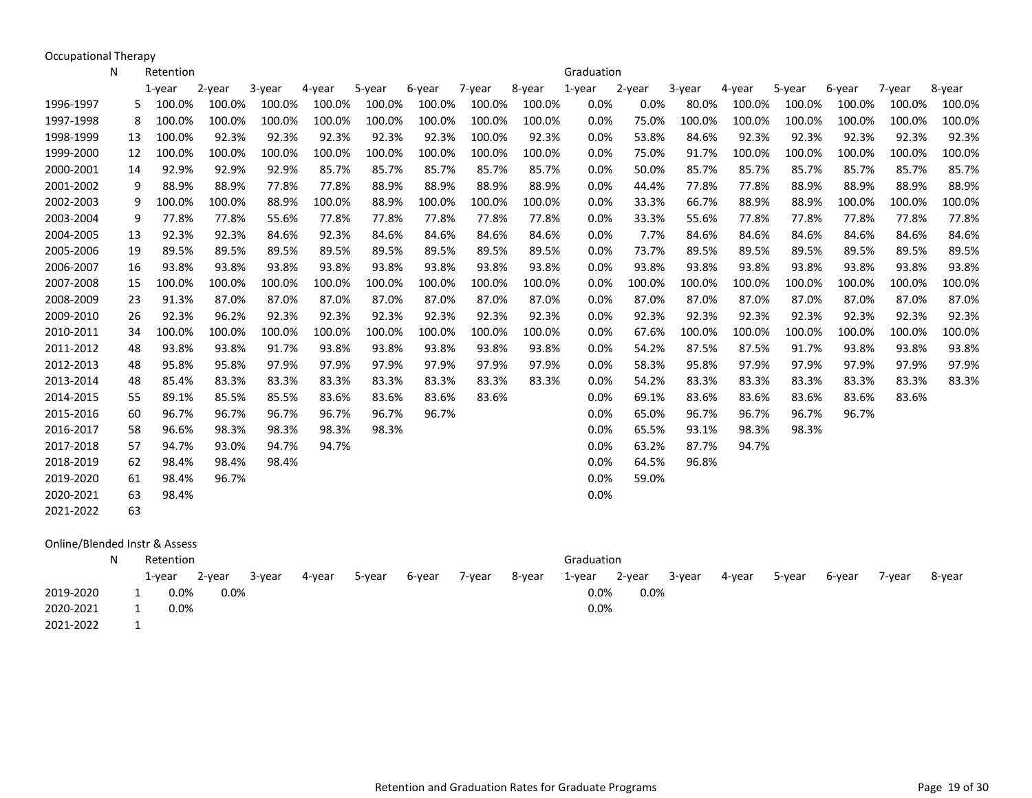Occupational Therapy

|           | N | Retention    |        |        |        |        |        |        |        | Graduation |        |        |        |        |        |        |        |
|-----------|---|--------------|--------|--------|--------|--------|--------|--------|--------|------------|--------|--------|--------|--------|--------|--------|--------|
|           |   | $1$ -year    | 2-year | 3-year | 4-year | 5-year | 6-year | 7-year | 8-year | 1-year     | 2-year | 3-year | 4-year | 5-year | 6-year | 7-year | 8-year |
| 1996-1997 |   | 100.0%<br>5  | 100.0% | 100.0% | 100.0% | 100.0% | 100.0% | 100.0% | 100.0% | 0.0%       | 0.0%   | 80.0%  | 100.0% | 100.0% | 100.0% | 100.0% | 100.0% |
| 1997-1998 |   | 100.0%<br>8  | 100.0% | 100.0% | 100.0% | 100.0% | 100.0% | 100.0% | 100.0% | 0.0%       | 75.0%  | 100.0% | 100.0% | 100.0% | 100.0% | 100.0% | 100.0% |
| 1998-1999 |   | 100.0%<br>13 | 92.3%  | 92.3%  | 92.3%  | 92.3%  | 92.3%  | 100.0% | 92.3%  | 0.0%       | 53.8%  | 84.6%  | 92.3%  | 92.3%  | 92.3%  | 92.3%  | 92.3%  |
| 1999-2000 |   | 100.0%<br>12 | 100.0% | 100.0% | 100.0% | 100.0% | 100.0% | 100.0% | 100.0% | 0.0%       | 75.0%  | 91.7%  | 100.0% | 100.0% | 100.0% | 100.0% | 100.0% |
| 2000-2001 |   | 92.9%<br>14  | 92.9%  | 92.9%  | 85.7%  | 85.7%  | 85.7%  | 85.7%  | 85.7%  | 0.0%       | 50.0%  | 85.7%  | 85.7%  | 85.7%  | 85.7%  | 85.7%  | 85.7%  |
| 2001-2002 |   | 9<br>88.9%   | 88.9%  | 77.8%  | 77.8%  | 88.9%  | 88.9%  | 88.9%  | 88.9%  | 0.0%       | 44.4%  | 77.8%  | 77.8%  | 88.9%  | 88.9%  | 88.9%  | 88.9%  |
| 2002-2003 |   | 100.0%<br>9  | 100.0% | 88.9%  | 100.0% | 88.9%  | 100.0% | 100.0% | 100.0% | 0.0%       | 33.3%  | 66.7%  | 88.9%  | 88.9%  | 100.0% | 100.0% | 100.0% |
| 2003-2004 |   | 9<br>77.8%   | 77.8%  | 55.6%  | 77.8%  | 77.8%  | 77.8%  | 77.8%  | 77.8%  | 0.0%       | 33.3%  | 55.6%  | 77.8%  | 77.8%  | 77.8%  | 77.8%  | 77.8%  |
| 2004-2005 |   | 92.3%<br>13  | 92.3%  | 84.6%  | 92.3%  | 84.6%  | 84.6%  | 84.6%  | 84.6%  | 0.0%       | 7.7%   | 84.6%  | 84.6%  | 84.6%  | 84.6%  | 84.6%  | 84.6%  |
| 2005-2006 |   | 19<br>89.5%  | 89.5%  | 89.5%  | 89.5%  | 89.5%  | 89.5%  | 89.5%  | 89.5%  | 0.0%       | 73.7%  | 89.5%  | 89.5%  | 89.5%  | 89.5%  | 89.5%  | 89.5%  |
| 2006-2007 |   | 93.8%<br>16  | 93.8%  | 93.8%  | 93.8%  | 93.8%  | 93.8%  | 93.8%  | 93.8%  | 0.0%       | 93.8%  | 93.8%  | 93.8%  | 93.8%  | 93.8%  | 93.8%  | 93.8%  |
| 2007-2008 |   | 100.0%<br>15 | 100.0% | 100.0% | 100.0% | 100.0% | 100.0% | 100.0% | 100.0% | 0.0%       | 100.0% | 100.0% | 100.0% | 100.0% | 100.0% | 100.0% | 100.0% |
| 2008-2009 |   | 91.3%<br>23  | 87.0%  | 87.0%  | 87.0%  | 87.0%  | 87.0%  | 87.0%  | 87.0%  | 0.0%       | 87.0%  | 87.0%  | 87.0%  | 87.0%  | 87.0%  | 87.0%  | 87.0%  |
| 2009-2010 |   | 92.3%<br>26  | 96.2%  | 92.3%  | 92.3%  | 92.3%  | 92.3%  | 92.3%  | 92.3%  | 0.0%       | 92.3%  | 92.3%  | 92.3%  | 92.3%  | 92.3%  | 92.3%  | 92.3%  |
| 2010-2011 |   | 100.0%<br>34 | 100.0% | 100.0% | 100.0% | 100.0% | 100.0% | 100.0% | 100.0% | 0.0%       | 67.6%  | 100.0% | 100.0% | 100.0% | 100.0% | 100.0% | 100.0% |
| 2011-2012 |   | 93.8%<br>48  | 93.8%  | 91.7%  | 93.8%  | 93.8%  | 93.8%  | 93.8%  | 93.8%  | 0.0%       | 54.2%  | 87.5%  | 87.5%  | 91.7%  | 93.8%  | 93.8%  | 93.8%  |
| 2012-2013 |   | 48<br>95.8%  | 95.8%  | 97.9%  | 97.9%  | 97.9%  | 97.9%  | 97.9%  | 97.9%  | 0.0%       | 58.3%  | 95.8%  | 97.9%  | 97.9%  | 97.9%  | 97.9%  | 97.9%  |
| 2013-2014 |   | 48<br>85.4%  | 83.3%  | 83.3%  | 83.3%  | 83.3%  | 83.3%  | 83.3%  | 83.3%  | 0.0%       | 54.2%  | 83.3%  | 83.3%  | 83.3%  | 83.3%  | 83.3%  | 83.3%  |
| 2014-2015 |   | 55<br>89.1%  | 85.5%  | 85.5%  | 83.6%  | 83.6%  | 83.6%  | 83.6%  |        | 0.0%       | 69.1%  | 83.6%  | 83.6%  | 83.6%  | 83.6%  | 83.6%  |        |
| 2015-2016 |   | 96.7%<br>60  | 96.7%  | 96.7%  | 96.7%  | 96.7%  | 96.7%  |        |        | 0.0%       | 65.0%  | 96.7%  | 96.7%  | 96.7%  | 96.7%  |        |        |
| 2016-2017 |   | 58<br>96.6%  | 98.3%  | 98.3%  | 98.3%  | 98.3%  |        |        |        | 0.0%       | 65.5%  | 93.1%  | 98.3%  | 98.3%  |        |        |        |
| 2017-2018 |   | 94.7%<br>57  | 93.0%  | 94.7%  | 94.7%  |        |        |        |        | 0.0%       | 63.2%  | 87.7%  | 94.7%  |        |        |        |        |
| 2018-2019 |   | 98.4%<br>62  | 98.4%  | 98.4%  |        |        |        |        |        | 0.0%       | 64.5%  | 96.8%  |        |        |        |        |        |
| 2019-2020 |   | 98.4%<br>61  | 96.7%  |        |        |        |        |        |        | 0.0%       | 59.0%  |        |        |        |        |        |        |
| 2020-2021 |   | 98.4%<br>63  |        |        |        |        |        |        |        | 0.0%       |        |        |        |        |        |        |        |
| 2021-2022 |   | 63           |        |        |        |        |        |        |        |            |        |        |        |        |        |        |        |
|           |   |              |        |        |        |        |        |        |        |            |        |        |        |        |        |        |        |

## Online/Blended Instr & Assess

|           |  | Retention |        |        |        |        |        |        |        | Graduation |        |        |        |        |        |        |        |
|-----------|--|-----------|--------|--------|--------|--------|--------|--------|--------|------------|--------|--------|--------|--------|--------|--------|--------|
|           |  | 1-year    | 2-year | 3-year | 4-year | 5-year | 6-year | 7-year | 8-year | 1-year     | 2-year | 3-year | 4-year | 5-year | 6-year | 7-vear | 8-year |
| 2019-2020 |  | 0.0%      | 0.0%   |        |        |        |        |        |        | 0.0%       | 0.0%   |        |        |        |        |        |        |
| 2020-2021 |  | 0.0%      |        |        |        |        |        |        |        | 0.0%       |        |        |        |        |        |        |        |
| 2021-2022 |  |           |        |        |        |        |        |        |        |            |        |        |        |        |        |        |        |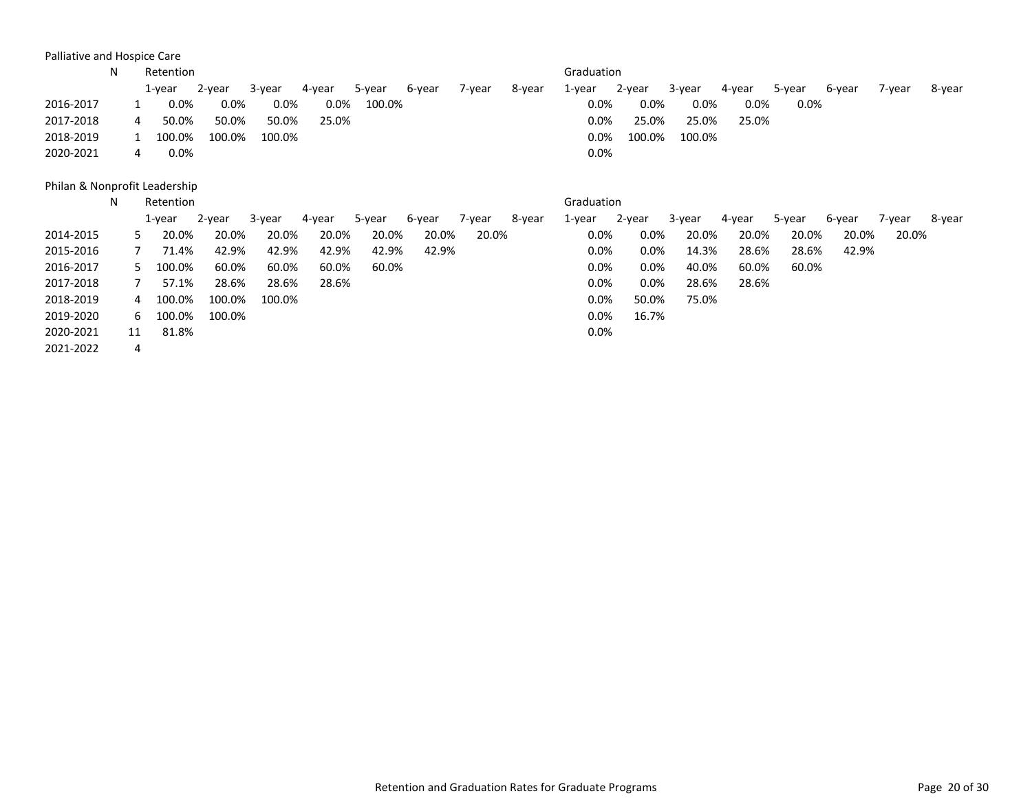Palliative and Hospice Care

|           | N |   | Retention |        |         |        |        |        |        |        | Graduation |        |        |        |        |        |        |        |
|-----------|---|---|-----------|--------|---------|--------|--------|--------|--------|--------|------------|--------|--------|--------|--------|--------|--------|--------|
|           |   |   | 1-year    | 2-year | 3-year  | 4-year | 5-year | 6-year | 7-year | 8-year | 1-year     | 2-year | 3-year | 4-year | 5-year | 6-year | 7-vear | 8-year |
| 2016-2017 |   |   | $0.0\%$   | 0.0%   | $0.0\%$ | 0.0%   | 100.0% |        |        |        | $0.0\%$    | 0.0%   | 0.0%   | 0.0%   | 0.0%   |        |        |        |
| 2017-2018 |   | 4 | 50.0%     | 50.0%  | 50.0%   | 25.0%  |        |        |        |        | $0.0\%$    | 25.0%  | 25.0%  | 25.0%  |        |        |        |        |
| 2018-2019 |   |   | 100.0%    | 100.0% | 100.0%  |        |        |        |        |        | $0.0\%$    | 100.0% | 100.0% |        |        |        |        |        |
| 2020-2021 |   | 4 | $0.0\%$   |        |         |        |        |        |        |        | 0.0%       |        |        |        |        |        |        |        |

Philan & Nonprofit Leadership

|           | N |        | Retention |        |        |        |        |        |        |        | Graduation |         |        |        |        |        |        |        |
|-----------|---|--------|-----------|--------|--------|--------|--------|--------|--------|--------|------------|---------|--------|--------|--------|--------|--------|--------|
|           |   | 1-year |           | 2-year | 3-year | 4-year | 5-year | 6-year | 7-year | 8-year | 1-year     | 2-year  | 3-year | 4-year | 5-year | 6-year | 7-year | 8-year |
| 2014-2015 |   |        | 20.0%     | 20.0%  | 20.0%  | 20.0%  | 20.0%  | 20.0%  | 20.0%  |        | $0.0\%$    | 0.0%    | 20.0%  | 20.0%  | 20.0%  | 20.0%  | 20.0%  |        |
| 2015-2016 |   |        | 71.4%     | 42.9%  | 42.9%  | 42.9%  | 42.9%  | 42.9%  |        |        | $0.0\%$    | $0.0\%$ | 14.3%  | 28.6%  | 28.6%  | 42.9%  |        |        |
| 2016-2017 |   | 5.     | 100.0%    | 60.0%  | 60.0%  | 60.0%  | 60.0%  |        |        |        | $0.0\%$    | 0.0%    | 40.0%  | 60.0%  | 60.0%  |        |        |        |
| 2017-2018 |   |        | 57.1%     | 28.6%  | 28.6%  | 28.6%  |        |        |        |        | 0.0%       | 0.0%    | 28.6%  | 28.6%  |        |        |        |        |
| 2018-2019 |   | 4      | 100.0%    | 100.0% | 100.0% |        |        |        |        |        | $0.0\%$    | 50.0%   | 75.0%  |        |        |        |        |        |
| 2019-2020 |   | 6.     | 100.0%    | 100.0% |        |        |        |        |        |        | $0.0\%$    | 16.7%   |        |        |        |        |        |        |
| 2020-2021 |   | 11     | 81.8%     |        |        |        |        |        |        |        | $0.0\%$    |         |        |        |        |        |        |        |
| 2021-2022 |   | 4      |           |        |        |        |        |        |        |        |            |         |        |        |        |        |        |        |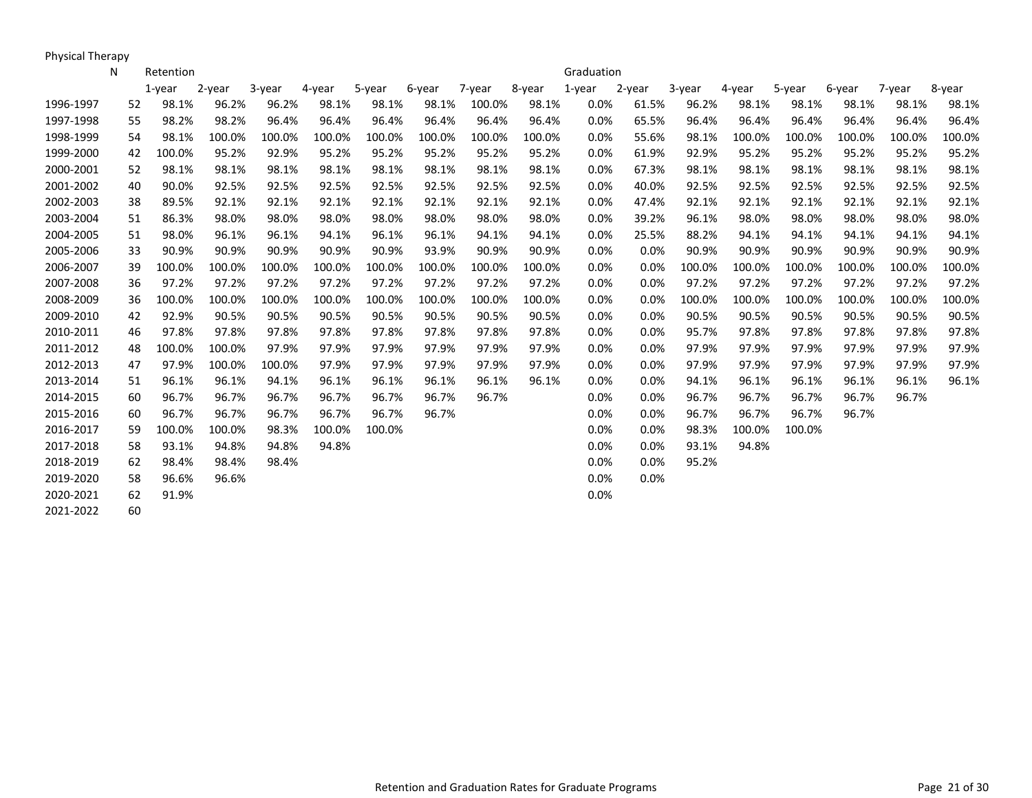Physical Therapy

|           | Ν  | Retention    |        |        |        |        |        |        |        | Graduation |         |        |        |        |        |        |        |
|-----------|----|--------------|--------|--------|--------|--------|--------|--------|--------|------------|---------|--------|--------|--------|--------|--------|--------|
|           |    | 1-vear       | 2-year | 3-year | 4-year | 5-year | 6-year | 7-year | 8-year | 1-year     | 2-year  | 3-year | 4-year | 5-year | 6-year | 7-year | 8-year |
| 1996-1997 |    | 98.1%<br>52  | 96.2%  | 96.2%  | 98.1%  | 98.1%  | 98.1%  | 100.0% | 98.1%  | 0.0%       | 61.5%   | 96.2%  | 98.1%  | 98.1%  | 98.1%  | 98.1%  | 98.1%  |
| 1997-1998 | 55 | 98.2%        | 98.2%  | 96.4%  | 96.4%  | 96.4%  | 96.4%  | 96.4%  | 96.4%  | 0.0%       | 65.5%   | 96.4%  | 96.4%  | 96.4%  | 96.4%  | 96.4%  | 96.4%  |
| 1998-1999 |    | 54<br>98.1%  | 100.0% | 100.0% | 100.0% | 100.0% | 100.0% | 100.0% | 100.0% | 0.0%       | 55.6%   | 98.1%  | 100.0% | 100.0% | 100.0% | 100.0% | 100.0% |
| 1999-2000 | 42 | 100.0%       | 95.2%  | 92.9%  | 95.2%  | 95.2%  | 95.2%  | 95.2%  | 95.2%  | 0.0%       | 61.9%   | 92.9%  | 95.2%  | 95.2%  | 95.2%  | 95.2%  | 95.2%  |
| 2000-2001 |    | 98.1%<br>52  | 98.1%  | 98.1%  | 98.1%  | 98.1%  | 98.1%  | 98.1%  | 98.1%  | 0.0%       | 67.3%   | 98.1%  | 98.1%  | 98.1%  | 98.1%  | 98.1%  | 98.1%  |
| 2001-2002 | 40 | 90.0%        | 92.5%  | 92.5%  | 92.5%  | 92.5%  | 92.5%  | 92.5%  | 92.5%  | 0.0%       | 40.0%   | 92.5%  | 92.5%  | 92.5%  | 92.5%  | 92.5%  | 92.5%  |
| 2002-2003 |    | 89.5%<br>38  | 92.1%  | 92.1%  | 92.1%  | 92.1%  | 92.1%  | 92.1%  | 92.1%  | 0.0%       | 47.4%   | 92.1%  | 92.1%  | 92.1%  | 92.1%  | 92.1%  | 92.1%  |
| 2003-2004 | 51 | 86.3%        | 98.0%  | 98.0%  | 98.0%  | 98.0%  | 98.0%  | 98.0%  | 98.0%  | 0.0%       | 39.2%   | 96.1%  | 98.0%  | 98.0%  | 98.0%  | 98.0%  | 98.0%  |
| 2004-2005 | 51 | 98.0%        | 96.1%  | 96.1%  | 94.1%  | 96.1%  | 96.1%  | 94.1%  | 94.1%  | 0.0%       | 25.5%   | 88.2%  | 94.1%  | 94.1%  | 94.1%  | 94.1%  | 94.1%  |
| 2005-2006 |    | 90.9%<br>33  | 90.9%  | 90.9%  | 90.9%  | 90.9%  | 93.9%  | 90.9%  | 90.9%  | 0.0%       | 0.0%    | 90.9%  | 90.9%  | 90.9%  | 90.9%  | 90.9%  | 90.9%  |
| 2006-2007 |    | 100.0%<br>39 | 100.0% | 100.0% | 100.0% | 100.0% | 100.0% | 100.0% | 100.0% | 0.0%       | 0.0%    | 100.0% | 100.0% | 100.0% | 100.0% | 100.0% | 100.0% |
| 2007-2008 |    | 97.2%<br>36  | 97.2%  | 97.2%  | 97.2%  | 97.2%  | 97.2%  | 97.2%  | 97.2%  | 0.0%       | 0.0%    | 97.2%  | 97.2%  | 97.2%  | 97.2%  | 97.2%  | 97.2%  |
| 2008-2009 |    | 100.0%<br>36 | 100.0% | 100.0% | 100.0% | 100.0% | 100.0% | 100.0% | 100.0% | 0.0%       | 0.0%    | 100.0% | 100.0% | 100.0% | 100.0% | 100.0% | 100.0% |
| 2009-2010 | 42 | 92.9%        | 90.5%  | 90.5%  | 90.5%  | 90.5%  | 90.5%  | 90.5%  | 90.5%  | 0.0%       | 0.0%    | 90.5%  | 90.5%  | 90.5%  | 90.5%  | 90.5%  | 90.5%  |
| 2010-2011 | 46 | 97.8%        | 97.8%  | 97.8%  | 97.8%  | 97.8%  | 97.8%  | 97.8%  | 97.8%  | 0.0%       | 0.0%    | 95.7%  | 97.8%  | 97.8%  | 97.8%  | 97.8%  | 97.8%  |
| 2011-2012 | 48 | 100.0%       | 100.0% | 97.9%  | 97.9%  | 97.9%  | 97.9%  | 97.9%  | 97.9%  | 0.0%       | 0.0%    | 97.9%  | 97.9%  | 97.9%  | 97.9%  | 97.9%  | 97.9%  |
| 2012-2013 | 47 | 97.9%        | 100.0% | 100.0% | 97.9%  | 97.9%  | 97.9%  | 97.9%  | 97.9%  | 0.0%       | 0.0%    | 97.9%  | 97.9%  | 97.9%  | 97.9%  | 97.9%  | 97.9%  |
| 2013-2014 | 51 | 96.1%        | 96.1%  | 94.1%  | 96.1%  | 96.1%  | 96.1%  | 96.1%  | 96.1%  | 0.0%       | 0.0%    | 94.1%  | 96.1%  | 96.1%  | 96.1%  | 96.1%  | 96.1%  |
| 2014-2015 |    | 96.7%<br>60  | 96.7%  | 96.7%  | 96.7%  | 96.7%  | 96.7%  | 96.7%  |        | 0.0%       | $0.0\%$ | 96.7%  | 96.7%  | 96.7%  | 96.7%  | 96.7%  |        |
| 2015-2016 |    | 96.7%<br>60  | 96.7%  | 96.7%  | 96.7%  | 96.7%  | 96.7%  |        |        | 0.0%       | 0.0%    | 96.7%  | 96.7%  | 96.7%  | 96.7%  |        |        |
| 2016-2017 | 59 | 100.0%       | 100.0% | 98.3%  | 100.0% | 100.0% |        |        |        | 0.0%       | 0.0%    | 98.3%  | 100.0% | 100.0% |        |        |        |
| 2017-2018 |    | 93.1%<br>58  | 94.8%  | 94.8%  | 94.8%  |        |        |        |        | 0.0%       | 0.0%    | 93.1%  | 94.8%  |        |        |        |        |
| 2018-2019 |    | 98.4%<br>62  | 98.4%  | 98.4%  |        |        |        |        |        | 0.0%       | 0.0%    | 95.2%  |        |        |        |        |        |
| 2019-2020 |    | 96.6%<br>58  | 96.6%  |        |        |        |        |        |        | 0.0%       | 0.0%    |        |        |        |        |        |        |
| 2020-2021 |    | 91.9%<br>62  |        |        |        |        |        |        |        | 0.0%       |         |        |        |        |        |        |        |
| 2021-2022 |    | 60           |        |        |        |        |        |        |        |            |         |        |        |        |        |        |        |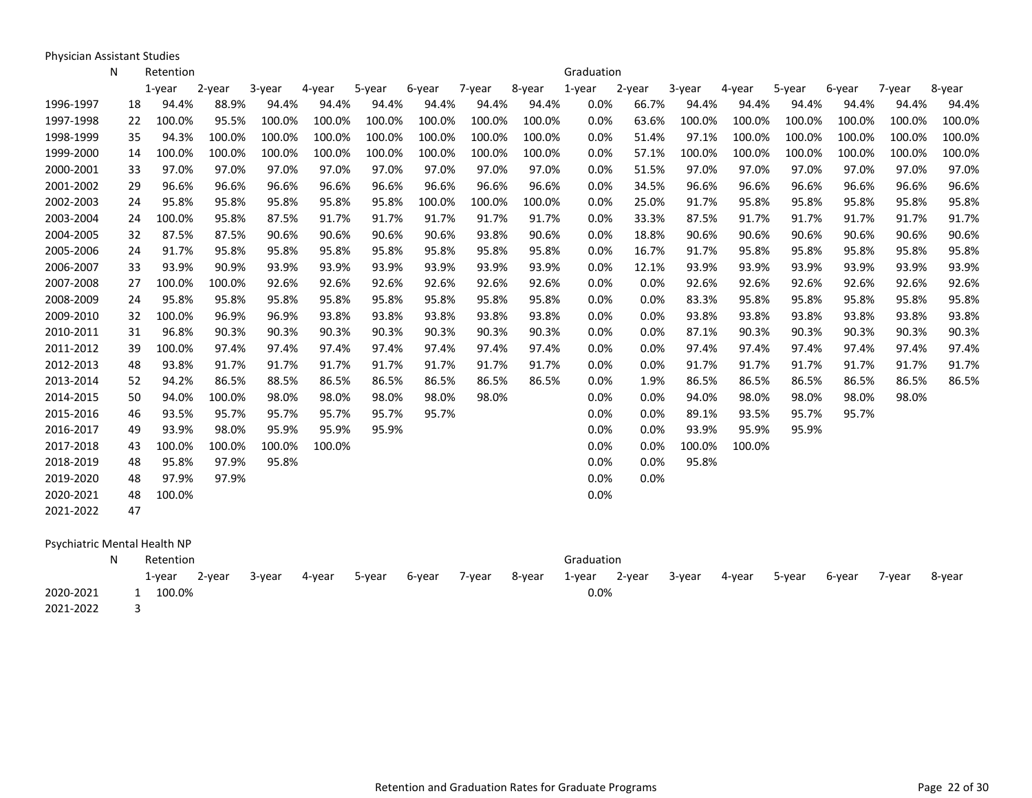Physician Assistant Studies

|           | N | Retention                    |        |        |        |        |        |        |        | Graduation |        |        |        |        |        |        |        |
|-----------|---|------------------------------|--------|--------|--------|--------|--------|--------|--------|------------|--------|--------|--------|--------|--------|--------|--------|
|           |   | $1$ -year                    | 2-year | 3-year | 4-year | 5-year | 6-year | 7-year | 8-year | 1-year     | 2-year | 3-year | 4-year | 5-year | 6-year | 7-year | 8-year |
| 1996-1997 |   | 94.4%<br>18                  | 88.9%  | 94.4%  | 94.4%  | 94.4%  | 94.4%  | 94.4%  | 94.4%  | 0.0%       | 66.7%  | 94.4%  | 94.4%  | 94.4%  | 94.4%  | 94.4%  | 94.4%  |
| 1997-1998 |   | 100.0%<br>22                 | 95.5%  | 100.0% | 100.0% | 100.0% | 100.0% | 100.0% | 100.0% | 0.0%       | 63.6%  | 100.0% | 100.0% | 100.0% | 100.0% | 100.0% | 100.0% |
| 1998-1999 |   | 35<br>94.3%                  | 100.0% | 100.0% | 100.0% | 100.0% | 100.0% | 100.0% | 100.0% | 0.0%       | 51.4%  | 97.1%  | 100.0% | 100.0% | 100.0% | 100.0% | 100.0% |
| 1999-2000 |   | 100.0%<br>14                 | 100.0% | 100.0% | 100.0% | 100.0% | 100.0% | 100.0% | 100.0% | 0.0%       | 57.1%  | 100.0% | 100.0% | 100.0% | 100.0% | 100.0% | 100.0% |
| 2000-2001 |   | 97.0%<br>33                  | 97.0%  | 97.0%  | 97.0%  | 97.0%  | 97.0%  | 97.0%  | 97.0%  | 0.0%       | 51.5%  | 97.0%  | 97.0%  | 97.0%  | 97.0%  | 97.0%  | 97.0%  |
| 2001-2002 |   | 96.6%<br>29                  | 96.6%  | 96.6%  | 96.6%  | 96.6%  | 96.6%  | 96.6%  | 96.6%  | 0.0%       | 34.5%  | 96.6%  | 96.6%  | 96.6%  | 96.6%  | 96.6%  | 96.6%  |
| 2002-2003 |   | 95.8%<br>24                  | 95.8%  | 95.8%  | 95.8%  | 95.8%  | 100.0% | 100.0% | 100.0% | 0.0%       | 25.0%  | 91.7%  | 95.8%  | 95.8%  | 95.8%  | 95.8%  | 95.8%  |
| 2003-2004 |   | 100.0%<br>24                 | 95.8%  | 87.5%  | 91.7%  | 91.7%  | 91.7%  | 91.7%  | 91.7%  | 0.0%       | 33.3%  | 87.5%  | 91.7%  | 91.7%  | 91.7%  | 91.7%  | 91.7%  |
| 2004-2005 |   | 87.5%<br>32                  | 87.5%  | 90.6%  | 90.6%  | 90.6%  | 90.6%  | 93.8%  | 90.6%  | 0.0%       | 18.8%  | 90.6%  | 90.6%  | 90.6%  | 90.6%  | 90.6%  | 90.6%  |
| 2005-2006 |   | 91.7%<br>24                  | 95.8%  | 95.8%  | 95.8%  | 95.8%  | 95.8%  | 95.8%  | 95.8%  | 0.0%       | 16.7%  | 91.7%  | 95.8%  | 95.8%  | 95.8%  | 95.8%  | 95.8%  |
| 2006-2007 |   | 93.9%<br>33                  | 90.9%  | 93.9%  | 93.9%  | 93.9%  | 93.9%  | 93.9%  | 93.9%  | 0.0%       | 12.1%  | 93.9%  | 93.9%  | 93.9%  | 93.9%  | 93.9%  | 93.9%  |
| 2007-2008 |   | 100.0%<br>27                 | 100.0% | 92.6%  | 92.6%  | 92.6%  | 92.6%  | 92.6%  | 92.6%  | 0.0%       | 0.0%   | 92.6%  | 92.6%  | 92.6%  | 92.6%  | 92.6%  | 92.6%  |
| 2008-2009 |   | 95.8%<br>24                  | 95.8%  | 95.8%  | 95.8%  | 95.8%  | 95.8%  | 95.8%  | 95.8%  | 0.0%       | 0.0%   | 83.3%  | 95.8%  | 95.8%  | 95.8%  | 95.8%  | 95.8%  |
| 2009-2010 |   | 100.0%<br>32                 | 96.9%  | 96.9%  | 93.8%  | 93.8%  | 93.8%  | 93.8%  | 93.8%  | 0.0%       | 0.0%   | 93.8%  | 93.8%  | 93.8%  | 93.8%  | 93.8%  | 93.8%  |
| 2010-2011 |   | 96.8%<br>31                  | 90.3%  | 90.3%  | 90.3%  | 90.3%  | 90.3%  | 90.3%  | 90.3%  | 0.0%       | 0.0%   | 87.1%  | 90.3%  | 90.3%  | 90.3%  | 90.3%  | 90.3%  |
| 2011-2012 |   | 39<br>100.0%                 | 97.4%  | 97.4%  | 97.4%  | 97.4%  | 97.4%  | 97.4%  | 97.4%  | 0.0%       | 0.0%   | 97.4%  | 97.4%  | 97.4%  | 97.4%  | 97.4%  | 97.4%  |
| 2012-2013 |   | 48<br>93.8%                  | 91.7%  | 91.7%  | 91.7%  | 91.7%  | 91.7%  | 91.7%  | 91.7%  | 0.0%       | 0.0%   | 91.7%  | 91.7%  | 91.7%  | 91.7%  | 91.7%  | 91.7%  |
| 2013-2014 |   | 52<br>94.2%                  | 86.5%  | 88.5%  | 86.5%  | 86.5%  | 86.5%  | 86.5%  | 86.5%  | 0.0%       | 1.9%   | 86.5%  | 86.5%  | 86.5%  | 86.5%  | 86.5%  | 86.5%  |
| 2014-2015 |   | 50<br>94.0%                  | 100.0% | 98.0%  | 98.0%  | 98.0%  | 98.0%  | 98.0%  |        | 0.0%       | 0.0%   | 94.0%  | 98.0%  | 98.0%  | 98.0%  | 98.0%  |        |
| 2015-2016 |   | 93.5%<br>46                  | 95.7%  | 95.7%  | 95.7%  | 95.7%  | 95.7%  |        |        | 0.0%       | 0.0%   | 89.1%  | 93.5%  | 95.7%  | 95.7%  |        |        |
| 2016-2017 |   | 93.9%<br>49                  | 98.0%  | 95.9%  | 95.9%  | 95.9%  |        |        |        | 0.0%       | 0.0%   | 93.9%  | 95.9%  | 95.9%  |        |        |        |
| 2017-2018 |   | 100.0%<br>43                 | 100.0% | 100.0% | 100.0% |        |        |        |        | 0.0%       | 0.0%   | 100.0% | 100.0% |        |        |        |        |
| 2018-2019 |   | 48<br>95.8%                  | 97.9%  | 95.8%  |        |        |        |        |        | 0.0%       | 0.0%   | 95.8%  |        |        |        |        |        |
| 2019-2020 |   | 97.9%<br>48                  | 97.9%  |        |        |        |        |        |        | 0.0%       | 0.0%   |        |        |        |        |        |        |
| 2020-2021 |   | 100.0%<br>48                 |        |        |        |        |        |        |        | 0.0%       |        |        |        |        |        |        |        |
| 2021-2022 |   | 47                           |        |        |        |        |        |        |        |            |        |        |        |        |        |        |        |
|           |   | Psychiatric Mental Health NP |        |        |        |        |        |        |        |            |        |        |        |        |        |        |        |
|           | N | Retention                    |        |        |        |        |        |        |        | Graduation |        |        |        |        |        |        |        |
|           |   | $1$ -year                    | 2-year | 3-year | 4-year | 5-year | 6-year | 7-year | 8-year | 1-year     | 2-year | 3-year | 4-year | 5-year | 6-year | 7-year | 8-year |
| 2020-2021 |   | 1 100.0%                     |        |        |        |        |        |        |        | 0.0%       |        |        |        |        |        |        |        |

2021-2022 3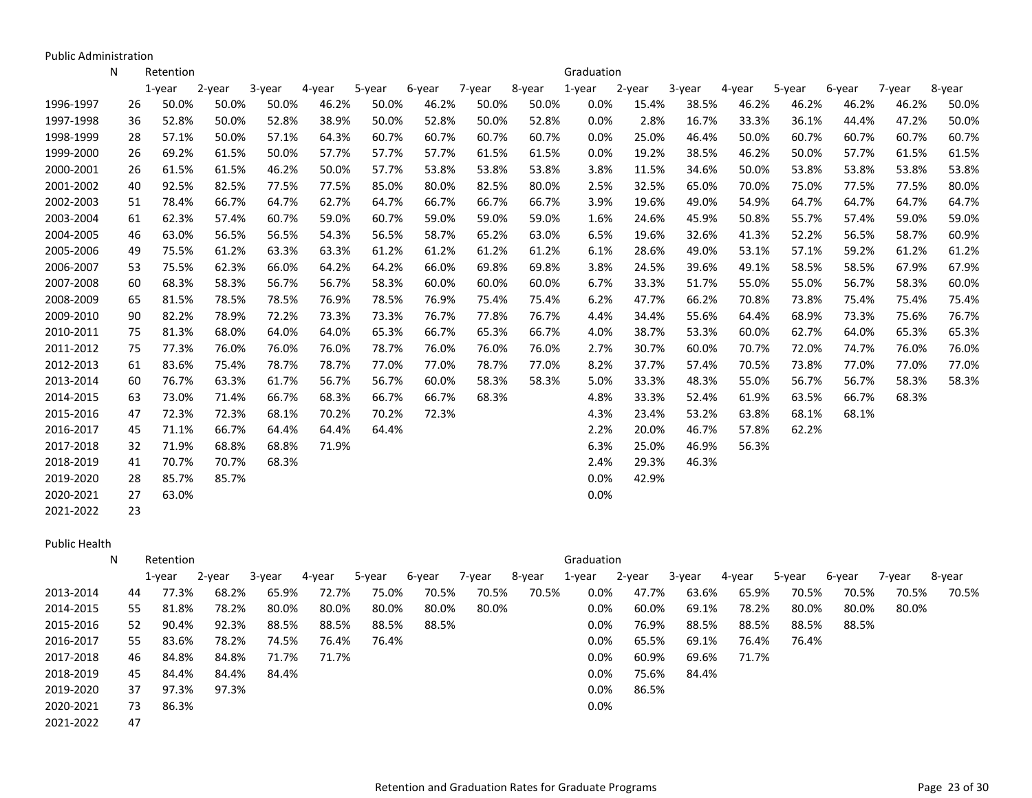Public Administration

|           | N | Retention   |        |        |        |        |        |        |        | Graduation |        |        |        |        |        |        |        |
|-----------|---|-------------|--------|--------|--------|--------|--------|--------|--------|------------|--------|--------|--------|--------|--------|--------|--------|
|           |   | $1$ -year   | 2-year | 3-year | 4-year | 5-year | 6-year | 7-year | 8-year | 1-year     | 2-year | 3-year | 4-year | 5-year | 6-year | 7-year | 8-year |
| 1996-1997 |   | 50.0%<br>26 | 50.0%  | 50.0%  | 46.2%  | 50.0%  | 46.2%  | 50.0%  | 50.0%  | 0.0%       | 15.4%  | 38.5%  | 46.2%  | 46.2%  | 46.2%  | 46.2%  | 50.0%  |
| 1997-1998 |   | 52.8%<br>36 | 50.0%  | 52.8%  | 38.9%  | 50.0%  | 52.8%  | 50.0%  | 52.8%  | 0.0%       | 2.8%   | 16.7%  | 33.3%  | 36.1%  | 44.4%  | 47.2%  | 50.0%  |
| 1998-1999 |   | 28<br>57.1% | 50.0%  | 57.1%  | 64.3%  | 60.7%  | 60.7%  | 60.7%  | 60.7%  | 0.0%       | 25.0%  | 46.4%  | 50.0%  | 60.7%  | 60.7%  | 60.7%  | 60.7%  |
| 1999-2000 |   | 69.2%<br>26 | 61.5%  | 50.0%  | 57.7%  | 57.7%  | 57.7%  | 61.5%  | 61.5%  | 0.0%       | 19.2%  | 38.5%  | 46.2%  | 50.0%  | 57.7%  | 61.5%  | 61.5%  |
| 2000-2001 |   | 61.5%<br>26 | 61.5%  | 46.2%  | 50.0%  | 57.7%  | 53.8%  | 53.8%  | 53.8%  | 3.8%       | 11.5%  | 34.6%  | 50.0%  | 53.8%  | 53.8%  | 53.8%  | 53.8%  |
| 2001-2002 |   | 92.5%<br>40 | 82.5%  | 77.5%  | 77.5%  | 85.0%  | 80.0%  | 82.5%  | 80.0%  | 2.5%       | 32.5%  | 65.0%  | 70.0%  | 75.0%  | 77.5%  | 77.5%  | 80.0%  |
| 2002-2003 |   | 78.4%<br>51 | 66.7%  | 64.7%  | 62.7%  | 64.7%  | 66.7%  | 66.7%  | 66.7%  | 3.9%       | 19.6%  | 49.0%  | 54.9%  | 64.7%  | 64.7%  | 64.7%  | 64.7%  |
| 2003-2004 |   | 62.3%<br>61 | 57.4%  | 60.7%  | 59.0%  | 60.7%  | 59.0%  | 59.0%  | 59.0%  | 1.6%       | 24.6%  | 45.9%  | 50.8%  | 55.7%  | 57.4%  | 59.0%  | 59.0%  |
| 2004-2005 |   | 63.0%<br>46 | 56.5%  | 56.5%  | 54.3%  | 56.5%  | 58.7%  | 65.2%  | 63.0%  | 6.5%       | 19.6%  | 32.6%  | 41.3%  | 52.2%  | 56.5%  | 58.7%  | 60.9%  |
| 2005-2006 |   | 49<br>75.5% | 61.2%  | 63.3%  | 63.3%  | 61.2%  | 61.2%  | 61.2%  | 61.2%  | 6.1%       | 28.6%  | 49.0%  | 53.1%  | 57.1%  | 59.2%  | 61.2%  | 61.2%  |
| 2006-2007 |   | 53<br>75.5% | 62.3%  | 66.0%  | 64.2%  | 64.2%  | 66.0%  | 69.8%  | 69.8%  | 3.8%       | 24.5%  | 39.6%  | 49.1%  | 58.5%  | 58.5%  | 67.9%  | 67.9%  |
| 2007-2008 |   | 60<br>68.3% | 58.3%  | 56.7%  | 56.7%  | 58.3%  | 60.0%  | 60.0%  | 60.0%  | 6.7%       | 33.3%  | 51.7%  | 55.0%  | 55.0%  | 56.7%  | 58.3%  | 60.0%  |
| 2008-2009 |   | 81.5%<br>65 | 78.5%  | 78.5%  | 76.9%  | 78.5%  | 76.9%  | 75.4%  | 75.4%  | 6.2%       | 47.7%  | 66.2%  | 70.8%  | 73.8%  | 75.4%  | 75.4%  | 75.4%  |
| 2009-2010 |   | 82.2%<br>90 | 78.9%  | 72.2%  | 73.3%  | 73.3%  | 76.7%  | 77.8%  | 76.7%  | 4.4%       | 34.4%  | 55.6%  | 64.4%  | 68.9%  | 73.3%  | 75.6%  | 76.7%  |
| 2010-2011 |   | 81.3%<br>75 | 68.0%  | 64.0%  | 64.0%  | 65.3%  | 66.7%  | 65.3%  | 66.7%  | 4.0%       | 38.7%  | 53.3%  | 60.0%  | 62.7%  | 64.0%  | 65.3%  | 65.3%  |
| 2011-2012 |   | 77.3%<br>75 | 76.0%  | 76.0%  | 76.0%  | 78.7%  | 76.0%  | 76.0%  | 76.0%  | 2.7%       | 30.7%  | 60.0%  | 70.7%  | 72.0%  | 74.7%  | 76.0%  | 76.0%  |
| 2012-2013 |   | 83.6%<br>61 | 75.4%  | 78.7%  | 78.7%  | 77.0%  | 77.0%  | 78.7%  | 77.0%  | 8.2%       | 37.7%  | 57.4%  | 70.5%  | 73.8%  | 77.0%  | 77.0%  | 77.0%  |
| 2013-2014 |   | 76.7%<br>60 | 63.3%  | 61.7%  | 56.7%  | 56.7%  | 60.0%  | 58.3%  | 58.3%  | 5.0%       | 33.3%  | 48.3%  | 55.0%  | 56.7%  | 56.7%  | 58.3%  | 58.3%  |
| 2014-2015 |   | 73.0%<br>63 | 71.4%  | 66.7%  | 68.3%  | 66.7%  | 66.7%  | 68.3%  |        | 4.8%       | 33.3%  | 52.4%  | 61.9%  | 63.5%  | 66.7%  | 68.3%  |        |
| 2015-2016 |   | 72.3%<br>47 | 72.3%  | 68.1%  | 70.2%  | 70.2%  | 72.3%  |        |        | 4.3%       | 23.4%  | 53.2%  | 63.8%  | 68.1%  | 68.1%  |        |        |
| 2016-2017 |   | 45<br>71.1% | 66.7%  | 64.4%  | 64.4%  | 64.4%  |        |        |        | 2.2%       | 20.0%  | 46.7%  | 57.8%  | 62.2%  |        |        |        |
| 2017-2018 |   | 32<br>71.9% | 68.8%  | 68.8%  | 71.9%  |        |        |        |        | 6.3%       | 25.0%  | 46.9%  | 56.3%  |        |        |        |        |
| 2018-2019 |   | 70.7%<br>41 | 70.7%  | 68.3%  |        |        |        |        |        | 2.4%       | 29.3%  | 46.3%  |        |        |        |        |        |
| 2019-2020 |   | 85.7%<br>28 | 85.7%  |        |        |        |        |        |        | 0.0%       | 42.9%  |        |        |        |        |        |        |
| 2020-2021 |   | 63.0%<br>27 |        |        |        |        |        |        |        | 0.0%       |        |        |        |        |        |        |        |
| 2021-2022 |   | 23          |        |        |        |        |        |        |        |            |        |        |        |        |        |        |        |

### Public Health

|           | N | Retention   |        |        |        |        |        |        |        | Graduation |        |        |        |        |        |        |        |
|-----------|---|-------------|--------|--------|--------|--------|--------|--------|--------|------------|--------|--------|--------|--------|--------|--------|--------|
|           |   | 1-year      | 2-year | 3-year | 4-year | 5-year | 6-year | 7-year | 8-year | 1-year     | 2-year | 3-year | 4-year | 5-year | 6-year | 7-year | 8-year |
| 2013-2014 |   | 77.3%<br>44 | 68.2%  | 65.9%  | 72.7%  | 75.0%  | 70.5%  | 70.5%  | 70.5%  | $0.0\%$    | 47.7%  | 63.6%  | 65.9%  | 70.5%  | 70.5%  | 70.5%  | 70.5%  |
| 2014-2015 |   | 81.8%<br>55 | 78.2%  | 80.0%  | 80.0%  | 80.0%  | 80.0%  | 80.0%  |        | 0.0%       | 60.0%  | 69.1%  | 78.2%  | 80.0%  | 80.0%  | 80.0%  |        |
| 2015-2016 |   | 90.4%<br>52 | 92.3%  | 88.5%  | 88.5%  | 88.5%  | 88.5%  |        |        | $0.0\%$    | 76.9%  | 88.5%  | 88.5%  | 88.5%  | 88.5%  |        |        |
| 2016-2017 |   | 83.6%<br>55 | 78.2%  | 74.5%  | 76.4%  | 76.4%  |        |        |        | $0.0\%$    | 65.5%  | 69.1%  | 76.4%  | 76.4%  |        |        |        |
| 2017-2018 |   | 84.8%<br>46 | 84.8%  | 71.7%  | 71.7%  |        |        |        |        | $0.0\%$    | 60.9%  | 69.6%  | 71.7%  |        |        |        |        |
| 2018-2019 |   | 84.4%<br>45 | 84.4%  | 84.4%  |        |        |        |        |        | $0.0\%$    | 75.6%  | 84.4%  |        |        |        |        |        |
| 2019-2020 |   | 97.3%<br>37 | 97.3%  |        |        |        |        |        |        | $0.0\%$    | 86.5%  |        |        |        |        |        |        |
| 2020-2021 |   | 86.3%<br>73 |        |        |        |        |        |        |        | $0.0\%$    |        |        |        |        |        |        |        |
| 2021-2022 |   | 47          |        |        |        |        |        |        |        |            |        |        |        |        |        |        |        |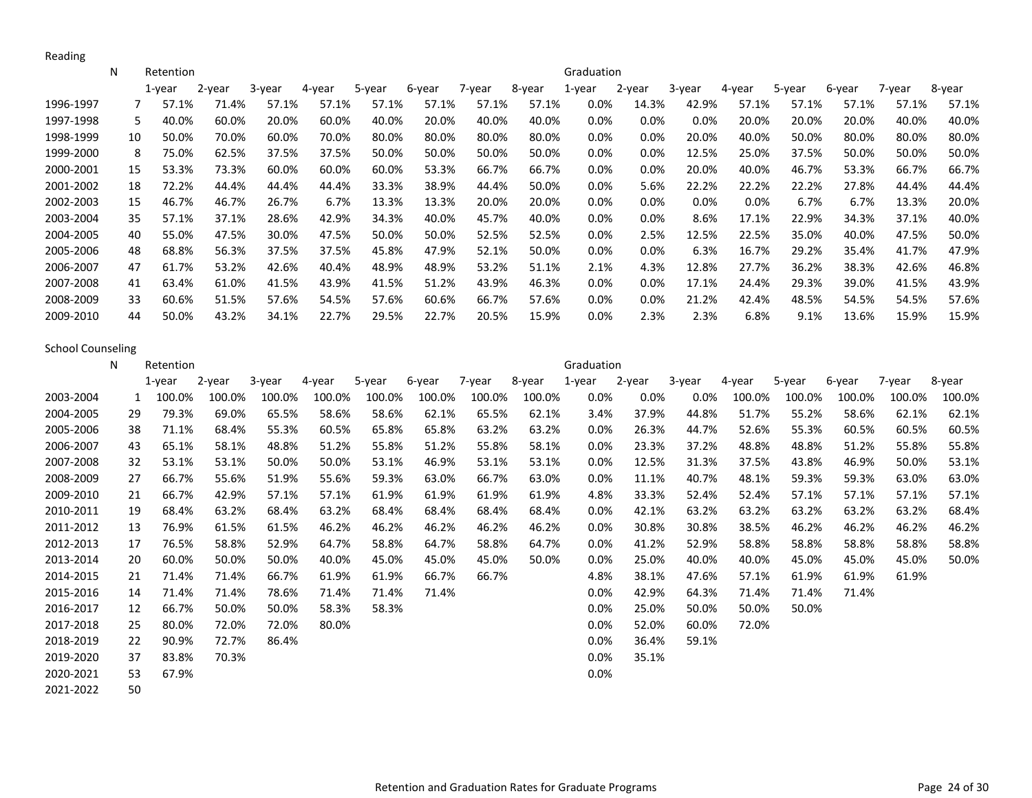Reading

|           | N  | Retention   |        |        |        |        |        |        |        | Graduation |         |         |         |        |        |        |        |
|-----------|----|-------------|--------|--------|--------|--------|--------|--------|--------|------------|---------|---------|---------|--------|--------|--------|--------|
|           |    | $1$ -year   | 2-year | 3-year | 4-year | 5-year | 6-year | 7-year | 8-year | 1-year     | 2-year  | 3-year  | 4-year  | 5-year | 6-year | 7-year | 8-year |
| 1996-1997 |    | 57.1%       | 71.4%  | 57.1%  | 57.1%  | 57.1%  | 57.1%  | 57.1%  | 57.1%  | $0.0\%$    | 14.3%   | 42.9%   | 57.1%   | 57.1%  | 57.1%  | 57.1%  | 57.1%  |
| 1997-1998 |    | 5.<br>40.0% | 60.0%  | 20.0%  | 60.0%  | 40.0%  | 20.0%  | 40.0%  | 40.0%  | $0.0\%$    | $0.0\%$ | $0.0\%$ | 20.0%   | 20.0%  | 20.0%  | 40.0%  | 40.0%  |
| 1998-1999 | 10 | 50.0%       | 70.0%  | 60.0%  | 70.0%  | 80.0%  | 80.0%  | 80.0%  | 80.0%  | $0.0\%$    | 0.0%    | 20.0%   | 40.0%   | 50.0%  | 80.0%  | 80.0%  | 80.0%  |
| 1999-2000 |    | 75.0%<br>8  | 62.5%  | 37.5%  | 37.5%  | 50.0%  | 50.0%  | 50.0%  | 50.0%  | $0.0\%$    | 0.0%    | 12.5%   | 25.0%   | 37.5%  | 50.0%  | 50.0%  | 50.0%  |
| 2000-2001 | 15 | 53.3%       | 73.3%  | 60.0%  | 60.0%  | 60.0%  | 53.3%  | 66.7%  | 66.7%  | $0.0\%$    | 0.0%    | 20.0%   | 40.0%   | 46.7%  | 53.3%  | 66.7%  | 66.7%  |
| 2001-2002 | 18 | 72.2%       | 44.4%  | 44.4%  | 44.4%  | 33.3%  | 38.9%  | 44.4%  | 50.0%  | $0.0\%$    | 5.6%    | 22.2%   | 22.2%   | 22.2%  | 27.8%  | 44.4%  | 44.4%  |
| 2002-2003 | 15 | 46.7%       | 46.7%  | 26.7%  | 6.7%   | 13.3%  | 13.3%  | 20.0%  | 20.0%  | $0.0\%$    | $0.0\%$ | 0.0%    | $0.0\%$ | 6.7%   | 6.7%   | 13.3%  | 20.0%  |
| 2003-2004 | 35 | 57.1%       | 37.1%  | 28.6%  | 42.9%  | 34.3%  | 40.0%  | 45.7%  | 40.0%  | $0.0\%$    | 0.0%    | 8.6%    | 17.1%   | 22.9%  | 34.3%  | 37.1%  | 40.0%  |
| 2004-2005 | 40 | 55.0%       | 47.5%  | 30.0%  | 47.5%  | 50.0%  | 50.0%  | 52.5%  | 52.5%  | $0.0\%$    | 2.5%    | 12.5%   | 22.5%   | 35.0%  | 40.0%  | 47.5%  | 50.0%  |
| 2005-2006 | 48 | 68.8%       | 56.3%  | 37.5%  | 37.5%  | 45.8%  | 47.9%  | 52.1%  | 50.0%  | $0.0\%$    | 0.0%    | 6.3%    | 16.7%   | 29.2%  | 35.4%  | 41.7%  | 47.9%  |
| 2006-2007 | 47 | 61.7%       | 53.2%  | 42.6%  | 40.4%  | 48.9%  | 48.9%  | 53.2%  | 51.1%  | 2.1%       | 4.3%    | 12.8%   | 27.7%   | 36.2%  | 38.3%  | 42.6%  | 46.8%  |
| 2007-2008 | 41 | 63.4%       | 61.0%  | 41.5%  | 43.9%  | 41.5%  | 51.2%  | 43.9%  | 46.3%  | $0.0\%$    | 0.0%    | 17.1%   | 24.4%   | 29.3%  | 39.0%  | 41.5%  | 43.9%  |
| 2008-2009 | 33 | 60.6%       | 51.5%  | 57.6%  | 54.5%  | 57.6%  | 60.6%  | 66.7%  | 57.6%  | $0.0\%$    | 0.0%    | 21.2%   | 42.4%   | 48.5%  | 54.5%  | 54.5%  | 57.6%  |
| 2009-2010 | 44 | 50.0%       | 43.2%  | 34.1%  | 22.7%  | 29.5%  | 22.7%  | 20.5%  | 15.9%  | $0.0\%$    | 2.3%    | 2.3%    | 6.8%    | 9.1%   | 13.6%  | 15.9%  | 15.9%  |

School Counseling

|           | N   | Retention |        |        |        |        |        |        |        | Graduation |         |        |        |        |        |        |        |
|-----------|-----|-----------|--------|--------|--------|--------|--------|--------|--------|------------|---------|--------|--------|--------|--------|--------|--------|
|           |     | $1$ -year | 2-year | 3-year | 4-year | 5-year | 6-year | 7-year | 8-year | 1-year     | 2-year  | 3-year | 4-year | 5-year | 6-year | 7-year | 8-year |
| 2003-2004 |     | 100.0%    | 100.0% | 100.0% | 100.0% | 100.0% | 100.0% | 100.0% | 100.0% | $0.0\%$    | $0.0\%$ | 0.0%   | 100.0% | 100.0% | 100.0% | 100.0% | 100.0% |
| 2004-2005 | 29  | 79.3%     | 69.0%  | 65.5%  | 58.6%  | 58.6%  | 62.1%  | 65.5%  | 62.1%  | 3.4%       | 37.9%   | 44.8%  | 51.7%  | 55.2%  | 58.6%  | 62.1%  | 62.1%  |
| 2005-2006 | 38  | 71.1%     | 68.4%  | 55.3%  | 60.5%  | 65.8%  | 65.8%  | 63.2%  | 63.2%  | 0.0%       | 26.3%   | 44.7%  | 52.6%  | 55.3%  | 60.5%  | 60.5%  | 60.5%  |
| 2006-2007 | 43  | 65.1%     | 58.1%  | 48.8%  | 51.2%  | 55.8%  | 51.2%  | 55.8%  | 58.1%  | $0.0\%$    | 23.3%   | 37.2%  | 48.8%  | 48.8%  | 51.2%  | 55.8%  | 55.8%  |
| 2007-2008 | 32  | 53.1%     | 53.1%  | 50.0%  | 50.0%  | 53.1%  | 46.9%  | 53.1%  | 53.1%  | 0.0%       | 12.5%   | 31.3%  | 37.5%  | 43.8%  | 46.9%  | 50.0%  | 53.1%  |
| 2008-2009 | 27  | 66.7%     | 55.6%  | 51.9%  | 55.6%  | 59.3%  | 63.0%  | 66.7%  | 63.0%  | 0.0%       | 11.1%   | 40.7%  | 48.1%  | 59.3%  | 59.3%  | 63.0%  | 63.0%  |
| 2009-2010 | 21  | 66.7%     | 42.9%  | 57.1%  | 57.1%  | 61.9%  | 61.9%  | 61.9%  | 61.9%  | 4.8%       | 33.3%   | 52.4%  | 52.4%  | 57.1%  | 57.1%  | 57.1%  | 57.1%  |
| 2010-2011 | 19  | 68.4%     | 63.2%  | 68.4%  | 63.2%  | 68.4%  | 68.4%  | 68.4%  | 68.4%  | $0.0\%$    | 42.1%   | 63.2%  | 63.2%  | 63.2%  | 63.2%  | 63.2%  | 68.4%  |
| 2011-2012 | 13  | 76.9%     | 61.5%  | 61.5%  | 46.2%  | 46.2%  | 46.2%  | 46.2%  | 46.2%  | $0.0\%$    | 30.8%   | 30.8%  | 38.5%  | 46.2%  | 46.2%  | 46.2%  | 46.2%  |
| 2012-2013 | 17  | 76.5%     | 58.8%  | 52.9%  | 64.7%  | 58.8%  | 64.7%  | 58.8%  | 64.7%  | $0.0\%$    | 41.2%   | 52.9%  | 58.8%  | 58.8%  | 58.8%  | 58.8%  | 58.8%  |
| 2013-2014 | -20 | 60.0%     | 50.0%  | 50.0%  | 40.0%  | 45.0%  | 45.0%  | 45.0%  | 50.0%  | $0.0\%$    | 25.0%   | 40.0%  | 40.0%  | 45.0%  | 45.0%  | 45.0%  | 50.0%  |
| 2014-2015 | 21  | 71.4%     | 71.4%  | 66.7%  | 61.9%  | 61.9%  | 66.7%  | 66.7%  |        | 4.8%       | 38.1%   | 47.6%  | 57.1%  | 61.9%  | 61.9%  | 61.9%  |        |
| 2015-2016 | 14  | 71.4%     | 71.4%  | 78.6%  | 71.4%  | 71.4%  | 71.4%  |        |        | $0.0\%$    | 42.9%   | 64.3%  | 71.4%  | 71.4%  | 71.4%  |        |        |
| 2016-2017 | 12  | 66.7%     | 50.0%  | 50.0%  | 58.3%  | 58.3%  |        |        |        | 0.0%       | 25.0%   | 50.0%  | 50.0%  | 50.0%  |        |        |        |
| 2017-2018 | 25  | 80.0%     | 72.0%  | 72.0%  | 80.0%  |        |        |        |        | 0.0%       | 52.0%   | 60.0%  | 72.0%  |        |        |        |        |
| 2018-2019 | 22  | 90.9%     | 72.7%  | 86.4%  |        |        |        |        |        | $0.0\%$    | 36.4%   | 59.1%  |        |        |        |        |        |
| 2019-2020 | 37  | 83.8%     | 70.3%  |        |        |        |        |        |        | 0.0%       | 35.1%   |        |        |        |        |        |        |
| 2020-2021 | 53  | 67.9%     |        |        |        |        |        |        |        | 0.0%       |         |        |        |        |        |        |        |
| 2021-2022 | 50  |           |        |        |        |        |        |        |        |            |         |        |        |        |        |        |        |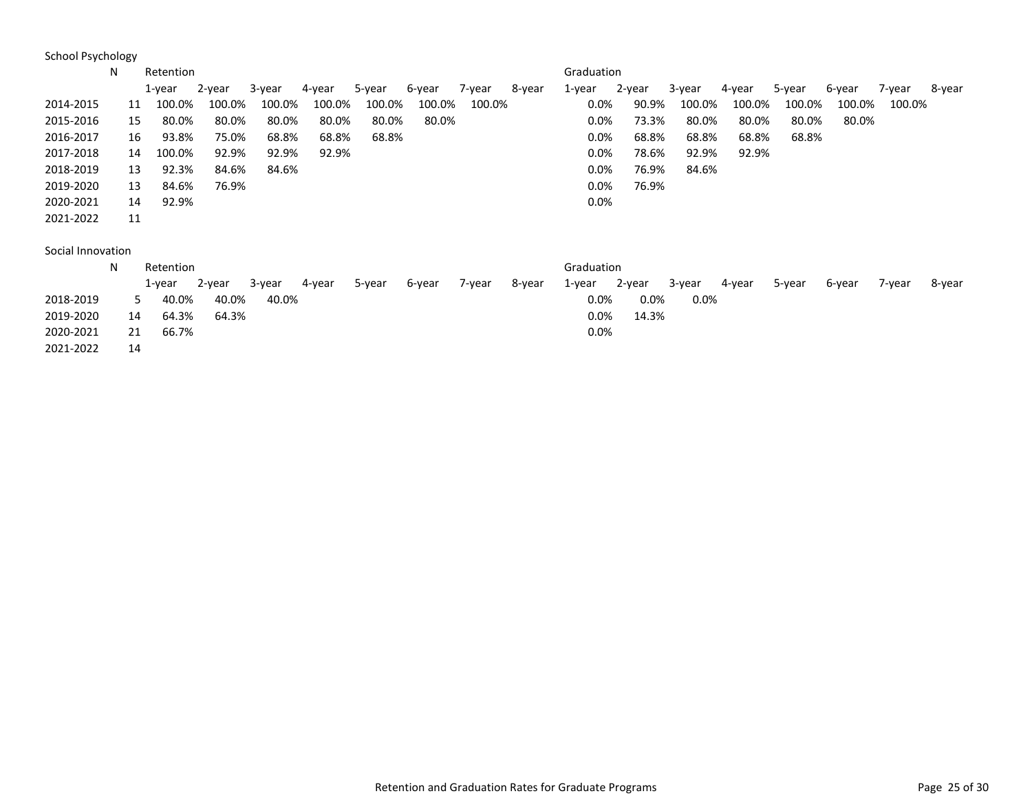School Psychology

|                   | N  | Retention    |        |        |        |        |        |        |        | Graduation |        |        |        |        |        |        |        |
|-------------------|----|--------------|--------|--------|--------|--------|--------|--------|--------|------------|--------|--------|--------|--------|--------|--------|--------|
|                   |    | 1-year       | 2-year | 3-year | 4-year | 5-year | 6-year | 7-year | 8-year | 1-year     | 2-year | 3-year | 4-year | 5-year | 6-year | 7-year | 8-year |
| 2014-2015         |    | 100.0%<br>11 | 100.0% | 100.0% | 100.0% | 100.0% | 100.0% | 100.0% |        | $0.0\%$    | 90.9%  | 100.0% | 100.0% | 100.0% | 100.0% | 100.0% |        |
| 2015-2016         |    | 80.0%<br>15  | 80.0%  | 80.0%  | 80.0%  | 80.0%  | 80.0%  |        |        | 0.0%       | 73.3%  | 80.0%  | 80.0%  | 80.0%  | 80.0%  |        |        |
| 2016-2017         |    | 93.8%<br>16  | 75.0%  | 68.8%  | 68.8%  | 68.8%  |        |        |        | 0.0%       | 68.8%  | 68.8%  | 68.8%  | 68.8%  |        |        |        |
| 2017-2018         |    | 100.0%<br>14 | 92.9%  | 92.9%  | 92.9%  |        |        |        |        | 0.0%       | 78.6%  | 92.9%  | 92.9%  |        |        |        |        |
| 2018-2019         |    | 92.3%<br>13  | 84.6%  | 84.6%  |        |        |        |        |        | 0.0%       | 76.9%  | 84.6%  |        |        |        |        |        |
| 2019-2020         |    | 84.6%<br>13  | 76.9%  |        |        |        |        |        |        | 0.0%       | 76.9%  |        |        |        |        |        |        |
| 2020-2021         |    | 92.9%<br>14  |        |        |        |        |        |        |        | 0.0%       |        |        |        |        |        |        |        |
| 2021-2022         | 11 |              |        |        |        |        |        |        |        |            |        |        |        |        |        |        |        |
|                   |    |              |        |        |        |        |        |        |        |            |        |        |        |        |        |        |        |
| Social Innovation |    |              |        |        |        |        |        |        |        |            |        |        |        |        |        |        |        |
|                   | N  | Retention    |        |        |        |        |        |        |        | Graduation |        |        |        |        |        |        |        |
|                   |    | $1$ -year    | 2-year | 3-year | 4-year | 5-year | 6-year | 7-year | 8-year | 1-year     | 2-year | 3-year | 4-year | 5-year | 6-year | 7-year | 8-year |

|           |    | 1-year | 2-year | 3-year | 4-year | 5-year | 6-year | 7-year | 8-year | 1-year  | 2-year  | 3-year | 4-year | 5-year | 6-vear | 7-year | 8-year |
|-----------|----|--------|--------|--------|--------|--------|--------|--------|--------|---------|---------|--------|--------|--------|--------|--------|--------|
| 2018-2019 |    | 40.0%  | 40.0%  | 40.0%  |        |        |        |        |        | $0.0\%$ | $0.0\%$ | 0.0%   |        |        |        |        |        |
| 2019-2020 | 14 | 64.3%  | 64.3%  |        |        |        |        |        |        | $0.0\%$ | 14.3%   |        |        |        |        |        |        |
| 2020-2021 | 21 | 66.7%  |        |        |        |        |        |        |        | $0.0\%$ |         |        |        |        |        |        |        |
| 2021-2022 | 14 |        |        |        |        |        |        |        |        |         |         |        |        |        |        |        |        |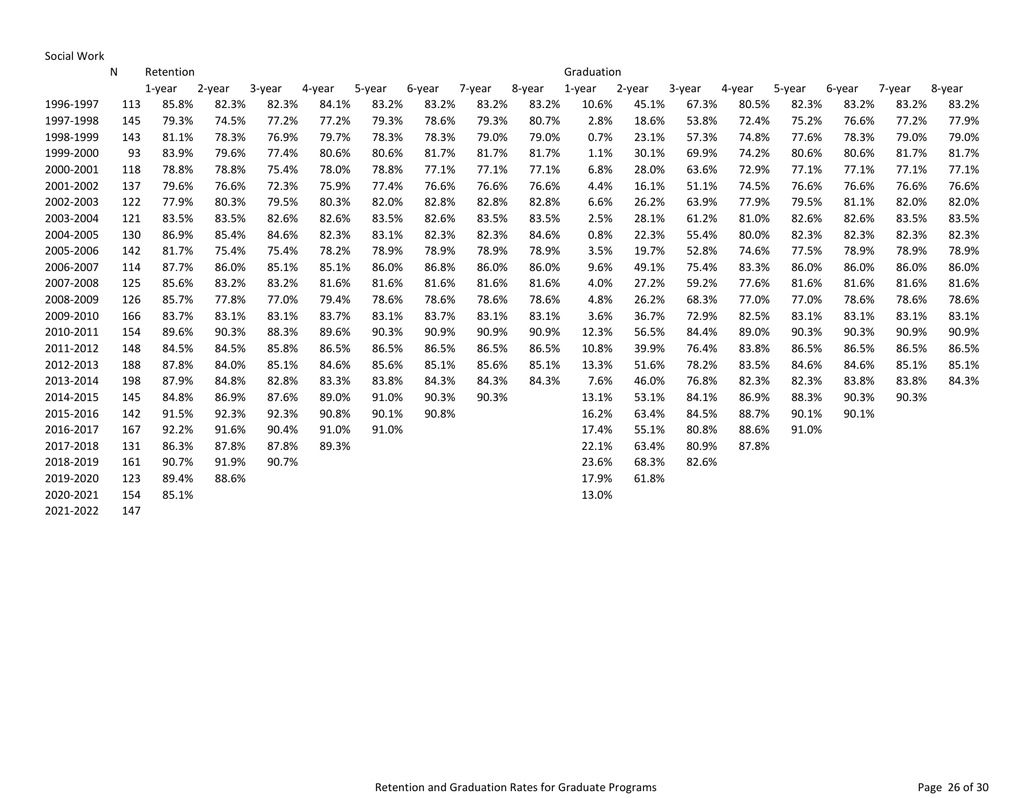Social Work

|           | N   | Retention |           |        |        |        |        |        |        | Graduation |        |        |        |        |        |        |        |
|-----------|-----|-----------|-----------|--------|--------|--------|--------|--------|--------|------------|--------|--------|--------|--------|--------|--------|--------|
|           |     | 1-vear    | $2$ -year | 3-year | 4-year | 5-year | 6-year | 7-year | 8-year | 1-year     | 2-year | 3-year | 4-year | 5-year | 6-year | 7-year | 8-year |
| 1996-1997 | 113 | 85.8%     | 82.3%     | 82.3%  | 84.1%  | 83.2%  | 83.2%  | 83.2%  | 83.2%  | 10.6%      | 45.1%  | 67.3%  | 80.5%  | 82.3%  | 83.2%  | 83.2%  | 83.2%  |
| 1997-1998 | 145 | 79.3%     | 74.5%     | 77.2%  | 77.2%  | 79.3%  | 78.6%  | 79.3%  | 80.7%  | 2.8%       | 18.6%  | 53.8%  | 72.4%  | 75.2%  | 76.6%  | 77.2%  | 77.9%  |
| 1998-1999 | 143 | 81.1%     | 78.3%     | 76.9%  | 79.7%  | 78.3%  | 78.3%  | 79.0%  | 79.0%  | 0.7%       | 23.1%  | 57.3%  | 74.8%  | 77.6%  | 78.3%  | 79.0%  | 79.0%  |
| 1999-2000 | 93  | 83.9%     | 79.6%     | 77.4%  | 80.6%  | 80.6%  | 81.7%  | 81.7%  | 81.7%  | 1.1%       | 30.1%  | 69.9%  | 74.2%  | 80.6%  | 80.6%  | 81.7%  | 81.7%  |
| 2000-2001 | 118 | 78.8%     | 78.8%     | 75.4%  | 78.0%  | 78.8%  | 77.1%  | 77.1%  | 77.1%  | 6.8%       | 28.0%  | 63.6%  | 72.9%  | 77.1%  | 77.1%  | 77.1%  | 77.1%  |
| 2001-2002 | 137 | 79.6%     | 76.6%     | 72.3%  | 75.9%  | 77.4%  | 76.6%  | 76.6%  | 76.6%  | 4.4%       | 16.1%  | 51.1%  | 74.5%  | 76.6%  | 76.6%  | 76.6%  | 76.6%  |
| 2002-2003 | 122 | 77.9%     | 80.3%     | 79.5%  | 80.3%  | 82.0%  | 82.8%  | 82.8%  | 82.8%  | 6.6%       | 26.2%  | 63.9%  | 77.9%  | 79.5%  | 81.1%  | 82.0%  | 82.0%  |
| 2003-2004 | 121 | 83.5%     | 83.5%     | 82.6%  | 82.6%  | 83.5%  | 82.6%  | 83.5%  | 83.5%  | 2.5%       | 28.1%  | 61.2%  | 81.0%  | 82.6%  | 82.6%  | 83.5%  | 83.5%  |
| 2004-2005 | 130 | 86.9%     | 85.4%     | 84.6%  | 82.3%  | 83.1%  | 82.3%  | 82.3%  | 84.6%  | 0.8%       | 22.3%  | 55.4%  | 80.0%  | 82.3%  | 82.3%  | 82.3%  | 82.3%  |
| 2005-2006 | 142 | 81.7%     | 75.4%     | 75.4%  | 78.2%  | 78.9%  | 78.9%  | 78.9%  | 78.9%  | 3.5%       | 19.7%  | 52.8%  | 74.6%  | 77.5%  | 78.9%  | 78.9%  | 78.9%  |
| 2006-2007 | 114 | 87.7%     | 86.0%     | 85.1%  | 85.1%  | 86.0%  | 86.8%  | 86.0%  | 86.0%  | 9.6%       | 49.1%  | 75.4%  | 83.3%  | 86.0%  | 86.0%  | 86.0%  | 86.0%  |
| 2007-2008 | 125 | 85.6%     | 83.2%     | 83.2%  | 81.6%  | 81.6%  | 81.6%  | 81.6%  | 81.6%  | 4.0%       | 27.2%  | 59.2%  | 77.6%  | 81.6%  | 81.6%  | 81.6%  | 81.6%  |
| 2008-2009 | 126 | 85.7%     | 77.8%     | 77.0%  | 79.4%  | 78.6%  | 78.6%  | 78.6%  | 78.6%  | 4.8%       | 26.2%  | 68.3%  | 77.0%  | 77.0%  | 78.6%  | 78.6%  | 78.6%  |
| 2009-2010 | 166 | 83.7%     | 83.1%     | 83.1%  | 83.7%  | 83.1%  | 83.7%  | 83.1%  | 83.1%  | 3.6%       | 36.7%  | 72.9%  | 82.5%  | 83.1%  | 83.1%  | 83.1%  | 83.1%  |
| 2010-2011 | 154 | 89.6%     | 90.3%     | 88.3%  | 89.6%  | 90.3%  | 90.9%  | 90.9%  | 90.9%  | 12.3%      | 56.5%  | 84.4%  | 89.0%  | 90.3%  | 90.3%  | 90.9%  | 90.9%  |
| 2011-2012 | 148 | 84.5%     | 84.5%     | 85.8%  | 86.5%  | 86.5%  | 86.5%  | 86.5%  | 86.5%  | 10.8%      | 39.9%  | 76.4%  | 83.8%  | 86.5%  | 86.5%  | 86.5%  | 86.5%  |
| 2012-2013 | 188 | 87.8%     | 84.0%     | 85.1%  | 84.6%  | 85.6%  | 85.1%  | 85.6%  | 85.1%  | 13.3%      | 51.6%  | 78.2%  | 83.5%  | 84.6%  | 84.6%  | 85.1%  | 85.1%  |
| 2013-2014 | 198 | 87.9%     | 84.8%     | 82.8%  | 83.3%  | 83.8%  | 84.3%  | 84.3%  | 84.3%  | 7.6%       | 46.0%  | 76.8%  | 82.3%  | 82.3%  | 83.8%  | 83.8%  | 84.3%  |
| 2014-2015 | 145 | 84.8%     | 86.9%     | 87.6%  | 89.0%  | 91.0%  | 90.3%  | 90.3%  |        | 13.1%      | 53.1%  | 84.1%  | 86.9%  | 88.3%  | 90.3%  | 90.3%  |        |
| 2015-2016 | 142 | 91.5%     | 92.3%     | 92.3%  | 90.8%  | 90.1%  | 90.8%  |        |        | 16.2%      | 63.4%  | 84.5%  | 88.7%  | 90.1%  | 90.1%  |        |        |
| 2016-2017 | 167 | 92.2%     | 91.6%     | 90.4%  | 91.0%  | 91.0%  |        |        |        | 17.4%      | 55.1%  | 80.8%  | 88.6%  | 91.0%  |        |        |        |
| 2017-2018 | 131 | 86.3%     | 87.8%     | 87.8%  | 89.3%  |        |        |        |        | 22.1%      | 63.4%  | 80.9%  | 87.8%  |        |        |        |        |
| 2018-2019 | 161 | 90.7%     | 91.9%     | 90.7%  |        |        |        |        |        | 23.6%      | 68.3%  | 82.6%  |        |        |        |        |        |
| 2019-2020 | 123 | 89.4%     | 88.6%     |        |        |        |        |        |        | 17.9%      | 61.8%  |        |        |        |        |        |        |
| 2020-2021 | 154 | 85.1%     |           |        |        |        |        |        |        | 13.0%      |        |        |        |        |        |        |        |
| 2021-2022 | 147 |           |           |        |        |        |        |        |        |            |        |        |        |        |        |        |        |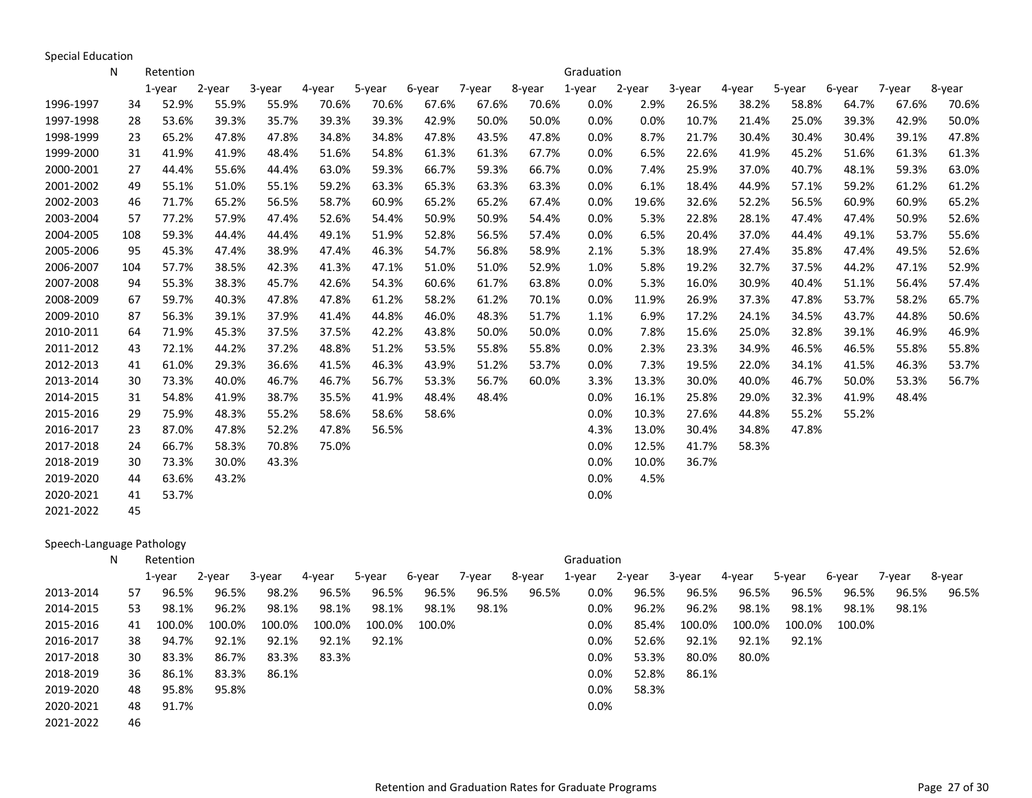Special Education

|           | N   | Retention   |        |        |        |        |        |        |        | Graduation |        |        |        |        |        |        |        |
|-----------|-----|-------------|--------|--------|--------|--------|--------|--------|--------|------------|--------|--------|--------|--------|--------|--------|--------|
|           |     | $1$ -year   | 2-year | 3-year | 4-year | 5-year | 6-year | 7-year | 8-year | 1-year     | 2-year | 3-year | 4-year | 5-year | 6-year | 7-year | 8-year |
| 1996-1997 |     | 52.9%<br>34 | 55.9%  | 55.9%  | 70.6%  | 70.6%  | 67.6%  | 67.6%  | 70.6%  | 0.0%       | 2.9%   | 26.5%  | 38.2%  | 58.8%  | 64.7%  | 67.6%  | 70.6%  |
| 1997-1998 |     | 53.6%<br>28 | 39.3%  | 35.7%  | 39.3%  | 39.3%  | 42.9%  | 50.0%  | 50.0%  | 0.0%       | 0.0%   | 10.7%  | 21.4%  | 25.0%  | 39.3%  | 42.9%  | 50.0%  |
| 1998-1999 |     | 65.2%<br>23 | 47.8%  | 47.8%  | 34.8%  | 34.8%  | 47.8%  | 43.5%  | 47.8%  | 0.0%       | 8.7%   | 21.7%  | 30.4%  | 30.4%  | 30.4%  | 39.1%  | 47.8%  |
| 1999-2000 |     | 41.9%<br>31 | 41.9%  | 48.4%  | 51.6%  | 54.8%  | 61.3%  | 61.3%  | 67.7%  | 0.0%       | 6.5%   | 22.6%  | 41.9%  | 45.2%  | 51.6%  | 61.3%  | 61.3%  |
| 2000-2001 |     | 44.4%<br>27 | 55.6%  | 44.4%  | 63.0%  | 59.3%  | 66.7%  | 59.3%  | 66.7%  | 0.0%       | 7.4%   | 25.9%  | 37.0%  | 40.7%  | 48.1%  | 59.3%  | 63.0%  |
| 2001-2002 |     | 49<br>55.1% | 51.0%  | 55.1%  | 59.2%  | 63.3%  | 65.3%  | 63.3%  | 63.3%  | 0.0%       | 6.1%   | 18.4%  | 44.9%  | 57.1%  | 59.2%  | 61.2%  | 61.2%  |
| 2002-2003 |     | 71.7%<br>46 | 65.2%  | 56.5%  | 58.7%  | 60.9%  | 65.2%  | 65.2%  | 67.4%  | 0.0%       | 19.6%  | 32.6%  | 52.2%  | 56.5%  | 60.9%  | 60.9%  | 65.2%  |
| 2003-2004 |     | 77.2%<br>57 | 57.9%  | 47.4%  | 52.6%  | 54.4%  | 50.9%  | 50.9%  | 54.4%  | 0.0%       | 5.3%   | 22.8%  | 28.1%  | 47.4%  | 47.4%  | 50.9%  | 52.6%  |
| 2004-2005 | 108 | 59.3%       | 44.4%  | 44.4%  | 49.1%  | 51.9%  | 52.8%  | 56.5%  | 57.4%  | 0.0%       | 6.5%   | 20.4%  | 37.0%  | 44.4%  | 49.1%  | 53.7%  | 55.6%  |
| 2005-2006 |     | 95<br>45.3% | 47.4%  | 38.9%  | 47.4%  | 46.3%  | 54.7%  | 56.8%  | 58.9%  | 2.1%       | 5.3%   | 18.9%  | 27.4%  | 35.8%  | 47.4%  | 49.5%  | 52.6%  |
| 2006-2007 | 104 | 57.7%       | 38.5%  | 42.3%  | 41.3%  | 47.1%  | 51.0%  | 51.0%  | 52.9%  | 1.0%       | 5.8%   | 19.2%  | 32.7%  | 37.5%  | 44.2%  | 47.1%  | 52.9%  |
| 2007-2008 |     | 55.3%<br>94 | 38.3%  | 45.7%  | 42.6%  | 54.3%  | 60.6%  | 61.7%  | 63.8%  | 0.0%       | 5.3%   | 16.0%  | 30.9%  | 40.4%  | 51.1%  | 56.4%  | 57.4%  |
| 2008-2009 |     | 59.7%<br>67 | 40.3%  | 47.8%  | 47.8%  | 61.2%  | 58.2%  | 61.2%  | 70.1%  | 0.0%       | 11.9%  | 26.9%  | 37.3%  | 47.8%  | 53.7%  | 58.2%  | 65.7%  |
| 2009-2010 |     | 56.3%<br>87 | 39.1%  | 37.9%  | 41.4%  | 44.8%  | 46.0%  | 48.3%  | 51.7%  | 1.1%       | 6.9%   | 17.2%  | 24.1%  | 34.5%  | 43.7%  | 44.8%  | 50.6%  |
| 2010-2011 |     | 71.9%<br>64 | 45.3%  | 37.5%  | 37.5%  | 42.2%  | 43.8%  | 50.0%  | 50.0%  | 0.0%       | 7.8%   | 15.6%  | 25.0%  | 32.8%  | 39.1%  | 46.9%  | 46.9%  |
| 2011-2012 |     | 72.1%<br>43 | 44.2%  | 37.2%  | 48.8%  | 51.2%  | 53.5%  | 55.8%  | 55.8%  | 0.0%       | 2.3%   | 23.3%  | 34.9%  | 46.5%  | 46.5%  | 55.8%  | 55.8%  |
| 2012-2013 |     | 61.0%<br>41 | 29.3%  | 36.6%  | 41.5%  | 46.3%  | 43.9%  | 51.2%  | 53.7%  | 0.0%       | 7.3%   | 19.5%  | 22.0%  | 34.1%  | 41.5%  | 46.3%  | 53.7%  |
| 2013-2014 |     | 73.3%<br>30 | 40.0%  | 46.7%  | 46.7%  | 56.7%  | 53.3%  | 56.7%  | 60.0%  | 3.3%       | 13.3%  | 30.0%  | 40.0%  | 46.7%  | 50.0%  | 53.3%  | 56.7%  |
| 2014-2015 |     | 54.8%<br>31 | 41.9%  | 38.7%  | 35.5%  | 41.9%  | 48.4%  | 48.4%  |        | 0.0%       | 16.1%  | 25.8%  | 29.0%  | 32.3%  | 41.9%  | 48.4%  |        |
| 2015-2016 |     | 29<br>75.9% | 48.3%  | 55.2%  | 58.6%  | 58.6%  | 58.6%  |        |        | 0.0%       | 10.3%  | 27.6%  | 44.8%  | 55.2%  | 55.2%  |        |        |
| 2016-2017 |     | 87.0%<br>23 | 47.8%  | 52.2%  | 47.8%  | 56.5%  |        |        |        | 4.3%       | 13.0%  | 30.4%  | 34.8%  | 47.8%  |        |        |        |
| 2017-2018 |     | 24<br>66.7% | 58.3%  | 70.8%  | 75.0%  |        |        |        |        | 0.0%       | 12.5%  | 41.7%  | 58.3%  |        |        |        |        |
| 2018-2019 |     | 73.3%<br>30 | 30.0%  | 43.3%  |        |        |        |        |        | 0.0%       | 10.0%  | 36.7%  |        |        |        |        |        |
| 2019-2020 |     | 63.6%<br>44 | 43.2%  |        |        |        |        |        |        | 0.0%       | 4.5%   |        |        |        |        |        |        |
| 2020-2021 |     | 53.7%<br>41 |        |        |        |        |        |        |        | 0.0%       |        |        |        |        |        |        |        |
| 2021-2022 |     | 45          |        |        |        |        |        |        |        |            |        |        |        |        |        |        |        |

# Speech-Language Pathology

|           | N | Retention    |        |        |        |        |        |        |        | Graduation |        |        |        |        |        |        |        |
|-----------|---|--------------|--------|--------|--------|--------|--------|--------|--------|------------|--------|--------|--------|--------|--------|--------|--------|
|           |   | 1-year       | 2-year | 3-year | 4-year | 5-year | 6-year | 7-year | 8-year | 1-year     | 2-year | 3-year | 4-year | 5-year | 6-year | 7-year | 8-year |
| 2013-2014 |   | 96.5%<br>57  | 96.5%  | 98.2%  | 96.5%  | 96.5%  | 96.5%  | 96.5%  | 96.5%  | $0.0\%$    | 96.5%  | 96.5%  | 96.5%  | 96.5%  | 96.5%  | 96.5%  | 96.5%  |
| 2014-2015 |   | 98.1%<br>53  | 96.2%  | 98.1%  | 98.1%  | 98.1%  | 98.1%  | 98.1%  |        | $0.0\%$    | 96.2%  | 96.2%  | 98.1%  | 98.1%  | 98.1%  | 98.1%  |        |
| 2015-2016 |   | 100.0%<br>41 | 100.0% | 100.0% | 100.0% | 100.0% | 100.0% |        |        | $0.0\%$    | 85.4%  | 100.0% | 100.0% | 100.0% | 100.0% |        |        |
| 2016-2017 |   | 94.7%<br>38  | 92.1%  | 92.1%  | 92.1%  | 92.1%  |        |        |        | $0.0\%$    | 52.6%  | 92.1%  | 92.1%  | 92.1%  |        |        |        |
| 2017-2018 |   | 83.3%<br>30  | 86.7%  | 83.3%  | 83.3%  |        |        |        |        | $0.0\%$    | 53.3%  | 80.0%  | 80.0%  |        |        |        |        |
| 2018-2019 |   | 86.1%<br>36  | 83.3%  | 86.1%  |        |        |        |        |        | $0.0\%$    | 52.8%  | 86.1%  |        |        |        |        |        |
| 2019-2020 |   | 95.8%<br>48  | 95.8%  |        |        |        |        |        |        | $0.0\%$    | 58.3%  |        |        |        |        |        |        |
| 2020-2021 |   | 91.7%<br>48  |        |        |        |        |        |        |        | $0.0\%$    |        |        |        |        |        |        |        |
| 2021-2022 |   | 46           |        |        |        |        |        |        |        |            |        |        |        |        |        |        |        |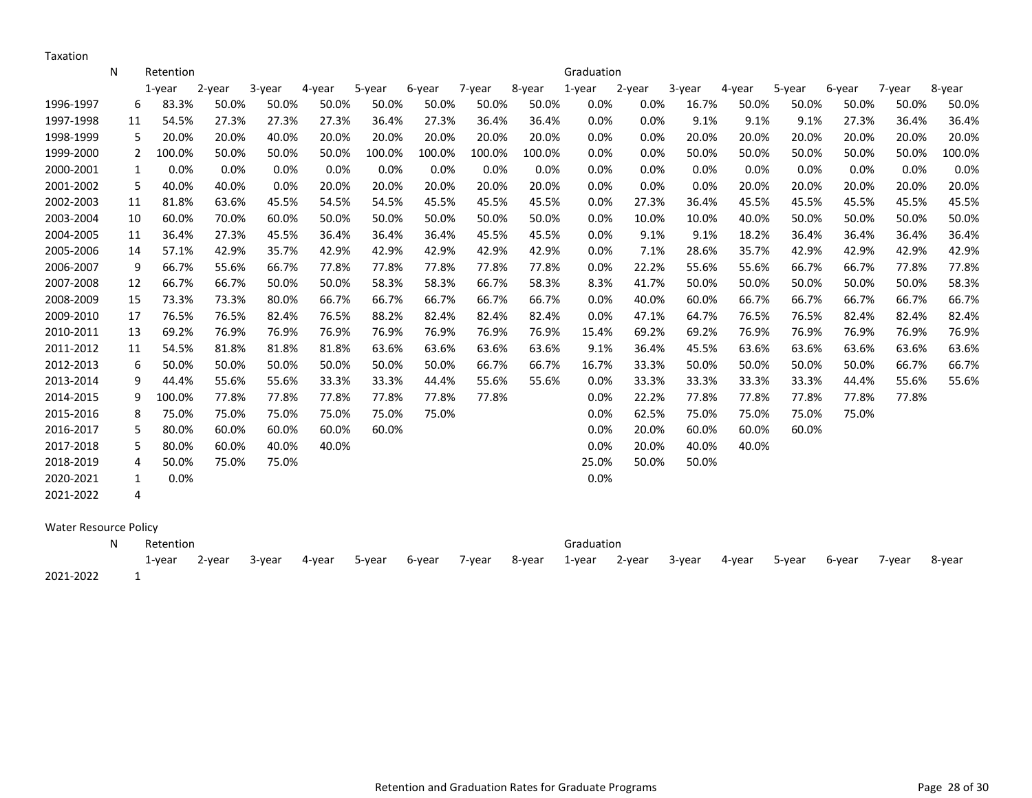Taxation

|                              | N | Retention   |        |        |        |        |        |        |        | Graduation |        |        |        |        |        |        |        |
|------------------------------|---|-------------|--------|--------|--------|--------|--------|--------|--------|------------|--------|--------|--------|--------|--------|--------|--------|
|                              |   | 1-year      | 2-year | 3-year | 4-year | 5-year | 6-year | 7-year | 8-year | $1$ -year  | 2-year | 3-year | 4-year | 5-year | 6-year | 7-year | 8-year |
| 1996-1997                    |   | 6<br>83.3%  | 50.0%  | 50.0%  | 50.0%  | 50.0%  | 50.0%  | 50.0%  | 50.0%  | 0.0%       | 0.0%   | 16.7%  | 50.0%  | 50.0%  | 50.0%  | 50.0%  | 50.0%  |
| 1997-1998                    |   | 54.5%<br>11 | 27.3%  | 27.3%  | 27.3%  | 36.4%  | 27.3%  | 36.4%  | 36.4%  | 0.0%       | 0.0%   | 9.1%   | 9.1%   | 9.1%   | 27.3%  | 36.4%  | 36.4%  |
| 1998-1999                    |   | 5<br>20.0%  | 20.0%  | 40.0%  | 20.0%  | 20.0%  | 20.0%  | 20.0%  | 20.0%  | 0.0%       | 0.0%   | 20.0%  | 20.0%  | 20.0%  | 20.0%  | 20.0%  | 20.0%  |
| 1999-2000                    |   | 100.0%<br>2 | 50.0%  | 50.0%  | 50.0%  | 100.0% | 100.0% | 100.0% | 100.0% | 0.0%       | 0.0%   | 50.0%  | 50.0%  | 50.0%  | 50.0%  | 50.0%  | 100.0% |
| 2000-2001                    |   | 0.0%<br>1   | 0.0%   | 0.0%   | 0.0%   | 0.0%   | 0.0%   | 0.0%   | 0.0%   | 0.0%       | 0.0%   | 0.0%   | 0.0%   | 0.0%   | 0.0%   | 0.0%   | 0.0%   |
| 2001-2002                    |   | 5<br>40.0%  | 40.0%  | 0.0%   | 20.0%  | 20.0%  | 20.0%  | 20.0%  | 20.0%  | 0.0%       | 0.0%   | 0.0%   | 20.0%  | 20.0%  | 20.0%  | 20.0%  | 20.0%  |
| 2002-2003                    |   | 81.8%<br>11 | 63.6%  | 45.5%  | 54.5%  | 54.5%  | 45.5%  | 45.5%  | 45.5%  | 0.0%       | 27.3%  | 36.4%  | 45.5%  | 45.5%  | 45.5%  | 45.5%  | 45.5%  |
| 2003-2004                    |   | 60.0%<br>10 | 70.0%  | 60.0%  | 50.0%  | 50.0%  | 50.0%  | 50.0%  | 50.0%  | 0.0%       | 10.0%  | 10.0%  | 40.0%  | 50.0%  | 50.0%  | 50.0%  | 50.0%  |
| 2004-2005                    |   | 36.4%<br>11 | 27.3%  | 45.5%  | 36.4%  | 36.4%  | 36.4%  | 45.5%  | 45.5%  | 0.0%       | 9.1%   | 9.1%   | 18.2%  | 36.4%  | 36.4%  | 36.4%  | 36.4%  |
| 2005-2006                    |   | 57.1%<br>14 | 42.9%  | 35.7%  | 42.9%  | 42.9%  | 42.9%  | 42.9%  | 42.9%  | 0.0%       | 7.1%   | 28.6%  | 35.7%  | 42.9%  | 42.9%  | 42.9%  | 42.9%  |
| 2006-2007                    |   | 9<br>66.7%  | 55.6%  | 66.7%  | 77.8%  | 77.8%  | 77.8%  | 77.8%  | 77.8%  | 0.0%       | 22.2%  | 55.6%  | 55.6%  | 66.7%  | 66.7%  | 77.8%  | 77.8%  |
| 2007-2008                    |   | 66.7%<br>12 | 66.7%  | 50.0%  | 50.0%  | 58.3%  | 58.3%  | 66.7%  | 58.3%  | 8.3%       | 41.7%  | 50.0%  | 50.0%  | 50.0%  | 50.0%  | 50.0%  | 58.3%  |
| 2008-2009                    |   | 73.3%<br>15 | 73.3%  | 80.0%  | 66.7%  | 66.7%  | 66.7%  | 66.7%  | 66.7%  | 0.0%       | 40.0%  | 60.0%  | 66.7%  | 66.7%  | 66.7%  | 66.7%  | 66.7%  |
| 2009-2010                    |   | 17<br>76.5% | 76.5%  | 82.4%  | 76.5%  | 88.2%  | 82.4%  | 82.4%  | 82.4%  | 0.0%       | 47.1%  | 64.7%  | 76.5%  | 76.5%  | 82.4%  | 82.4%  | 82.4%  |
| 2010-2011                    |   | 69.2%<br>13 | 76.9%  | 76.9%  | 76.9%  | 76.9%  | 76.9%  | 76.9%  | 76.9%  | 15.4%      | 69.2%  | 69.2%  | 76.9%  | 76.9%  | 76.9%  | 76.9%  | 76.9%  |
| 2011-2012                    |   | 54.5%<br>11 | 81.8%  | 81.8%  | 81.8%  | 63.6%  | 63.6%  | 63.6%  | 63.6%  | 9.1%       | 36.4%  | 45.5%  | 63.6%  | 63.6%  | 63.6%  | 63.6%  | 63.6%  |
| 2012-2013                    |   | 50.0%<br>6  | 50.0%  | 50.0%  | 50.0%  | 50.0%  | 50.0%  | 66.7%  | 66.7%  | 16.7%      | 33.3%  | 50.0%  | 50.0%  | 50.0%  | 50.0%  | 66.7%  | 66.7%  |
| 2013-2014                    |   | 9<br>44.4%  | 55.6%  | 55.6%  | 33.3%  | 33.3%  | 44.4%  | 55.6%  | 55.6%  | 0.0%       | 33.3%  | 33.3%  | 33.3%  | 33.3%  | 44.4%  | 55.6%  | 55.6%  |
| 2014-2015                    |   | 9<br>100.0% | 77.8%  | 77.8%  | 77.8%  | 77.8%  | 77.8%  | 77.8%  |        | 0.0%       | 22.2%  | 77.8%  | 77.8%  | 77.8%  | 77.8%  | 77.8%  |        |
| 2015-2016                    |   | 8<br>75.0%  | 75.0%  | 75.0%  | 75.0%  | 75.0%  | 75.0%  |        |        | 0.0%       | 62.5%  | 75.0%  | 75.0%  | 75.0%  | 75.0%  |        |        |
| 2016-2017                    |   | 5<br>80.0%  | 60.0%  | 60.0%  | 60.0%  | 60.0%  |        |        |        | 0.0%       | 20.0%  | 60.0%  | 60.0%  | 60.0%  |        |        |        |
| 2017-2018                    |   | 5<br>80.0%  | 60.0%  | 40.0%  | 40.0%  |        |        |        |        | 0.0%       | 20.0%  | 40.0%  | 40.0%  |        |        |        |        |
| 2018-2019                    |   | 4<br>50.0%  | 75.0%  | 75.0%  |        |        |        |        |        | 25.0%      | 50.0%  | 50.0%  |        |        |        |        |        |
| 2020-2021                    |   | 0.0%<br>1   |        |        |        |        |        |        |        | 0.0%       |        |        |        |        |        |        |        |
| 2021-2022                    |   | 4           |        |        |        |        |        |        |        |            |        |        |        |        |        |        |        |
|                              |   |             |        |        |        |        |        |        |        |            |        |        |        |        |        |        |        |
| <b>Water Resource Policy</b> |   |             |        |        |        |        |        |        |        |            |        |        |        |        |        |        |        |
|                              | N | Retention   |        |        |        |        |        |        |        | Graduation |        |        |        |        |        |        |        |

1-year 2-year 3-year 4-year 5-year 6-year 7-year 8-year 1-year 2-year 3-year 4-year 5-year 6-year 7-year 8-year 2021-2022 1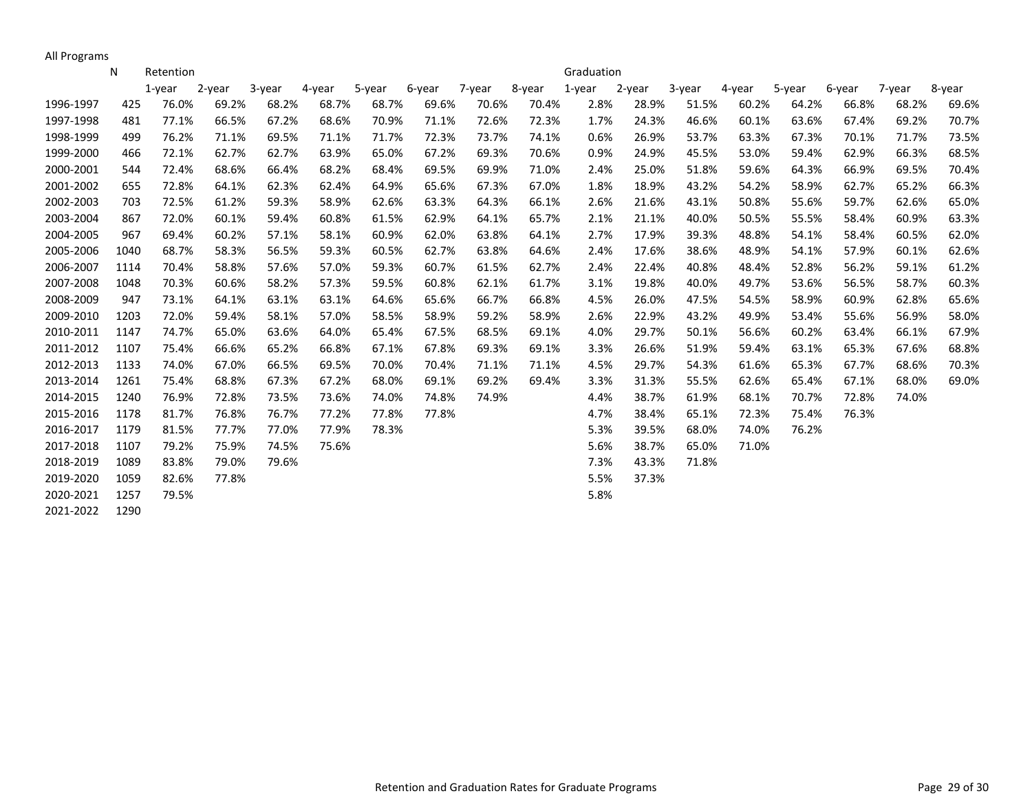All Programs

|           | N    | Retention |        |        |        |        |        |        |        | Graduation |        |        |        |        |        |        |        |
|-----------|------|-----------|--------|--------|--------|--------|--------|--------|--------|------------|--------|--------|--------|--------|--------|--------|--------|
|           |      | 1-year    | 2-year | 3-year | 4-year | 5-year | 6-year | 7-year | 8-year | 1-year     | 2-year | 3-year | 4-year | 5-year | 6-year | 7-year | 8-year |
| 1996-1997 | 425  | 76.0%     | 69.2%  | 68.2%  | 68.7%  | 68.7%  | 69.6%  | 70.6%  | 70.4%  | 2.8%       | 28.9%  | 51.5%  | 60.2%  | 64.2%  | 66.8%  | 68.2%  | 69.6%  |
| 1997-1998 | 481  | 77.1%     | 66.5%  | 67.2%  | 68.6%  | 70.9%  | 71.1%  | 72.6%  | 72.3%  | 1.7%       | 24.3%  | 46.6%  | 60.1%  | 63.6%  | 67.4%  | 69.2%  | 70.7%  |
| 1998-1999 | 499  | 76.2%     | 71.1%  | 69.5%  | 71.1%  | 71.7%  | 72.3%  | 73.7%  | 74.1%  | 0.6%       | 26.9%  | 53.7%  | 63.3%  | 67.3%  | 70.1%  | 71.7%  | 73.5%  |
| 1999-2000 | 466  | 72.1%     | 62.7%  | 62.7%  | 63.9%  | 65.0%  | 67.2%  | 69.3%  | 70.6%  | 0.9%       | 24.9%  | 45.5%  | 53.0%  | 59.4%  | 62.9%  | 66.3%  | 68.5%  |
| 2000-2001 | 544  | 72.4%     | 68.6%  | 66.4%  | 68.2%  | 68.4%  | 69.5%  | 69.9%  | 71.0%  | 2.4%       | 25.0%  | 51.8%  | 59.6%  | 64.3%  | 66.9%  | 69.5%  | 70.4%  |
| 2001-2002 | 655  | 72.8%     | 64.1%  | 62.3%  | 62.4%  | 64.9%  | 65.6%  | 67.3%  | 67.0%  | 1.8%       | 18.9%  | 43.2%  | 54.2%  | 58.9%  | 62.7%  | 65.2%  | 66.3%  |
| 2002-2003 | 703  | 72.5%     | 61.2%  | 59.3%  | 58.9%  | 62.6%  | 63.3%  | 64.3%  | 66.1%  | 2.6%       | 21.6%  | 43.1%  | 50.8%  | 55.6%  | 59.7%  | 62.6%  | 65.0%  |
| 2003-2004 | 867  | 72.0%     | 60.1%  | 59.4%  | 60.8%  | 61.5%  | 62.9%  | 64.1%  | 65.7%  | 2.1%       | 21.1%  | 40.0%  | 50.5%  | 55.5%  | 58.4%  | 60.9%  | 63.3%  |
| 2004-2005 | 967  | 69.4%     | 60.2%  | 57.1%  | 58.1%  | 60.9%  | 62.0%  | 63.8%  | 64.1%  | 2.7%       | 17.9%  | 39.3%  | 48.8%  | 54.1%  | 58.4%  | 60.5%  | 62.0%  |
| 2005-2006 | 1040 | 68.7%     | 58.3%  | 56.5%  | 59.3%  | 60.5%  | 62.7%  | 63.8%  | 64.6%  | 2.4%       | 17.6%  | 38.6%  | 48.9%  | 54.1%  | 57.9%  | 60.1%  | 62.6%  |
| 2006-2007 | 1114 | 70.4%     | 58.8%  | 57.6%  | 57.0%  | 59.3%  | 60.7%  | 61.5%  | 62.7%  | 2.4%       | 22.4%  | 40.8%  | 48.4%  | 52.8%  | 56.2%  | 59.1%  | 61.2%  |
| 2007-2008 | 1048 | 70.3%     | 60.6%  | 58.2%  | 57.3%  | 59.5%  | 60.8%  | 62.1%  | 61.7%  | 3.1%       | 19.8%  | 40.0%  | 49.7%  | 53.6%  | 56.5%  | 58.7%  | 60.3%  |
| 2008-2009 | 947  | 73.1%     | 64.1%  | 63.1%  | 63.1%  | 64.6%  | 65.6%  | 66.7%  | 66.8%  | 4.5%       | 26.0%  | 47.5%  | 54.5%  | 58.9%  | 60.9%  | 62.8%  | 65.6%  |
| 2009-2010 | 1203 | 72.0%     | 59.4%  | 58.1%  | 57.0%  | 58.5%  | 58.9%  | 59.2%  | 58.9%  | 2.6%       | 22.9%  | 43.2%  | 49.9%  | 53.4%  | 55.6%  | 56.9%  | 58.0%  |
| 2010-2011 | 1147 | 74.7%     | 65.0%  | 63.6%  | 64.0%  | 65.4%  | 67.5%  | 68.5%  | 69.1%  | 4.0%       | 29.7%  | 50.1%  | 56.6%  | 60.2%  | 63.4%  | 66.1%  | 67.9%  |
| 2011-2012 | 1107 | 75.4%     | 66.6%  | 65.2%  | 66.8%  | 67.1%  | 67.8%  | 69.3%  | 69.1%  | 3.3%       | 26.6%  | 51.9%  | 59.4%  | 63.1%  | 65.3%  | 67.6%  | 68.8%  |
| 2012-2013 | 1133 | 74.0%     | 67.0%  | 66.5%  | 69.5%  | 70.0%  | 70.4%  | 71.1%  | 71.1%  | 4.5%       | 29.7%  | 54.3%  | 61.6%  | 65.3%  | 67.7%  | 68.6%  | 70.3%  |
| 2013-2014 | 1261 | 75.4%     | 68.8%  | 67.3%  | 67.2%  | 68.0%  | 69.1%  | 69.2%  | 69.4%  | 3.3%       | 31.3%  | 55.5%  | 62.6%  | 65.4%  | 67.1%  | 68.0%  | 69.0%  |
| 2014-2015 | 1240 | 76.9%     | 72.8%  | 73.5%  | 73.6%  | 74.0%  | 74.8%  | 74.9%  |        | 4.4%       | 38.7%  | 61.9%  | 68.1%  | 70.7%  | 72.8%  | 74.0%  |        |
| 2015-2016 | 1178 | 81.7%     | 76.8%  | 76.7%  | 77.2%  | 77.8%  | 77.8%  |        |        | 4.7%       | 38.4%  | 65.1%  | 72.3%  | 75.4%  | 76.3%  |        |        |
| 2016-2017 | 1179 | 81.5%     | 77.7%  | 77.0%  | 77.9%  | 78.3%  |        |        |        | 5.3%       | 39.5%  | 68.0%  | 74.0%  | 76.2%  |        |        |        |
| 2017-2018 | 1107 | 79.2%     | 75.9%  | 74.5%  | 75.6%  |        |        |        |        | 5.6%       | 38.7%  | 65.0%  | 71.0%  |        |        |        |        |
| 2018-2019 | 1089 | 83.8%     | 79.0%  | 79.6%  |        |        |        |        |        | 7.3%       | 43.3%  | 71.8%  |        |        |        |        |        |
| 2019-2020 | 1059 | 82.6%     | 77.8%  |        |        |        |        |        |        | 5.5%       | 37.3%  |        |        |        |        |        |        |
| 2020-2021 | 1257 | 79.5%     |        |        |        |        |        |        |        | 5.8%       |        |        |        |        |        |        |        |
| 2021-2022 | 1290 |           |        |        |        |        |        |        |        |            |        |        |        |        |        |        |        |